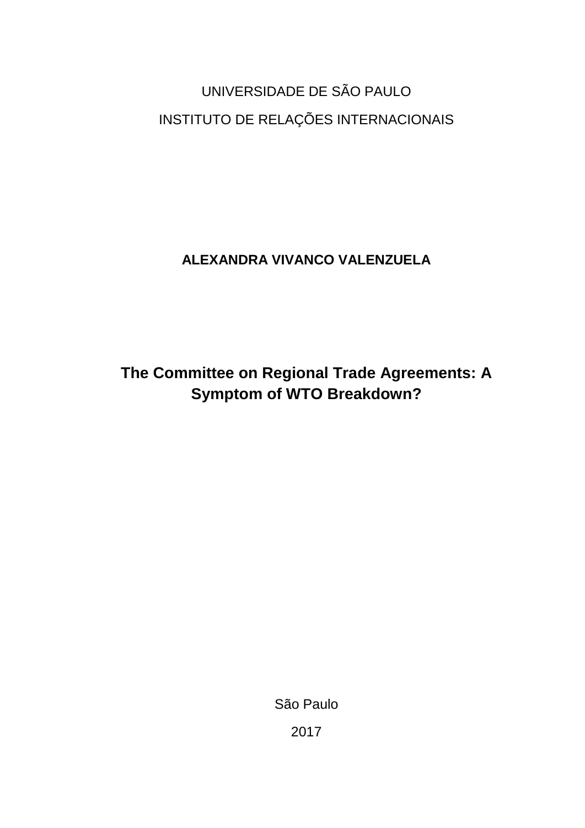UNIVERSIDADE DE SÃO PAULO INSTITUTO DE RELAÇÕES INTERNACIONAIS

**ALEXANDRA VIVANCO VALENZUELA**

**The Committee on Regional Trade Agreements: A Symptom of WTO Breakdown?**

São Paulo

2017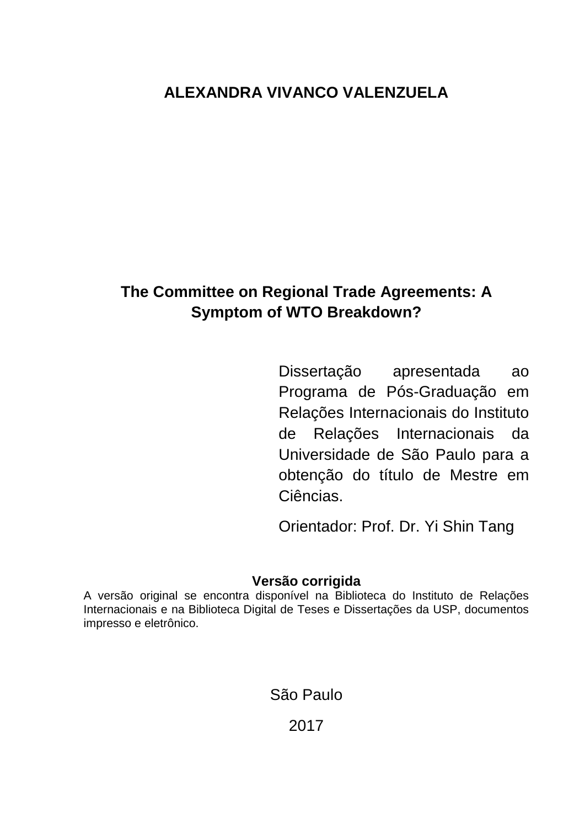# **ALEXANDRA VIVANCO VALENZUELA**

# **The Committee on Regional Trade Agreements: A Symptom of WTO Breakdown?**

Dissertação apresentada ao Programa de Pós-Graduação em Relações Internacionais do Instituto de Relações Internacionais da Universidade de São Paulo para a obtenção do título de Mestre em Ciências.

Orientador: Prof. Dr. Yi Shin Tang

# **Versão corrigida**

A versão original se encontra disponível na Biblioteca do Instituto de Relações Internacionais e na Biblioteca Digital de Teses e Dissertações da USP, documentos impresso e eletrônico.

São Paulo

2017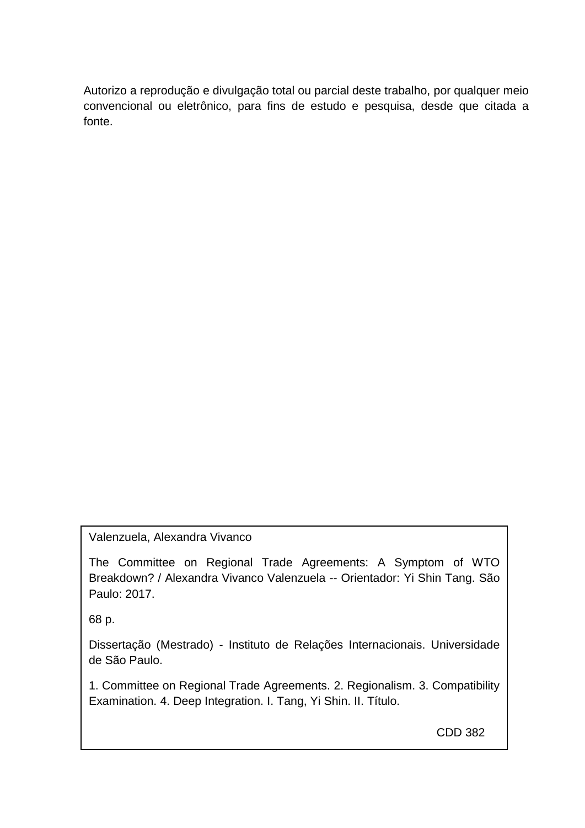Autorizo a reprodução e divulgação total ou parcial deste trabalho, por qualquer meio convencional ou eletrônico, para fins de estudo e pesquisa, desde que citada a fonte.

Valenzuela, Alexandra Vivanco

The Committee on Regional Trade Agreements: A Symptom of WTO Breakdown? / Alexandra Vivanco Valenzuela -- Orientador: Yi Shin Tang. São Paulo: 2017.

68 p.

Dissertação (Mestrado) - Instituto de Relações Internacionais. Universidade de São Paulo.

1. Committee on Regional Trade Agreements. 2. Regionalism. 3. Compatibility Examination. 4. Deep Integration. I. Tang, Yi Shin. II. Título.

CDD 382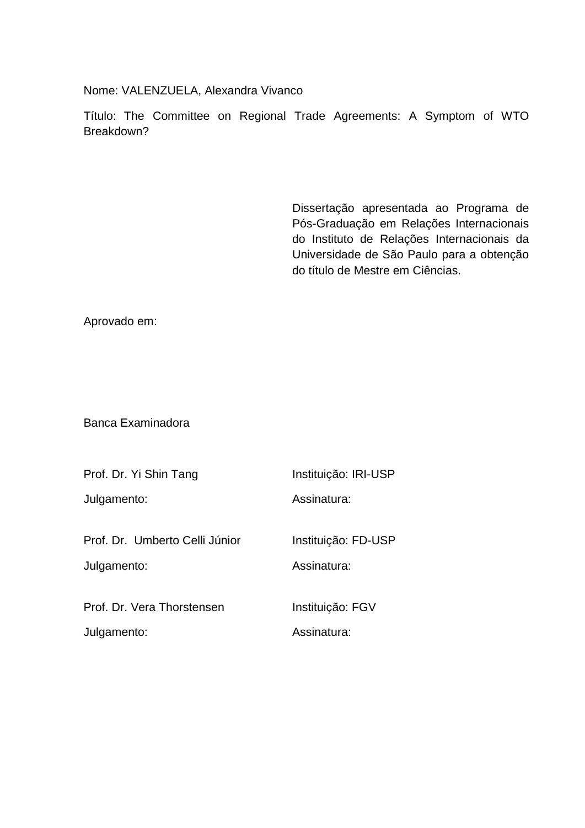Nome: VALENZUELA, Alexandra Vivanco

Título: The Committee on Regional Trade Agreements: A Symptom of WTO Breakdown?

> Dissertação apresentada ao Programa de Pós-Graduação em Relações Internacionais do Instituto de Relações Internacionais da Universidade de São Paulo para a obtenção do título de Mestre em Ciências.

Aprovado em:

Banca Examinadora

| Instituição: IRI-USP               |
|------------------------------------|
| Assinatura:                        |
| Instituição: FD-USP<br>Assinatura: |
| Instituição: FGV<br>Assinatura:    |
|                                    |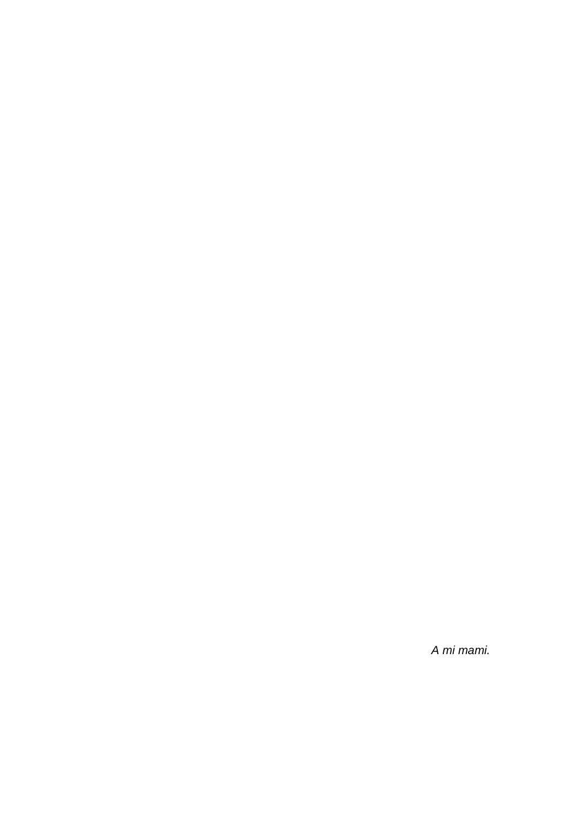*A mi mami.*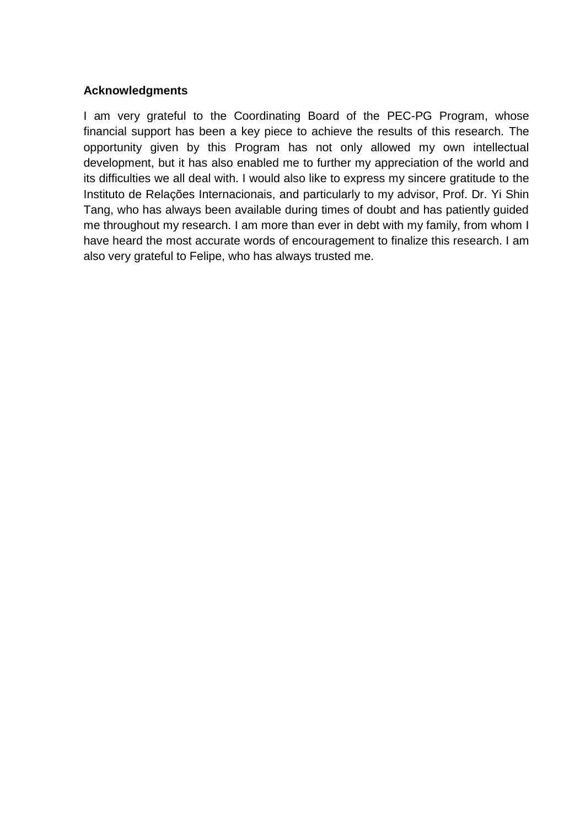# **Acknowledgments**

I am very grateful to the Coordinating Board of the PEC-PG Program, whose financial support has been a key piece to achieve the results of this research. The opportunity given by this Program has not only allowed my own intellectual development, but it has also enabled me to further my appreciation of the world and its difficulties we all deal with. I would also like to express my sincere gratitude to the Instituto de Relações Internacionais, and particularly to my advisor, Prof. Dr. Yi Shin Tang, who has always been available during times of doubt and has patiently guided me throughout my research. I am more than ever in debt with my family, from whom I have heard the most accurate words of encouragement to finalize this research. I am also very grateful to Felipe, who has always trusted me.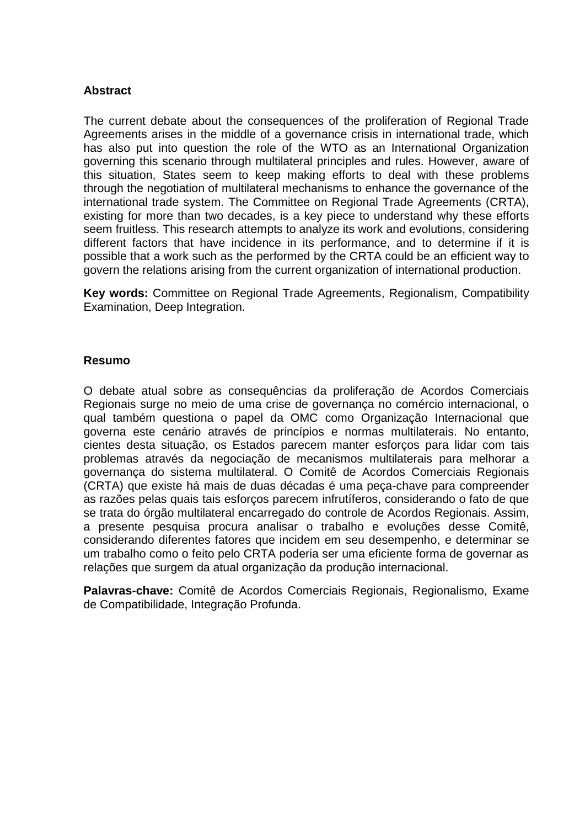# **Abstract**

The current debate about the consequences of the proliferation of Regional Trade Agreements arises in the middle of a governance crisis in international trade, which has also put into question the role of the WTO as an International Organization governing this scenario through multilateral principles and rules. However, aware of this situation, States seem to keep making efforts to deal with these problems through the negotiation of multilateral mechanisms to enhance the governance of the international trade system. The Committee on Regional Trade Agreements (CRTA), existing for more than two decades, is a key piece to understand why these efforts seem fruitless. This research attempts to analyze its work and evolutions, considering different factors that have incidence in its performance, and to determine if it is possible that a work such as the performed by the CRTA could be an efficient way to govern the relations arising from the current organization of international production.

**Key words:** Committee on Regional Trade Agreements, Regionalism, Compatibility Examination, Deep Integration.

# **Resumo**

O debate atual sobre as consequências da proliferação de Acordos Comerciais Regionais surge no meio de uma crise de governança no comércio internacional, o qual também questiona o papel da OMC como Organização Internacional que governa este cenário através de princípios e normas multilaterais. No entanto, cientes desta situação, os Estados parecem manter esforços para lidar com tais problemas através da negociação de mecanismos multilaterais para melhorar a governança do sistema multilateral. O Comitê de Acordos Comerciais Regionais (CRTA) que existe há mais de duas décadas é uma peça-chave para compreender as razões pelas quais tais esforços parecem infrutíferos, considerando o fato de que se trata do órgão multilateral encarregado do controle de Acordos Regionais. Assim, a presente pesquisa procura analisar o trabalho e evoluções desse Comitê, considerando diferentes fatores que incidem em seu desempenho, e determinar se um trabalho como o feito pelo CRTA poderia ser uma eficiente forma de governar as relações que surgem da atual organização da produção internacional.

**Palavras-chave:** Comitê de Acordos Comerciais Regionais, Regionalismo, Exame de Compatibilidade, Integração Profunda.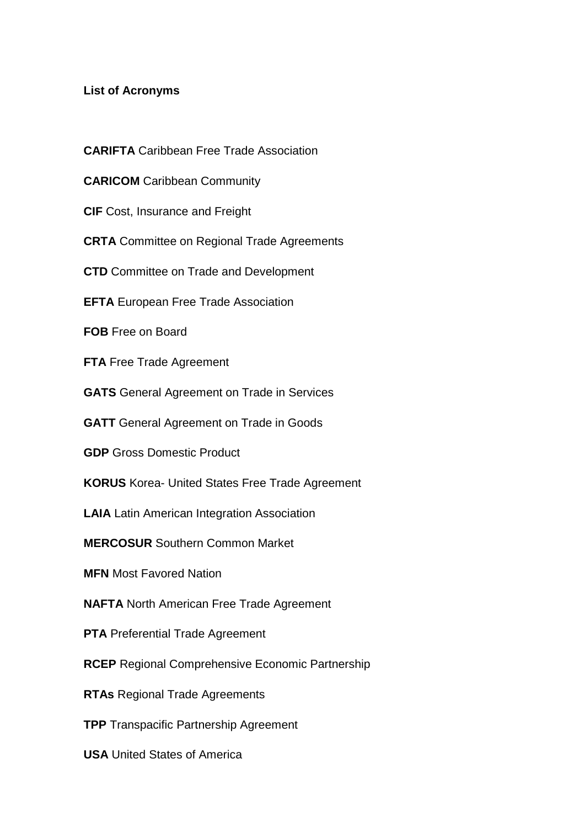# **List of Acronyms**

- **CARIFTA** Caribbean Free Trade Association
- **CARICOM** Caribbean Community
- **CIF** Cost, Insurance and Freight
- **CRTA** Committee on Regional Trade Agreements
- **CTD** Committee on Trade and Development
- **EFTA** European Free Trade Association
- **FOB** Free on Board
- **FTA** Free Trade Agreement
- **GATS** General Agreement on Trade in Services
- **GATT** General Agreement on Trade in Goods
- **GDP** Gross Domestic Product
- **KORUS** Korea- United States Free Trade Agreement
- **LAIA** Latin American Integration Association
- **MERCOSUR** Southern Common Market
- **MFN** Most Favored Nation
- **NAFTA** North American Free Trade Agreement
- **PTA** Preferential Trade Agreement
- **RCEP** Regional Comprehensive Economic Partnership
- **RTAs** Regional Trade Agreements
- **TPP** Transpacific Partnership Agreement
- **USA** United States of America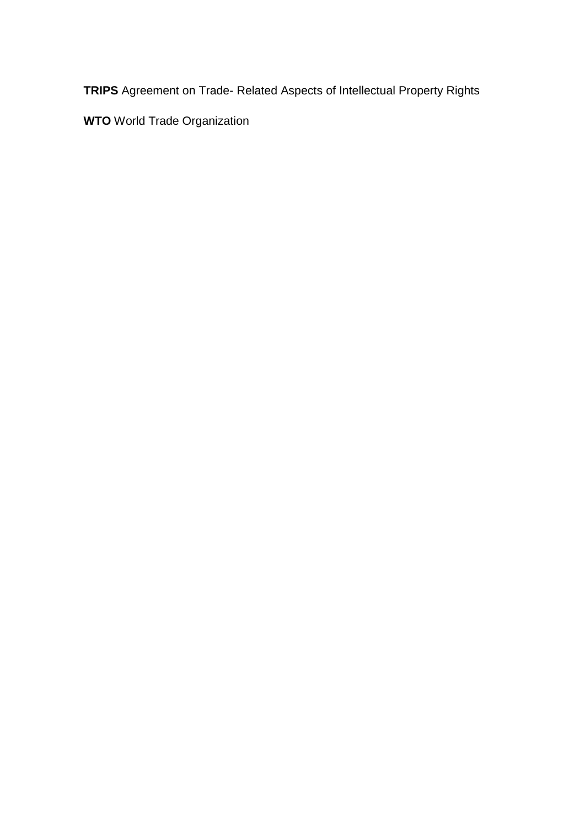**TRIPS** Agreement on Trade- Related Aspects of Intellectual Property Rights

**WTO** World Trade Organization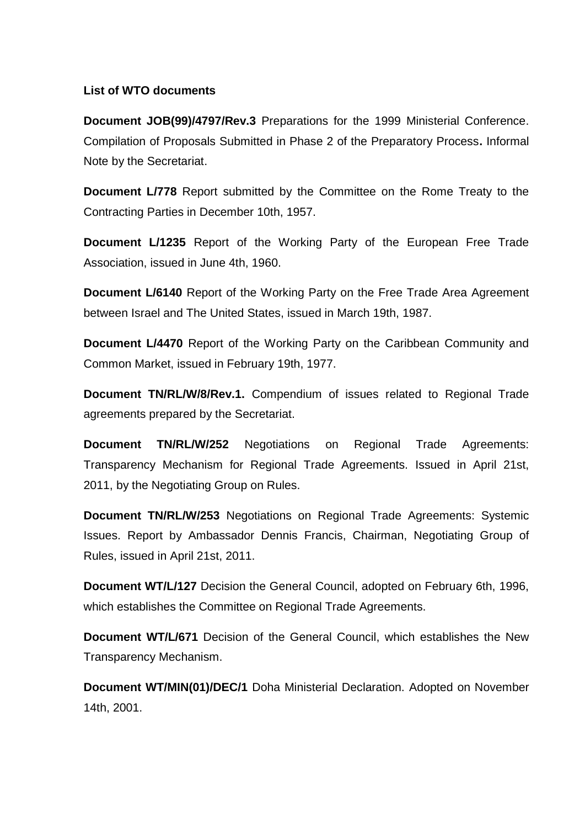# **List of WTO documents**

**Document JOB(99)/4797/Rev.3** Preparations for the 1999 Ministerial Conference. Compilation of Proposals Submitted in Phase 2 of the Preparatory Process**.** Informal Note by the Secretariat.

**Document L/778** Report submitted by the Committee on the Rome Treaty to the Contracting Parties in December 10th, 1957.

**Document L/1235** Report of the Working Party of the European Free Trade Association, issued in June 4th, 1960.

**Document L/6140** Report of the Working Party on the Free Trade Area Agreement between Israel and The United States, issued in March 19th, 1987.

**Document L/4470** Report of the Working Party on the Caribbean Community and Common Market, issued in February 19th, 1977.

**Document TN/RL/W/8/Rev.1.** Compendium of issues related to Regional Trade agreements prepared by the Secretariat.

**Document TN/RL/W/252** Negotiations on Regional Trade Agreements: Transparency Mechanism for Regional Trade Agreements. Issued in April 21st, 2011, by the Negotiating Group on Rules.

**Document TN/RL/W/253** Negotiations on Regional Trade Agreements: Systemic Issues. Report by Ambassador Dennis Francis, Chairman, Negotiating Group of Rules, issued in April 21st, 2011.

**Document WT/L/127** Decision the General Council, adopted on February 6th, 1996, which establishes the Committee on Regional Trade Agreements.

**Document WT/L/671** Decision of the General Council, which establishes the New Transparency Mechanism.

**Document WT/MIN(01)/DEC/1** Doha Ministerial Declaration. Adopted on November 14th, 2001.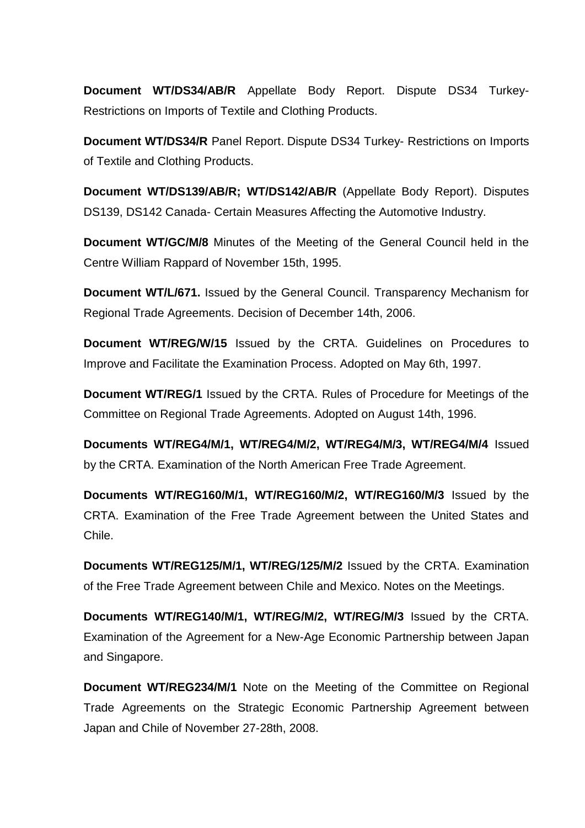**Document WT/DS34/AB/R** Appellate Body Report. Dispute DS34 Turkey-Restrictions on Imports of Textile and Clothing Products.

**Document WT/DS34/R** Panel Report. Dispute DS34 Turkey- Restrictions on Imports of Textile and Clothing Products.

**Document WT/DS139/AB/R; WT/DS142/AB/R** (Appellate Body Report). Disputes DS139, DS142 Canada- Certain Measures Affecting the Automotive Industry.

**Document WT/GC/M/8** Minutes of the Meeting of the General Council held in the Centre William Rappard of November 15th, 1995.

**Document WT/L/671.** Issued by the General Council. Transparency Mechanism for Regional Trade Agreements. Decision of December 14th, 2006.

**Document WT/REG/W/15** Issued by the CRTA. Guidelines on Procedures to Improve and Facilitate the Examination Process. Adopted on May 6th, 1997.

**Document WT/REG/1** Issued by the CRTA. Rules of Procedure for Meetings of the Committee on Regional Trade Agreements. Adopted on August 14th, 1996.

**Documents WT/REG4/M/1, WT/REG4/M/2, WT/REG4/M/3, WT/REG4/M/4** Issued by the CRTA. Examination of the North American Free Trade Agreement.

**Documents WT/REG160/M/1, WT/REG160/M/2, WT/REG160/M/3** Issued by the CRTA. Examination of the Free Trade Agreement between the United States and Chile.

**Documents WT/REG125/M/1, WT/REG/125/M/2** Issued by the CRTA. Examination of the Free Trade Agreement between Chile and Mexico. Notes on the Meetings.

**Documents WT/REG140/M/1, WT/REG/M/2, WT/REG/M/3** Issued by the CRTA. Examination of the Agreement for a New-Age Economic Partnership between Japan and Singapore.

**Document WT/REG234/M/1** Note on the Meeting of the Committee on Regional Trade Agreements on the Strategic Economic Partnership Agreement between Japan and Chile of November 27-28th, 2008.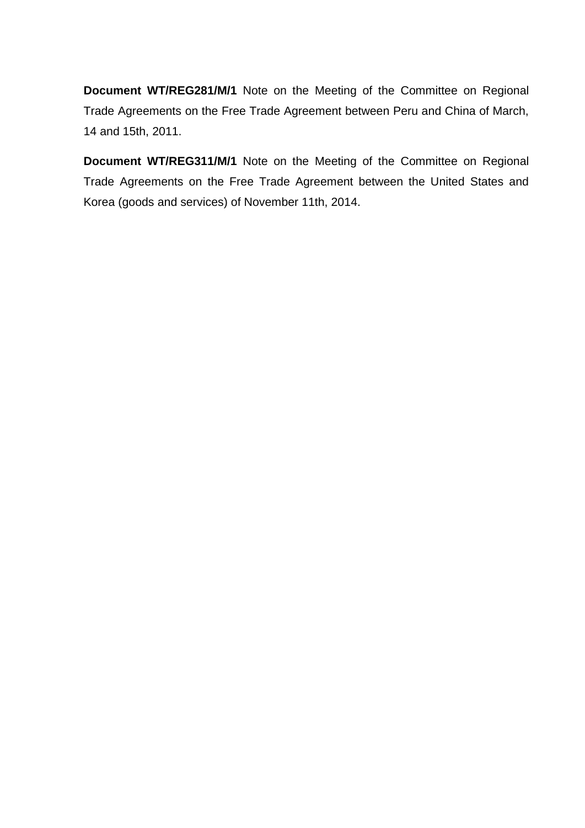**Document WT/REG281/M/1** Note on the Meeting of the Committee on Regional Trade Agreements on the Free Trade Agreement between Peru and China of March, 14 and 15th, 2011.

**Document WT/REG311/M/1** Note on the Meeting of the Committee on Regional Trade Agreements on the Free Trade Agreement between the United States and Korea (goods and services) of November 11th, 2014.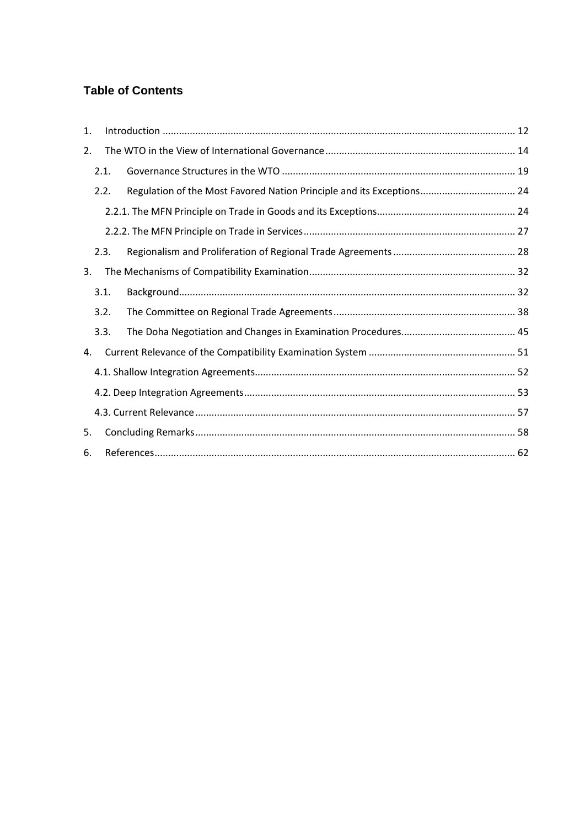# **Table of Contents**

| 1. |      |                                                                       |  |  |  |  |
|----|------|-----------------------------------------------------------------------|--|--|--|--|
| 2. |      |                                                                       |  |  |  |  |
|    | 2.1. |                                                                       |  |  |  |  |
|    | 2.2. | Regulation of the Most Favored Nation Principle and its Exceptions 24 |  |  |  |  |
|    |      |                                                                       |  |  |  |  |
|    |      |                                                                       |  |  |  |  |
|    | 2.3. |                                                                       |  |  |  |  |
| 3. |      |                                                                       |  |  |  |  |
|    | 3.1. |                                                                       |  |  |  |  |
|    | 3.2. |                                                                       |  |  |  |  |
|    | 3.3. |                                                                       |  |  |  |  |
| 4. |      |                                                                       |  |  |  |  |
|    |      |                                                                       |  |  |  |  |
|    |      |                                                                       |  |  |  |  |
|    |      |                                                                       |  |  |  |  |
| 5. |      |                                                                       |  |  |  |  |
| 6. |      |                                                                       |  |  |  |  |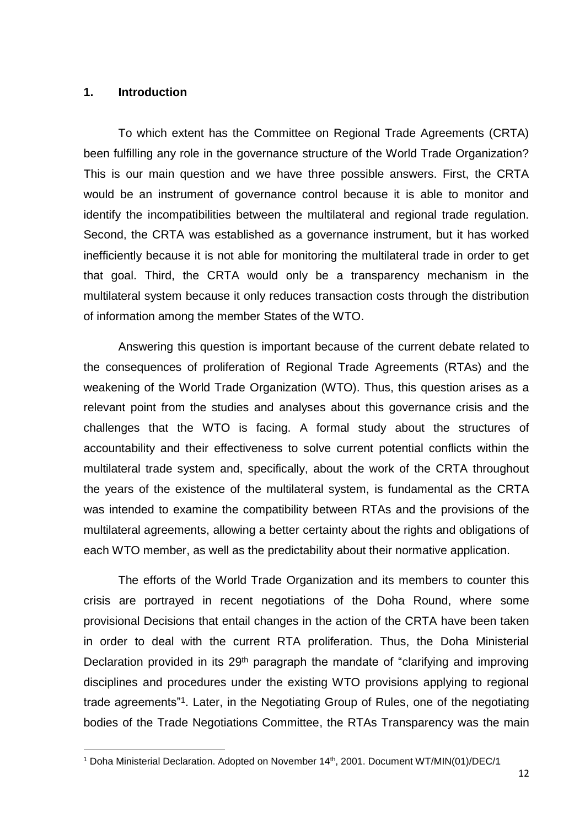#### <span id="page-13-0"></span>**1. Introduction**

 $\overline{a}$ 

To which extent has the Committee on Regional Trade Agreements (CRTA) been fulfilling any role in the governance structure of the World Trade Organization? This is our main question and we have three possible answers. First, the CRTA would be an instrument of governance control because it is able to monitor and identify the incompatibilities between the multilateral and regional trade regulation. Second, the CRTA was established as a governance instrument, but it has worked inefficiently because it is not able for monitoring the multilateral trade in order to get that goal. Third, the CRTA would only be a transparency mechanism in the multilateral system because it only reduces transaction costs through the distribution of information among the member States of the WTO.

Answering this question is important because of the current debate related to the consequences of proliferation of Regional Trade Agreements (RTAs) and the weakening of the World Trade Organization (WTO). Thus, this question arises as a relevant point from the studies and analyses about this governance crisis and the challenges that the WTO is facing. A formal study about the structures of accountability and their effectiveness to solve current potential conflicts within the multilateral trade system and, specifically, about the work of the CRTA throughout the years of the existence of the multilateral system, is fundamental as the CRTA was intended to examine the compatibility between RTAs and the provisions of the multilateral agreements, allowing a better certainty about the rights and obligations of each WTO member, as well as the predictability about their normative application.

The efforts of the World Trade Organization and its members to counter this crisis are portrayed in recent negotiations of the Doha Round, where some provisional Decisions that entail changes in the action of the CRTA have been taken in order to deal with the current RTA proliferation. Thus, the Doha Ministerial Declaration provided in its 29<sup>th</sup> paragraph the mandate of "clarifying and improving disciplines and procedures under the existing WTO provisions applying to regional trade agreements"<sup>1</sup> . Later, in the Negotiating Group of Rules, one of the negotiating bodies of the Trade Negotiations Committee, the RTAs Transparency was the main

<sup>&</sup>lt;sup>1</sup> Doha Ministerial Declaration. Adopted on November 14<sup>th</sup>, 2001. Document WT/MIN(01)/DEC/1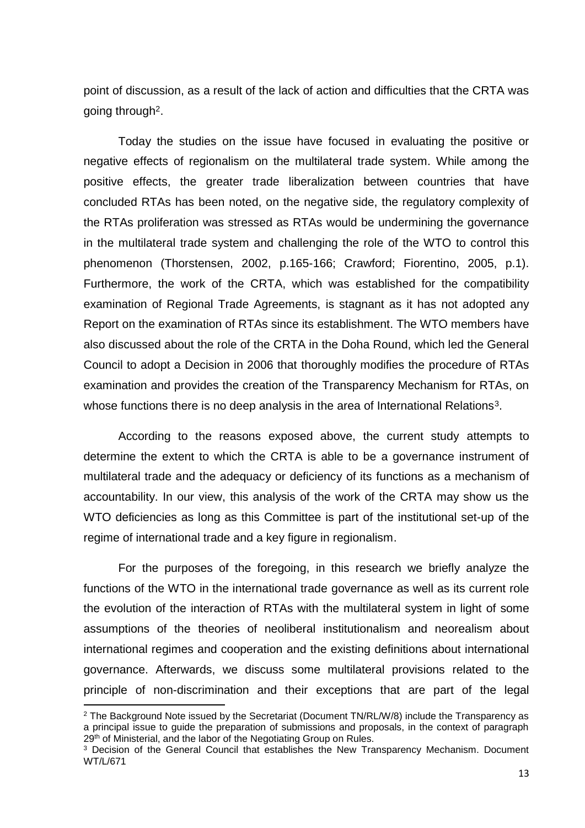point of discussion, as a result of the lack of action and difficulties that the CRTA was going through<sup>2</sup>.

Today the studies on the issue have focused in evaluating the positive or negative effects of regionalism on the multilateral trade system. While among the positive effects, the greater trade liberalization between countries that have concluded RTAs has been noted, on the negative side, the regulatory complexity of the RTAs proliferation was stressed as RTAs would be undermining the governance in the multilateral trade system and challenging the role of the WTO to control this phenomenon (Thorstensen, 2002, p.165-166; Crawford; Fiorentino, 2005, p.1). Furthermore, the work of the CRTA, which was established for the compatibility examination of Regional Trade Agreements, is stagnant as it has not adopted any Report on the examination of RTAs since its establishment. The WTO members have also discussed about the role of the CRTA in the Doha Round, which led the General Council to adopt a Decision in 2006 that thoroughly modifies the procedure of RTAs examination and provides the creation of the Transparency Mechanism for RTAs, on whose functions there is no deep analysis in the area of International Relations<sup>3</sup>.

According to the reasons exposed above, the current study attempts to determine the extent to which the CRTA is able to be a governance instrument of multilateral trade and the adequacy or deficiency of its functions as a mechanism of accountability. In our view, this analysis of the work of the CRTA may show us the WTO deficiencies as long as this Committee is part of the institutional set-up of the regime of international trade and a key figure in regionalism.

For the purposes of the foregoing, in this research we briefly analyze the functions of the WTO in the international trade governance as well as its current role the evolution of the interaction of RTAs with the multilateral system in light of some assumptions of the theories of neoliberal institutionalism and neorealism about international regimes and cooperation and the existing definitions about international governance. Afterwards, we discuss some multilateral provisions related to the principle of non-discrimination and their exceptions that are part of the legal

<sup>&</sup>lt;sup>2</sup> The Background Note issued by the Secretariat (Document TN/RL/W/8) include the Transparency as a principal issue to guide the preparation of submissions and proposals, in the context of paragraph 29<sup>th</sup> of Ministerial, and the labor of the Negotiating Group on Rules.

<sup>&</sup>lt;sup>3</sup> Decision of the General Council that establishes the New Transparency Mechanism. Document WT/L/671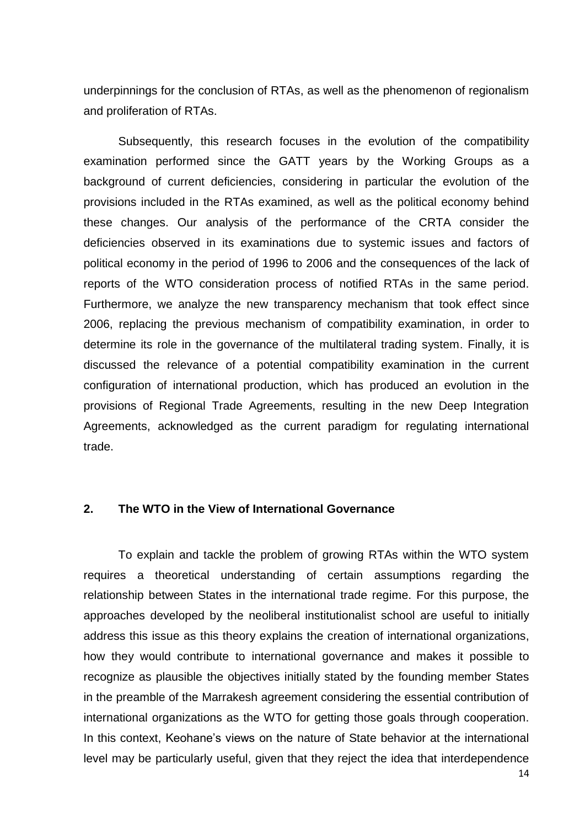underpinnings for the conclusion of RTAs, as well as the phenomenon of regionalism and proliferation of RTAs.

Subsequently, this research focuses in the evolution of the compatibility examination performed since the GATT years by the Working Groups as a background of current deficiencies, considering in particular the evolution of the provisions included in the RTAs examined, as well as the political economy behind these changes. Our analysis of the performance of the CRTA consider the deficiencies observed in its examinations due to systemic issues and factors of political economy in the period of 1996 to 2006 and the consequences of the lack of reports of the WTO consideration process of notified RTAs in the same period. Furthermore, we analyze the new transparency mechanism that took effect since 2006, replacing the previous mechanism of compatibility examination, in order to determine its role in the governance of the multilateral trading system. Finally, it is discussed the relevance of a potential compatibility examination in the current configuration of international production, which has produced an evolution in the provisions of Regional Trade Agreements, resulting in the new Deep Integration Agreements, acknowledged as the current paradigm for regulating international trade.

#### <span id="page-15-0"></span>**2. The WTO in the View of International Governance**

To explain and tackle the problem of growing RTAs within the WTO system requires a theoretical understanding of certain assumptions regarding the relationship between States in the international trade regime. For this purpose, the approaches developed by the neoliberal institutionalist school are useful to initially address this issue as this theory explains the creation of international organizations, how they would contribute to international governance and makes it possible to recognize as plausible the objectives initially stated by the founding member States in the preamble of the Marrakesh agreement considering the essential contribution of international organizations as the WTO for getting those goals through cooperation. In this context, Keohane's views on the nature of State behavior at the international level may be particularly useful, given that they reject the idea that interdependence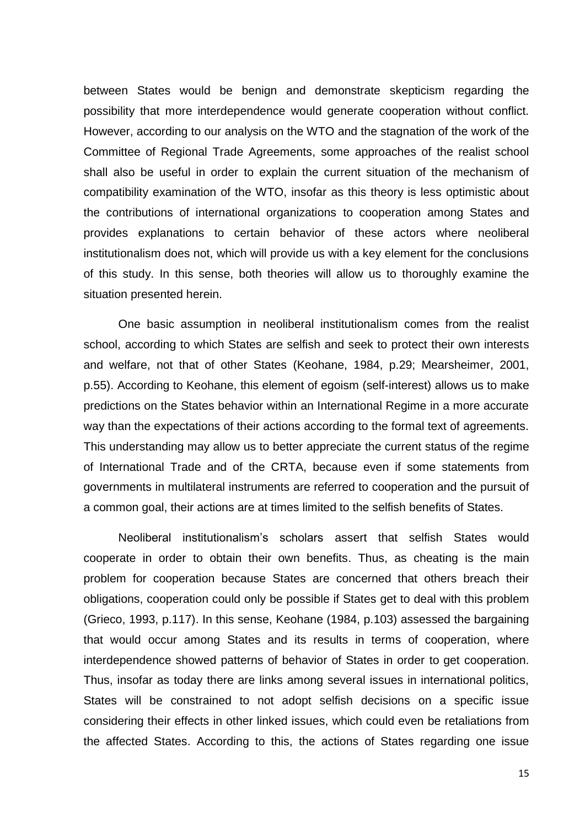between States would be benign and demonstrate skepticism regarding the possibility that more interdependence would generate cooperation without conflict. However, according to our analysis on the WTO and the stagnation of the work of the Committee of Regional Trade Agreements, some approaches of the realist school shall also be useful in order to explain the current situation of the mechanism of compatibility examination of the WTO, insofar as this theory is less optimistic about the contributions of international organizations to cooperation among States and provides explanations to certain behavior of these actors where neoliberal institutionalism does not, which will provide us with a key element for the conclusions of this study. In this sense, both theories will allow us to thoroughly examine the situation presented herein.

One basic assumption in neoliberal institutionalism comes from the realist school, according to which States are selfish and seek to protect their own interests and welfare, not that of other States (Keohane, 1984, p.29; Mearsheimer, 2001, p.55). According to Keohane, this element of egoism (self-interest) allows us to make predictions on the States behavior within an International Regime in a more accurate way than the expectations of their actions according to the formal text of agreements. This understanding may allow us to better appreciate the current status of the regime of International Trade and of the CRTA, because even if some statements from governments in multilateral instruments are referred to cooperation and the pursuit of a common goal, their actions are at times limited to the selfish benefits of States.

Neoliberal institutionalism's scholars assert that selfish States would cooperate in order to obtain their own benefits. Thus, as cheating is the main problem for cooperation because States are concerned that others breach their obligations, cooperation could only be possible if States get to deal with this problem (Grieco, 1993, p.117). In this sense, Keohane (1984, p.103) assessed the bargaining that would occur among States and its results in terms of cooperation, where interdependence showed patterns of behavior of States in order to get cooperation. Thus, insofar as today there are links among several issues in international politics, States will be constrained to not adopt selfish decisions on a specific issue considering their effects in other linked issues, which could even be retaliations from the affected States. According to this, the actions of States regarding one issue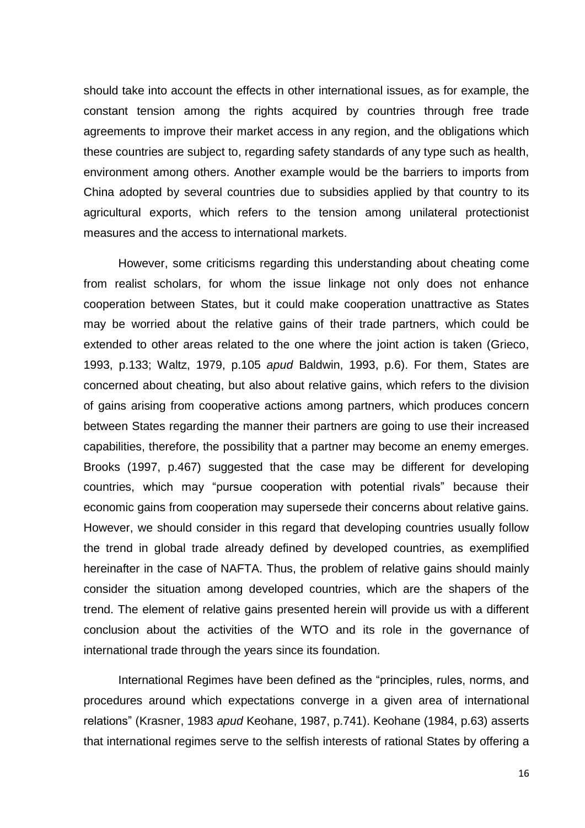should take into account the effects in other international issues, as for example, the constant tension among the rights acquired by countries through free trade agreements to improve their market access in any region, and the obligations which these countries are subject to, regarding safety standards of any type such as health, environment among others. Another example would be the barriers to imports from China adopted by several countries due to subsidies applied by that country to its agricultural exports, which refers to the tension among unilateral protectionist measures and the access to international markets.

However, some criticisms regarding this understanding about cheating come from realist scholars, for whom the issue linkage not only does not enhance cooperation between States, but it could make cooperation unattractive as States may be worried about the relative gains of their trade partners, which could be extended to other areas related to the one where the joint action is taken (Grieco, 1993, p.133; Waltz, 1979, p.105 *apud* Baldwin, 1993, p.6). For them, States are concerned about cheating, but also about relative gains, which refers to the division of gains arising from cooperative actions among partners, which produces concern between States regarding the manner their partners are going to use their increased capabilities, therefore, the possibility that a partner may become an enemy emerges. Brooks (1997, p.467) suggested that the case may be different for developing countries, which may "pursue cooperation with potential rivals" because their economic gains from cooperation may supersede their concerns about relative gains. However, we should consider in this regard that developing countries usually follow the trend in global trade already defined by developed countries, as exemplified hereinafter in the case of NAFTA. Thus, the problem of relative gains should mainly consider the situation among developed countries, which are the shapers of the trend. The element of relative gains presented herein will provide us with a different conclusion about the activities of the WTO and its role in the governance of international trade through the years since its foundation.

International Regimes have been defined as the "principles, rules, norms, and procedures around which expectations converge in a given area of international relations" (Krasner, 1983 *apud* Keohane, 1987, p.741). Keohane (1984, p.63) asserts that international regimes serve to the selfish interests of rational States by offering a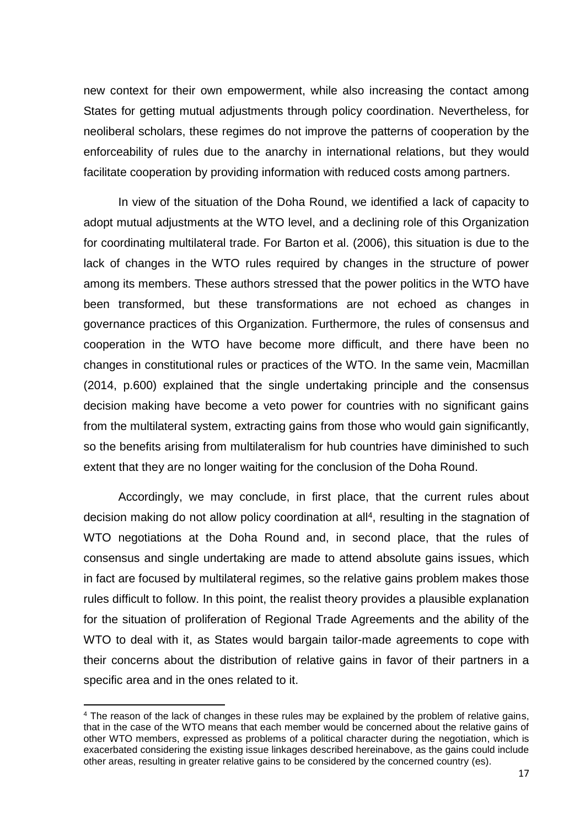new context for their own empowerment, while also increasing the contact among States for getting mutual adjustments through policy coordination. Nevertheless, for neoliberal scholars, these regimes do not improve the patterns of cooperation by the enforceability of rules due to the anarchy in international relations, but they would facilitate cooperation by providing information with reduced costs among partners.

In view of the situation of the Doha Round, we identified a lack of capacity to adopt mutual adjustments at the WTO level, and a declining role of this Organization for coordinating multilateral trade. For Barton et al. (2006), this situation is due to the lack of changes in the WTO rules required by changes in the structure of power among its members. These authors stressed that the power politics in the WTO have been transformed, but these transformations are not echoed as changes in governance practices of this Organization. Furthermore, the rules of consensus and cooperation in the WTO have become more difficult, and there have been no changes in constitutional rules or practices of the WTO. In the same vein, Macmillan (2014, p.600) explained that the single undertaking principle and the consensus decision making have become a veto power for countries with no significant gains from the multilateral system, extracting gains from those who would gain significantly, so the benefits arising from multilateralism for hub countries have diminished to such extent that they are no longer waiting for the conclusion of the Doha Round.

Accordingly, we may conclude, in first place, that the current rules about decision making do not allow policy coordination at all<sup>4</sup>, resulting in the stagnation of WTO negotiations at the Doha Round and, in second place, that the rules of consensus and single undertaking are made to attend absolute gains issues, which in fact are focused by multilateral regimes, so the relative gains problem makes those rules difficult to follow. In this point, the realist theory provides a plausible explanation for the situation of proliferation of Regional Trade Agreements and the ability of the WTO to deal with it, as States would bargain tailor-made agreements to cope with their concerns about the distribution of relative gains in favor of their partners in a specific area and in the ones related to it.

<sup>4</sup> The reason of the lack of changes in these rules may be explained by the problem of relative gains, that in the case of the WTO means that each member would be concerned about the relative gains of other WTO members, expressed as problems of a political character during the negotiation, which is exacerbated considering the existing issue linkages described hereinabove, as the gains could include other areas, resulting in greater relative gains to be considered by the concerned country (es).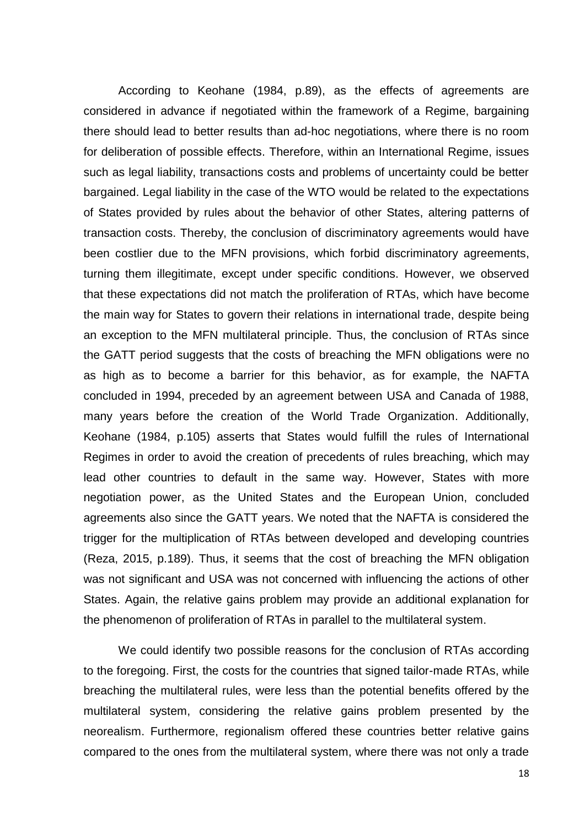According to Keohane (1984, p.89), as the effects of agreements are considered in advance if negotiated within the framework of a Regime, bargaining there should lead to better results than ad-hoc negotiations, where there is no room for deliberation of possible effects. Therefore, within an International Regime, issues such as legal liability, transactions costs and problems of uncertainty could be better bargained. Legal liability in the case of the WTO would be related to the expectations of States provided by rules about the behavior of other States, altering patterns of transaction costs. Thereby, the conclusion of discriminatory agreements would have been costlier due to the MFN provisions, which forbid discriminatory agreements, turning them illegitimate, except under specific conditions. However, we observed that these expectations did not match the proliferation of RTAs, which have become the main way for States to govern their relations in international trade, despite being an exception to the MFN multilateral principle. Thus, the conclusion of RTAs since the GATT period suggests that the costs of breaching the MFN obligations were no as high as to become a barrier for this behavior, as for example, the NAFTA concluded in 1994, preceded by an agreement between USA and Canada of 1988, many years before the creation of the World Trade Organization. Additionally, Keohane (1984, p.105) asserts that States would fulfill the rules of International Regimes in order to avoid the creation of precedents of rules breaching, which may lead other countries to default in the same way. However, States with more negotiation power, as the United States and the European Union, concluded agreements also since the GATT years. We noted that the NAFTA is considered the trigger for the multiplication of RTAs between developed and developing countries (Reza, 2015, p.189). Thus, it seems that the cost of breaching the MFN obligation was not significant and USA was not concerned with influencing the actions of other States. Again, the relative gains problem may provide an additional explanation for the phenomenon of proliferation of RTAs in parallel to the multilateral system.

We could identify two possible reasons for the conclusion of RTAs according to the foregoing. First, the costs for the countries that signed tailor-made RTAs, while breaching the multilateral rules, were less than the potential benefits offered by the multilateral system, considering the relative gains problem presented by the neorealism. Furthermore, regionalism offered these countries better relative gains compared to the ones from the multilateral system, where there was not only a trade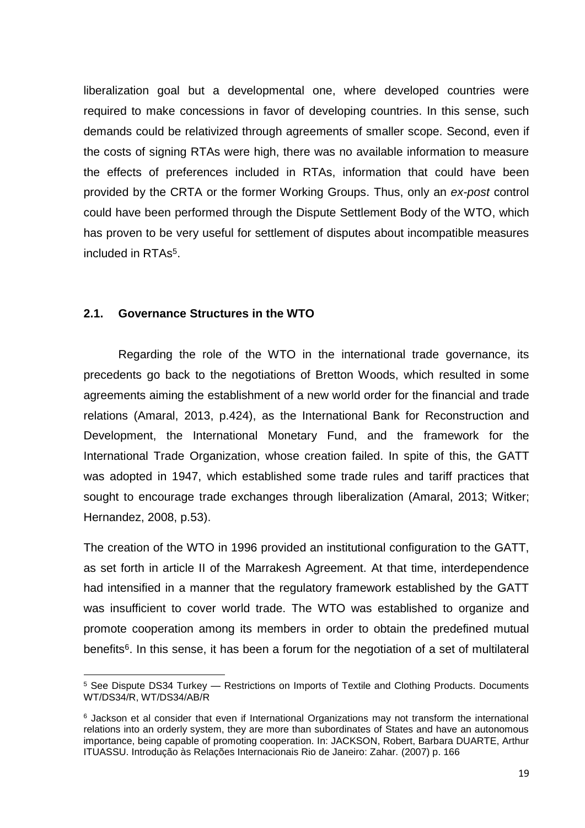liberalization goal but a developmental one, where developed countries were required to make concessions in favor of developing countries. In this sense, such demands could be relativized through agreements of smaller scope. Second, even if the costs of signing RTAs were high, there was no available information to measure the effects of preferences included in RTAs, information that could have been provided by the CRTA or the former Working Groups. Thus, only an *ex-post* control could have been performed through the Dispute Settlement Body of the WTO, which has proven to be very useful for settlement of disputes about incompatible measures included in RTAs<sup>5</sup> .

# <span id="page-20-0"></span>**2.1. Governance Structures in the WTO**

**.** 

Regarding the role of the WTO in the international trade governance, its precedents go back to the negotiations of Bretton Woods, which resulted in some agreements aiming the establishment of a new world order for the financial and trade relations (Amaral, 2013, p.424), as the International Bank for Reconstruction and Development, the International Monetary Fund, and the framework for the International Trade Organization, whose creation failed. In spite of this, the GATT was adopted in 1947, which established some trade rules and tariff practices that sought to encourage trade exchanges through liberalization (Amaral, 2013; Witker; Hernandez, 2008, p.53).

The creation of the WTO in 1996 provided an institutional configuration to the GATT, as set forth in article II of the Marrakesh Agreement. At that time, interdependence had intensified in a manner that the regulatory framework established by the GATT was insufficient to cover world trade. The WTO was established to organize and promote cooperation among its members in order to obtain the predefined mutual benefits<sup>6</sup>. In this sense, it has been a forum for the negotiation of a set of multilateral

<sup>5</sup> See Dispute DS34 Turkey — Restrictions on Imports of Textile and Clothing Products. Documents WT/DS34/R, WT/DS34/AB/R

<sup>&</sup>lt;sup>6</sup> Jackson et al consider that even if International Organizations may not transform the international relations into an orderly system, they are more than subordinates of States and have an autonomous importance, being capable of promoting cooperation. In: JACKSON, Robert, Barbara DUARTE, Arthur ITUASSU. Introdução às Relações Internacionais Rio de Janeiro: Zahar. (2007) p. 166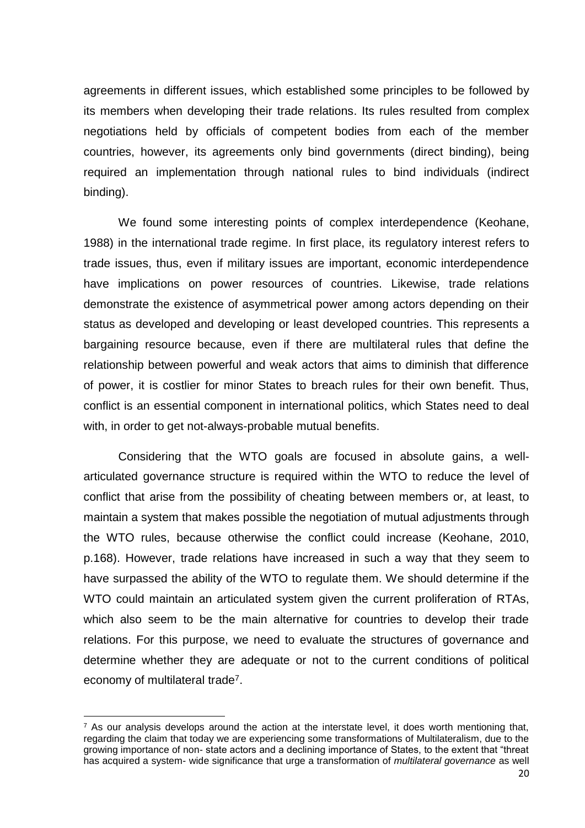agreements in different issues, which established some principles to be followed by its members when developing their trade relations. Its rules resulted from complex negotiations held by officials of competent bodies from each of the member countries, however, its agreements only bind governments (direct binding), being required an implementation through national rules to bind individuals (indirect binding).

We found some interesting points of complex interdependence (Keohane, 1988) in the international trade regime. In first place, its regulatory interest refers to trade issues, thus, even if military issues are important, economic interdependence have implications on power resources of countries. Likewise, trade relations demonstrate the existence of asymmetrical power among actors depending on their status as developed and developing or least developed countries. This represents a bargaining resource because, even if there are multilateral rules that define the relationship between powerful and weak actors that aims to diminish that difference of power, it is costlier for minor States to breach rules for their own benefit. Thus, conflict is an essential component in international politics, which States need to deal with, in order to get not-always-probable mutual benefits.

Considering that the WTO goals are focused in absolute gains, a wellarticulated governance structure is required within the WTO to reduce the level of conflict that arise from the possibility of cheating between members or, at least, to maintain a system that makes possible the negotiation of mutual adjustments through the WTO rules, because otherwise the conflict could increase (Keohane, 2010, p.168). However, trade relations have increased in such a way that they seem to have surpassed the ability of the WTO to regulate them. We should determine if the WTO could maintain an articulated system given the current proliferation of RTAs, which also seem to be the main alternative for countries to develop their trade relations. For this purpose, we need to evaluate the structures of governance and determine whether they are adequate or not to the current conditions of political economy of multilateral trade<sup>7</sup>.

1

 $<sup>7</sup>$  As our analysis develops around the action at the interstate level, it does worth mentioning that,</sup> regarding the claim that today we are experiencing some transformations of Multilateralism, due to the growing importance of non- state actors and a declining importance of States, to the extent that "threat has acquired a system- wide significance that urge a transformation of *multilateral governance* as well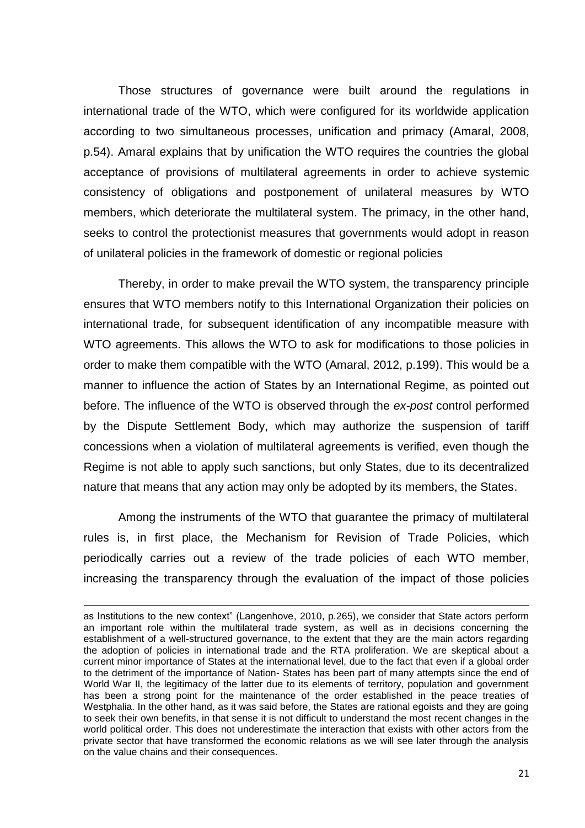Those structures of governance were built around the regulations in international trade of the WTO, which were configured for its worldwide application according to two simultaneous processes, unification and primacy (Amaral, 2008, p.54). Amaral explains that by unification the WTO requires the countries the global acceptance of provisions of multilateral agreements in order to achieve systemic consistency of obligations and postponement of unilateral measures by WTO members, which deteriorate the multilateral system. The primacy, in the other hand, seeks to control the protectionist measures that governments would adopt in reason of unilateral policies in the framework of domestic or regional policies

Thereby, in order to make prevail the WTO system, the transparency principle ensures that WTO members notify to this International Organization their policies on international trade, for subsequent identification of any incompatible measure with WTO agreements. This allows the WTO to ask for modifications to those policies in order to make them compatible with the WTO (Amaral, 2012, p.199). This would be a manner to influence the action of States by an International Regime, as pointed out before. The influence of the WTO is observed through the *ex-post* control performed by the Dispute Settlement Body, which may authorize the suspension of tariff concessions when a violation of multilateral agreements is verified, even though the Regime is not able to apply such sanctions, but only States, due to its decentralized nature that means that any action may only be adopted by its members, the States.

Among the instruments of the WTO that guarantee the primacy of multilateral rules is, in first place, the Mechanism for Revision of Trade Policies, which periodically carries out a review of the trade policies of each WTO member, increasing the transparency through the evaluation of the impact of those policies

as Institutions to the new context" (Langenhove, 2010, p.265), we consider that State actors perform an important role within the multilateral trade system, as well as in decisions concerning the establishment of a well-structured governance, to the extent that they are the main actors regarding the adoption of policies in international trade and the RTA proliferation. We are skeptical about a current minor importance of States at the international level, due to the fact that even if a global order to the detriment of the importance of Nation- States has been part of many attempts since the end of World War II, the legitimacy of the latter due to its elements of territory, population and government has been a strong point for the maintenance of the order established in the peace treaties of Westphalia. In the other hand, as it was said before, the States are rational egoists and they are going to seek their own benefits, in that sense it is not difficult to understand the most recent changes in the world political order. This does not underestimate the interaction that exists with other actors from the private sector that have transformed the economic relations as we will see later through the analysis on the value chains and their consequences.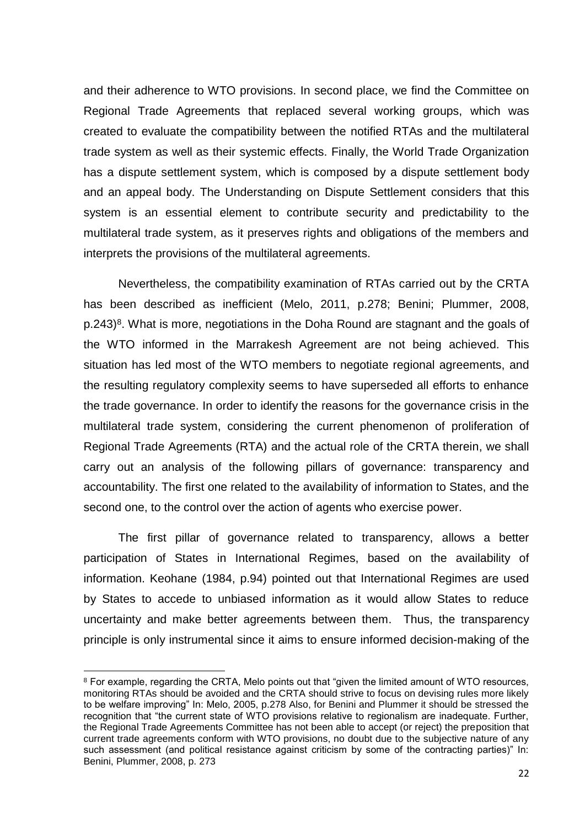and their adherence to WTO provisions. In second place, we find the Committee on Regional Trade Agreements that replaced several working groups, which was created to evaluate the compatibility between the notified RTAs and the multilateral trade system as well as their systemic effects. Finally, the World Trade Organization has a dispute settlement system, which is composed by a dispute settlement body and an appeal body. The Understanding on Dispute Settlement considers that this system is an essential element to contribute security and predictability to the multilateral trade system, as it preserves rights and obligations of the members and interprets the provisions of the multilateral agreements.

Nevertheless, the compatibility examination of RTAs carried out by the CRTA has been described as inefficient (Melo, 2011, p.278; Benini; Plummer, 2008, p.243)<sup>8</sup>. What is more, negotiations in the Doha Round are stagnant and the goals of the WTO informed in the Marrakesh Agreement are not being achieved. This situation has led most of the WTO members to negotiate regional agreements, and the resulting regulatory complexity seems to have superseded all efforts to enhance the trade governance. In order to identify the reasons for the governance crisis in the multilateral trade system, considering the current phenomenon of proliferation of Regional Trade Agreements (RTA) and the actual role of the CRTA therein, we shall carry out an analysis of the following pillars of governance: transparency and accountability. The first one related to the availability of information to States, and the second one, to the control over the action of agents who exercise power.

The first pillar of governance related to transparency, allows a better participation of States in International Regimes, based on the availability of information. Keohane (1984, p.94) pointed out that International Regimes are used by States to accede to unbiased information as it would allow States to reduce uncertainty and make better agreements between them. Thus, the transparency principle is only instrumental since it aims to ensure informed decision-making of the

<sup>8</sup> For example, regarding the CRTA, Melo points out that "given the limited amount of WTO resources, monitoring RTAs should be avoided and the CRTA should strive to focus on devising rules more likely to be welfare improving" In: Melo, 2005, p.278 Also, for Benini and Plummer it should be stressed the recognition that "the current state of WTO provisions relative to regionalism are inadequate. Further, the Regional Trade Agreements Committee has not been able to accept (or reject) the preposition that current trade agreements conform with WTO provisions, no doubt due to the subjective nature of any such assessment (and political resistance against criticism by some of the contracting parties)" In: Benini, Plummer, 2008, p. 273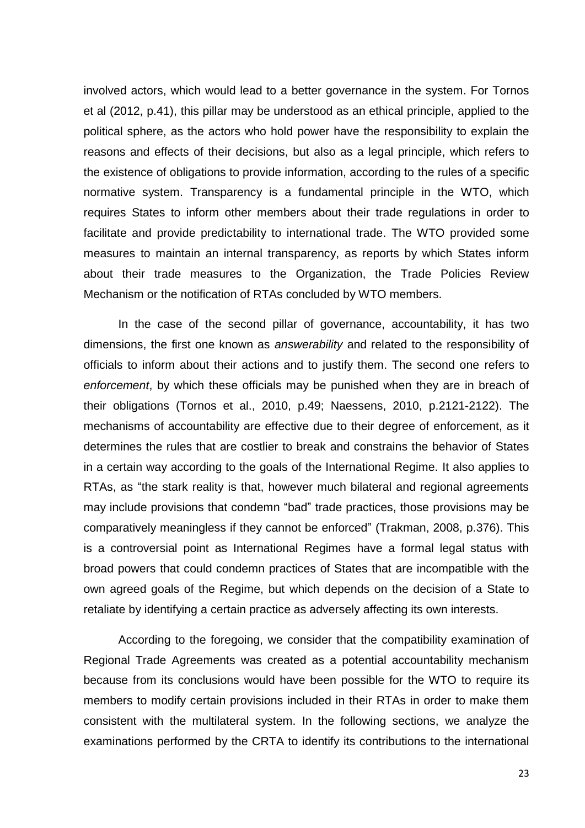involved actors, which would lead to a better governance in the system. For Tornos et al (2012, p.41), this pillar may be understood as an ethical principle, applied to the political sphere, as the actors who hold power have the responsibility to explain the reasons and effects of their decisions, but also as a legal principle, which refers to the existence of obligations to provide information, according to the rules of a specific normative system. Transparency is a fundamental principle in the WTO, which requires States to inform other members about their trade regulations in order to facilitate and provide predictability to international trade. The WTO provided some measures to maintain an internal transparency, as reports by which States inform about their trade measures to the Organization, the Trade Policies Review Mechanism or the notification of RTAs concluded by WTO members.

In the case of the second pillar of governance, accountability, it has two dimensions, the first one known as *answerability* and related to the responsibility of officials to inform about their actions and to justify them. The second one refers to *enforcement*, by which these officials may be punished when they are in breach of their obligations (Tornos et al., 2010, p.49; Naessens, 2010, p.2121-2122). The mechanisms of accountability are effective due to their degree of enforcement, as it determines the rules that are costlier to break and constrains the behavior of States in a certain way according to the goals of the International Regime. It also applies to RTAs, as "the stark reality is that, however much bilateral and regional agreements may include provisions that condemn "bad" trade practices, those provisions may be comparatively meaningless if they cannot be enforced" (Trakman, 2008, p.376). This is a controversial point as International Regimes have a formal legal status with broad powers that could condemn practices of States that are incompatible with the own agreed goals of the Regime, but which depends on the decision of a State to retaliate by identifying a certain practice as adversely affecting its own interests.

According to the foregoing, we consider that the compatibility examination of Regional Trade Agreements was created as a potential accountability mechanism because from its conclusions would have been possible for the WTO to require its members to modify certain provisions included in their RTAs in order to make them consistent with the multilateral system. In the following sections, we analyze the examinations performed by the CRTA to identify its contributions to the international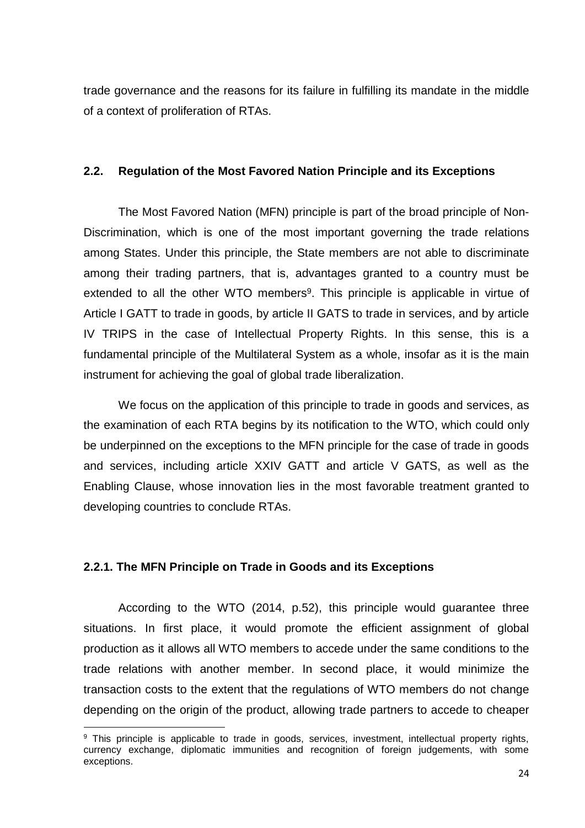trade governance and the reasons for its failure in fulfilling its mandate in the middle of a context of proliferation of RTAs.

# <span id="page-25-0"></span>**2.2. Regulation of the Most Favored Nation Principle and its Exceptions**

The Most Favored Nation (MFN) principle is part of the broad principle of Non-Discrimination, which is one of the most important governing the trade relations among States. Under this principle, the State members are not able to discriminate among their trading partners, that is, advantages granted to a country must be extended to all the other WTO members<sup>9</sup>. This principle is applicable in virtue of Article I GATT to trade in goods, by article II GATS to trade in services, and by article IV TRIPS in the case of Intellectual Property Rights. In this sense, this is a fundamental principle of the Multilateral System as a whole, insofar as it is the main instrument for achieving the goal of global trade liberalization.

We focus on the application of this principle to trade in goods and services, as the examination of each RTA begins by its notification to the WTO, which could only be underpinned on the exceptions to the MFN principle for the case of trade in goods and services, including article XXIV GATT and article V GATS, as well as the Enabling Clause, whose innovation lies in the most favorable treatment granted to developing countries to conclude RTAs.

#### <span id="page-25-1"></span>**2.2.1. The MFN Principle on Trade in Goods and its Exceptions**

**.** 

According to the WTO (2014, p.52), this principle would guarantee three situations. In first place, it would promote the efficient assignment of global production as it allows all WTO members to accede under the same conditions to the trade relations with another member. In second place, it would minimize the transaction costs to the extent that the regulations of WTO members do not change depending on the origin of the product, allowing trade partners to accede to cheaper

<sup>&</sup>lt;sup>9</sup> This principle is applicable to trade in goods, services, investment, intellectual property rights, currency exchange, diplomatic immunities and recognition of foreign judgements, with some exceptions.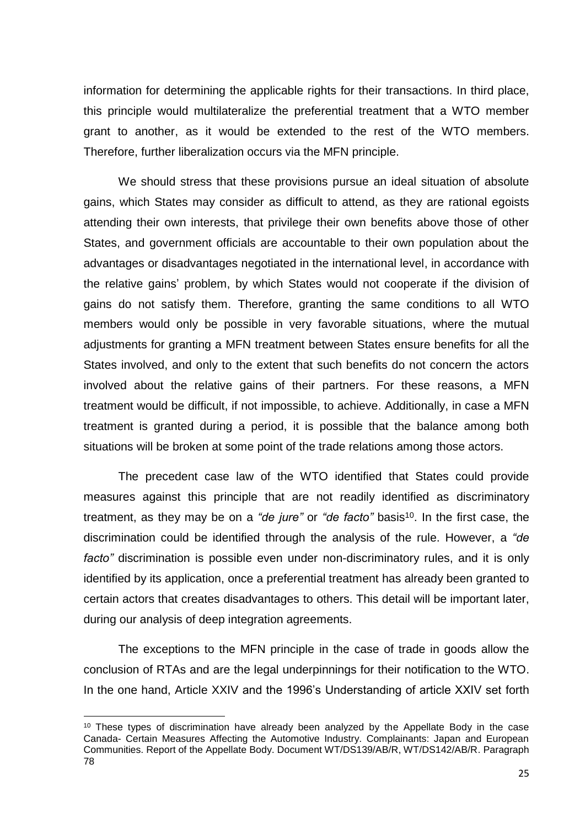information for determining the applicable rights for their transactions. In third place, this principle would multilateralize the preferential treatment that a WTO member grant to another, as it would be extended to the rest of the WTO members. Therefore, further liberalization occurs via the MFN principle.

We should stress that these provisions pursue an ideal situation of absolute gains, which States may consider as difficult to attend, as they are rational egoists attending their own interests, that privilege their own benefits above those of other States, and government officials are accountable to their own population about the advantages or disadvantages negotiated in the international level, in accordance with the relative gains' problem, by which States would not cooperate if the division of gains do not satisfy them. Therefore, granting the same conditions to all WTO members would only be possible in very favorable situations, where the mutual adjustments for granting a MFN treatment between States ensure benefits for all the States involved, and only to the extent that such benefits do not concern the actors involved about the relative gains of their partners. For these reasons, a MFN treatment would be difficult, if not impossible, to achieve. Additionally, in case a MFN treatment is granted during a period, it is possible that the balance among both situations will be broken at some point of the trade relations among those actors.

The precedent case law of the WTO identified that States could provide measures against this principle that are not readily identified as discriminatory treatment, as they may be on a "de jure" or "de facto" basis<sup>10</sup>. In the first case, the discrimination could be identified through the analysis of the rule. However, a *"de facto"* discrimination is possible even under non-discriminatory rules, and it is only identified by its application, once a preferential treatment has already been granted to certain actors that creates disadvantages to others. This detail will be important later, during our analysis of deep integration agreements.

The exceptions to the MFN principle in the case of trade in goods allow the conclusion of RTAs and are the legal underpinnings for their notification to the WTO. In the one hand, Article XXIV and the 1996's Understanding of article XXIV set forth

1

 $10$  These types of discrimination have already been analyzed by the Appellate Body in the case Canada- Certain Measures Affecting the Automotive Industry. Complainants: Japan and European Communities. Report of the Appellate Body. Document WT/DS139/AB/R, WT/DS142/AB/R. Paragraph 78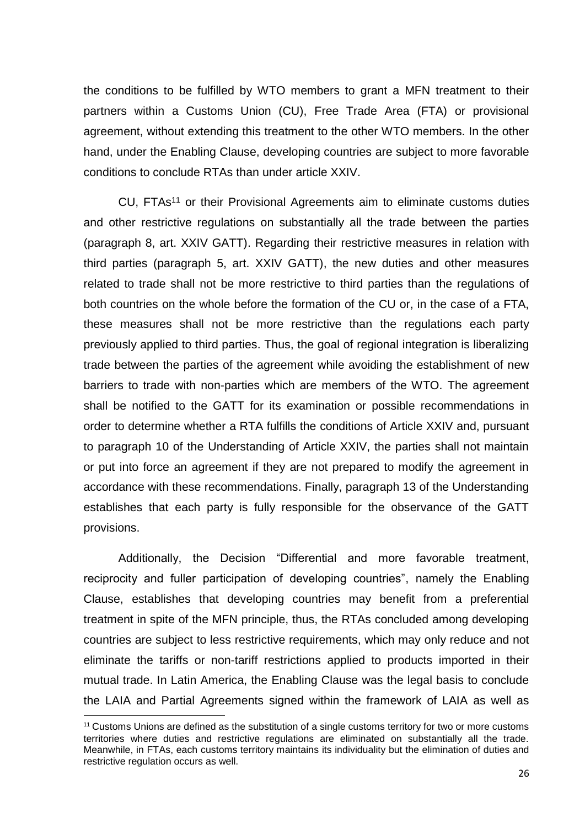the conditions to be fulfilled by WTO members to grant a MFN treatment to their partners within a Customs Union (CU), Free Trade Area (FTA) or provisional agreement, without extending this treatment to the other WTO members. In the other hand, under the Enabling Clause, developing countries are subject to more favorable conditions to conclude RTAs than under article XXIV.

CU, FTAs<sup>11</sup> or their Provisional Agreements aim to eliminate customs duties and other restrictive regulations on substantially all the trade between the parties (paragraph 8, art. XXIV GATT). Regarding their restrictive measures in relation with third parties (paragraph 5, art. XXIV GATT), the new duties and other measures related to trade shall not be more restrictive to third parties than the regulations of both countries on the whole before the formation of the CU or, in the case of a FTA, these measures shall not be more restrictive than the regulations each party previously applied to third parties. Thus, the goal of regional integration is liberalizing trade between the parties of the agreement while avoiding the establishment of new barriers to trade with non-parties which are members of the WTO. The agreement shall be notified to the GATT for its examination or possible recommendations in order to determine whether a RTA fulfills the conditions of Article XXIV and, pursuant to paragraph 10 of the Understanding of Article XXIV, the parties shall not maintain or put into force an agreement if they are not prepared to modify the agreement in accordance with these recommendations. Finally, paragraph 13 of the Understanding establishes that each party is fully responsible for the observance of the GATT provisions.

Additionally, the Decision "Differential and more favorable treatment, reciprocity and fuller participation of developing countries", namely the Enabling Clause, establishes that developing countries may benefit from a preferential treatment in spite of the MFN principle, thus, the RTAs concluded among developing countries are subject to less restrictive requirements, which may only reduce and not eliminate the tariffs or non-tariff restrictions applied to products imported in their mutual trade. In Latin America, the Enabling Clause was the legal basis to conclude the LAIA and Partial Agreements signed within the framework of LAIA as well as

 $11$  Customs Unions are defined as the substitution of a single customs territory for two or more customs territories where duties and restrictive regulations are eliminated on substantially all the trade. Meanwhile, in FTAs, each customs territory maintains its individuality but the elimination of duties and restrictive regulation occurs as well.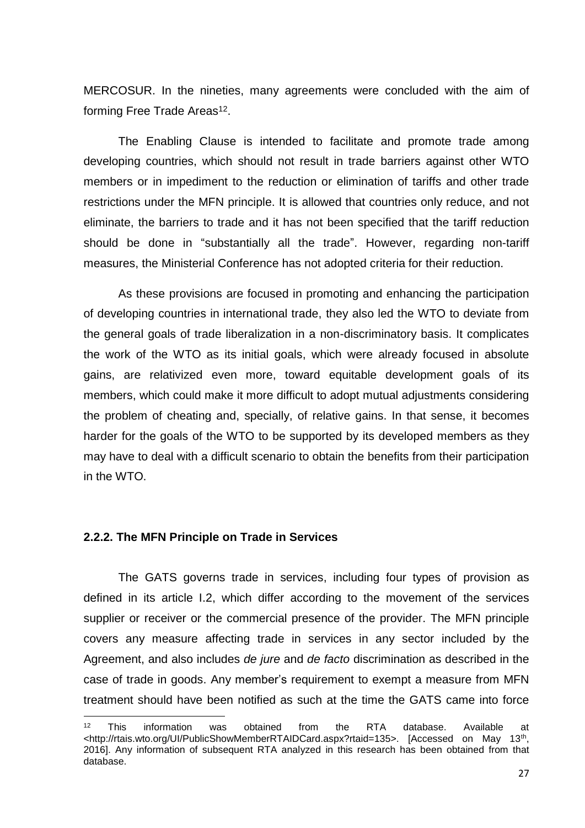MERCOSUR. In the nineties, many agreements were concluded with the aim of forming Free Trade Areas<sup>12</sup>.

The Enabling Clause is intended to facilitate and promote trade among developing countries, which should not result in trade barriers against other WTO members or in impediment to the reduction or elimination of tariffs and other trade restrictions under the MFN principle. It is allowed that countries only reduce, and not eliminate, the barriers to trade and it has not been specified that the tariff reduction should be done in "substantially all the trade". However, regarding non-tariff measures, the Ministerial Conference has not adopted criteria for their reduction.

As these provisions are focused in promoting and enhancing the participation of developing countries in international trade, they also led the WTO to deviate from the general goals of trade liberalization in a non-discriminatory basis. It complicates the work of the WTO as its initial goals, which were already focused in absolute gains, are relativized even more, toward equitable development goals of its members, which could make it more difficult to adopt mutual adjustments considering the problem of cheating and, specially, of relative gains. In that sense, it becomes harder for the goals of the WTO to be supported by its developed members as they may have to deal with a difficult scenario to obtain the benefits from their participation in the WTO.

#### <span id="page-28-0"></span>**2.2.2. The MFN Principle on Trade in Services**

1

The GATS governs trade in services, including four types of provision as defined in its article I.2, which differ according to the movement of the services supplier or receiver or the commercial presence of the provider. The MFN principle covers any measure affecting trade in services in any sector included by the Agreement, and also includes *de jure* and *de facto* discrimination as described in the case of trade in goods. Any member's requirement to exempt a measure from MFN treatment should have been notified as such at the time the GATS came into force

 $12$  This information was obtained from the RTA database. Available at <http://rtais.wto.org/UI/PublicShowMemberRTAIDCard.aspx?rtaid=135>. [Accessed on May 13<sup>th</sup>, 2016]. Any information of subsequent RTA analyzed in this research has been obtained from that database.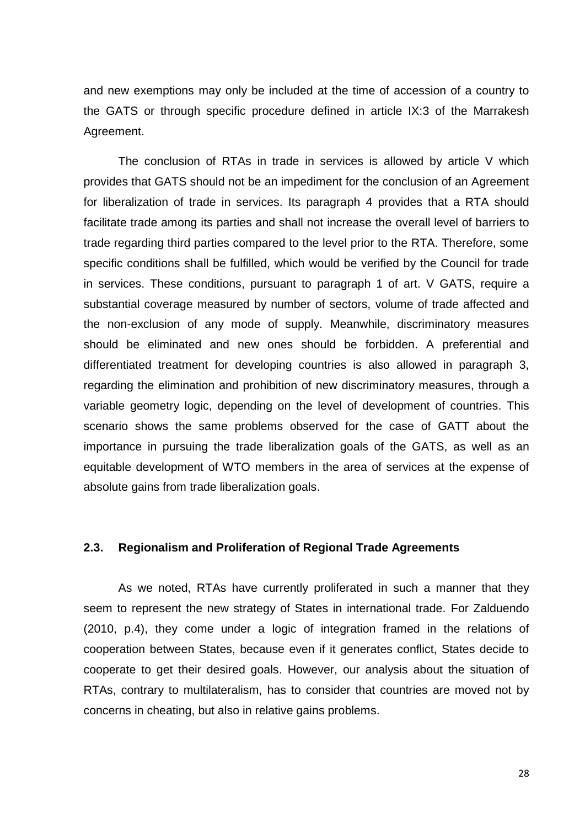and new exemptions may only be included at the time of accession of a country to the GATS or through specific procedure defined in article IX:3 of the Marrakesh Agreement.

The conclusion of RTAs in trade in services is allowed by article V which provides that GATS should not be an impediment for the conclusion of an Agreement for liberalization of trade in services. Its paragraph 4 provides that a RTA should facilitate trade among its parties and shall not increase the overall level of barriers to trade regarding third parties compared to the level prior to the RTA. Therefore, some specific conditions shall be fulfilled, which would be verified by the Council for trade in services. These conditions, pursuant to paragraph 1 of art. V GATS, require a substantial coverage measured by number of sectors, volume of trade affected and the non-exclusion of any mode of supply. Meanwhile, discriminatory measures should be eliminated and new ones should be forbidden. A preferential and differentiated treatment for developing countries is also allowed in paragraph 3, regarding the elimination and prohibition of new discriminatory measures, through a variable geometry logic, depending on the level of development of countries. This scenario shows the same problems observed for the case of GATT about the importance in pursuing the trade liberalization goals of the GATS, as well as an equitable development of WTO members in the area of services at the expense of absolute gains from trade liberalization goals.

# <span id="page-29-0"></span>**2.3. Regionalism and Proliferation of Regional Trade Agreements**

As we noted, RTAs have currently proliferated in such a manner that they seem to represent the new strategy of States in international trade. For Zalduendo (2010, p.4), they come under a logic of integration framed in the relations of cooperation between States, because even if it generates conflict, States decide to cooperate to get their desired goals. However, our analysis about the situation of RTAs, contrary to multilateralism, has to consider that countries are moved not by concerns in cheating, but also in relative gains problems.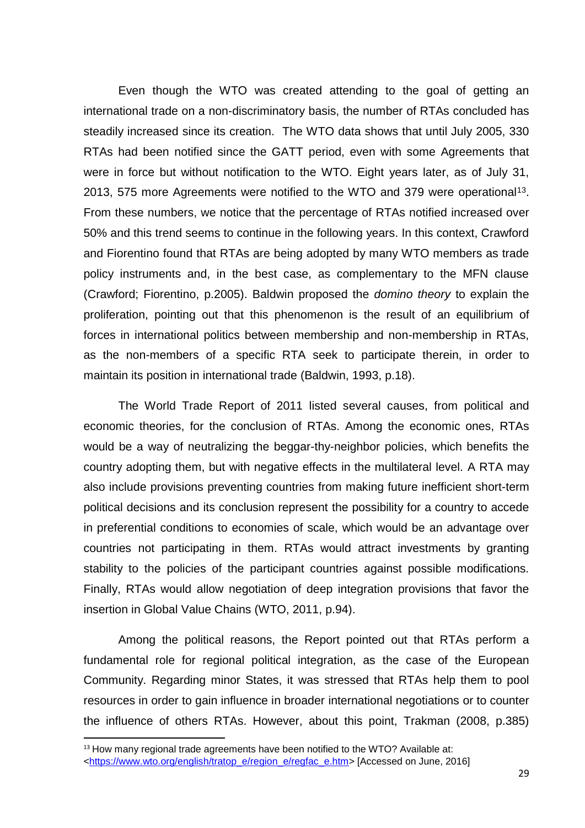Even though the WTO was created attending to the goal of getting an international trade on a non-discriminatory basis, the number of RTAs concluded has steadily increased since its creation. The WTO data shows that until July 2005, 330 RTAs had been notified since the GATT period, even with some Agreements that were in force but without notification to the WTO. Eight years later, as of July 31, 2013, 575 more Agreements were notified to the WTO and 379 were operational<sup>13</sup>. From these numbers, we notice that the percentage of RTAs notified increased over 50% and this trend seems to continue in the following years. In this context, Crawford and Fiorentino found that RTAs are being adopted by many WTO members as trade policy instruments and, in the best case, as complementary to the MFN clause (Crawford; Fiorentino, p.2005). Baldwin proposed the *domino theory* to explain the proliferation, pointing out that this phenomenon is the result of an equilibrium of forces in international politics between membership and non-membership in RTAs, as the non-members of a specific RTA seek to participate therein, in order to maintain its position in international trade (Baldwin, 1993, p.18).

The World Trade Report of 2011 listed several causes, from political and economic theories, for the conclusion of RTAs. Among the economic ones, RTAs would be a way of neutralizing the beggar-thy-neighbor policies, which benefits the country adopting them, but with negative effects in the multilateral level. A RTA may also include provisions preventing countries from making future inefficient short-term political decisions and its conclusion represent the possibility for a country to accede in preferential conditions to economies of scale, which would be an advantage over countries not participating in them. RTAs would attract investments by granting stability to the policies of the participant countries against possible modifications. Finally, RTAs would allow negotiation of deep integration provisions that favor the insertion in Global Value Chains (WTO, 2011, p.94).

Among the political reasons, the Report pointed out that RTAs perform a fundamental role for regional political integration, as the case of the European Community. Regarding minor States, it was stressed that RTAs help them to pool resources in order to gain influence in broader international negotiations or to counter the influence of others RTAs. However, about this point, Trakman (2008, p.385)

 $13$  How many regional trade agreements have been notified to the WTO? Available at: [<https://www.wto.org/english/tratop\\_e/region\\_e/regfac\\_e.htm>](https://www.wto.org/english/tratop_e/region_e/regfac_e.htm) [Accessed on June, 2016]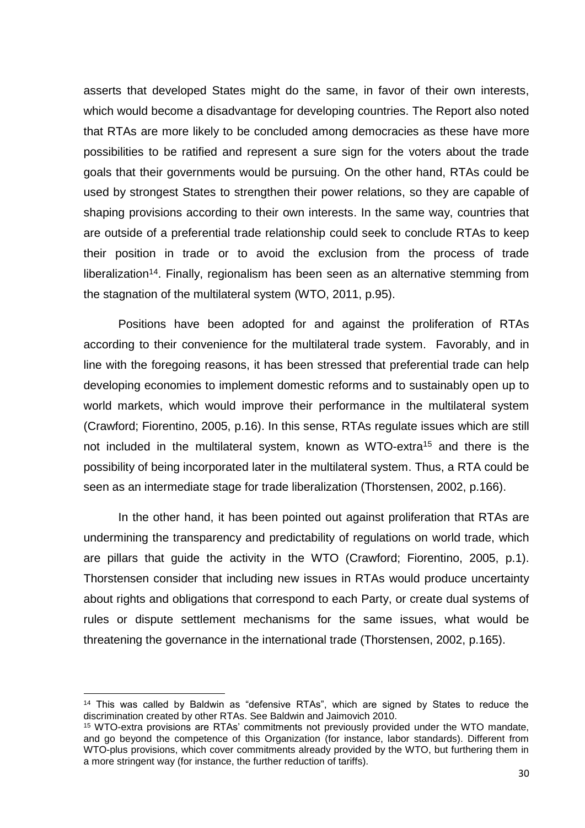asserts that developed States might do the same, in favor of their own interests, which would become a disadvantage for developing countries. The Report also noted that RTAs are more likely to be concluded among democracies as these have more possibilities to be ratified and represent a sure sign for the voters about the trade goals that their governments would be pursuing. On the other hand, RTAs could be used by strongest States to strengthen their power relations, so they are capable of shaping provisions according to their own interests. In the same way, countries that are outside of a preferential trade relationship could seek to conclude RTAs to keep their position in trade or to avoid the exclusion from the process of trade liberalization<sup>14</sup>. Finally, regionalism has been seen as an alternative stemming from the stagnation of the multilateral system (WTO, 2011, p.95).

Positions have been adopted for and against the proliferation of RTAs according to their convenience for the multilateral trade system. Favorably, and in line with the foregoing reasons, it has been stressed that preferential trade can help developing economies to implement domestic reforms and to sustainably open up to world markets, which would improve their performance in the multilateral system (Crawford; Fiorentino, 2005, p.16). In this sense, RTAs regulate issues which are still not included in the multilateral system, known as WTO-extra<sup>15</sup> and there is the possibility of being incorporated later in the multilateral system. Thus, a RTA could be seen as an intermediate stage for trade liberalization (Thorstensen, 2002, p.166).

In the other hand, it has been pointed out against proliferation that RTAs are undermining the transparency and predictability of regulations on world trade, which are pillars that guide the activity in the WTO (Crawford; Fiorentino, 2005, p.1). Thorstensen consider that including new issues in RTAs would produce uncertainty about rights and obligations that correspond to each Party, or create dual systems of rules or dispute settlement mechanisms for the same issues, what would be threatening the governance in the international trade (Thorstensen, 2002, p.165).

1

<sup>&</sup>lt;sup>14</sup> This was called by Baldwin as "defensive RTAs", which are signed by States to reduce the discrimination created by other RTAs. See Baldwin and Jaimovich 2010.

<sup>&</sup>lt;sup>15</sup> WTO-extra provisions are RTAs' commitments not previously provided under the WTO mandate, and go beyond the competence of this Organization (for instance, labor standards). Different from WTO-plus provisions, which cover commitments already provided by the WTO, but furthering them in a more stringent way (for instance, the further reduction of tariffs).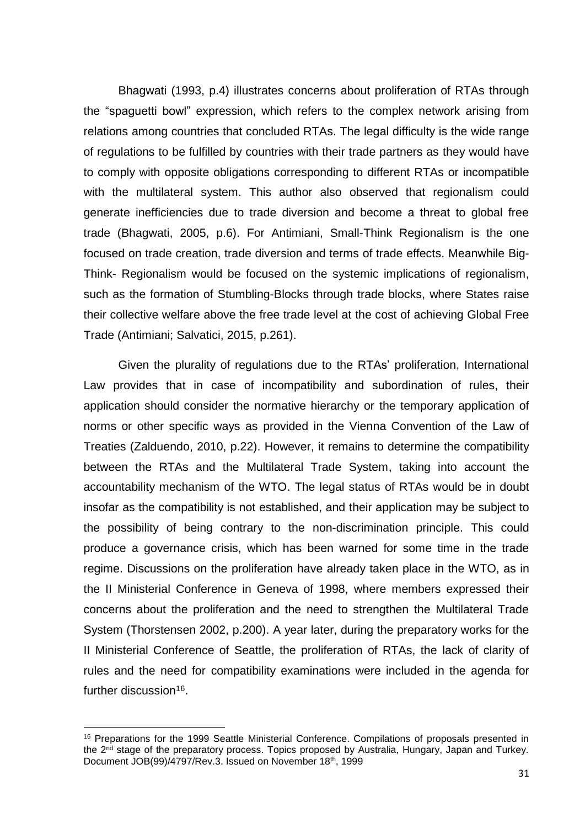Bhagwati (1993, p.4) illustrates concerns about proliferation of RTAs through the "spaguetti bowl" expression, which refers to the complex network arising from relations among countries that concluded RTAs. The legal difficulty is the wide range of regulations to be fulfilled by countries with their trade partners as they would have to comply with opposite obligations corresponding to different RTAs or incompatible with the multilateral system. This author also observed that regionalism could generate inefficiencies due to trade diversion and become a threat to global free trade (Bhagwati, 2005, p.6). For Antimiani, Small-Think Regionalism is the one focused on trade creation, trade diversion and terms of trade effects. Meanwhile Big-Think- Regionalism would be focused on the systemic implications of regionalism, such as the formation of Stumbling-Blocks through trade blocks, where States raise their collective welfare above the free trade level at the cost of achieving Global Free Trade (Antimiani; Salvatici, 2015, p.261).

Given the plurality of regulations due to the RTAs' proliferation, International Law provides that in case of incompatibility and subordination of rules, their application should consider the normative hierarchy or the temporary application of norms or other specific ways as provided in the Vienna Convention of the Law of Treaties (Zalduendo, 2010, p.22). However, it remains to determine the compatibility between the RTAs and the Multilateral Trade System, taking into account the accountability mechanism of the WTO. The legal status of RTAs would be in doubt insofar as the compatibility is not established, and their application may be subject to the possibility of being contrary to the non-discrimination principle. This could produce a governance crisis, which has been warned for some time in the trade regime. Discussions on the proliferation have already taken place in the WTO, as in the II Ministerial Conference in Geneva of 1998, where members expressed their concerns about the proliferation and the need to strengthen the Multilateral Trade System (Thorstensen 2002, p.200). A year later, during the preparatory works for the II Ministerial Conference of Seattle, the proliferation of RTAs, the lack of clarity of rules and the need for compatibility examinations were included in the agenda for further discussion<sup>16</sup>.

<sup>&</sup>lt;sup>16</sup> Preparations for the 1999 Seattle Ministerial Conference. Compilations of proposals presented in the 2<sup>nd</sup> stage of the preparatory process. Topics proposed by Australia, Hungary, Japan and Turkey. Document JOB(99)/4797/Rev.3. Issued on November 18th, 1999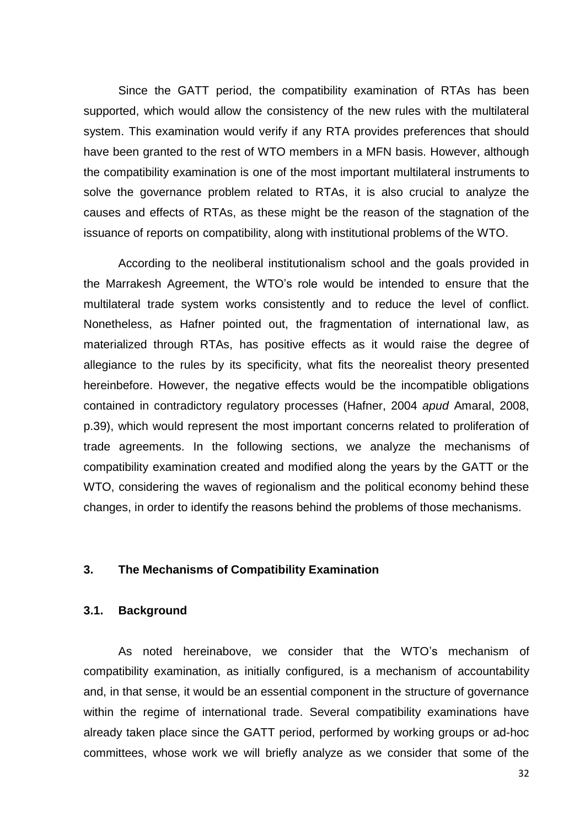Since the GATT period, the compatibility examination of RTAs has been supported, which would allow the consistency of the new rules with the multilateral system. This examination would verify if any RTA provides preferences that should have been granted to the rest of WTO members in a MFN basis. However, although the compatibility examination is one of the most important multilateral instruments to solve the governance problem related to RTAs, it is also crucial to analyze the causes and effects of RTAs, as these might be the reason of the stagnation of the issuance of reports on compatibility, along with institutional problems of the WTO.

According to the neoliberal institutionalism school and the goals provided in the Marrakesh Agreement, the WTO's role would be intended to ensure that the multilateral trade system works consistently and to reduce the level of conflict. Nonetheless, as Hafner pointed out, the fragmentation of international law, as materialized through RTAs, has positive effects as it would raise the degree of allegiance to the rules by its specificity, what fits the neorealist theory presented hereinbefore. However, the negative effects would be the incompatible obligations contained in contradictory regulatory processes (Hafner, 2004 *apud* Amaral, 2008, p.39), which would represent the most important concerns related to proliferation of trade agreements. In the following sections, we analyze the mechanisms of compatibility examination created and modified along the years by the GATT or the WTO, considering the waves of regionalism and the political economy behind these changes, in order to identify the reasons behind the problems of those mechanisms.

# <span id="page-33-0"></span>**3. The Mechanisms of Compatibility Examination**

#### <span id="page-33-1"></span>**3.1. Background**

As noted hereinabove, we consider that the WTO's mechanism of compatibility examination, as initially configured, is a mechanism of accountability and, in that sense, it would be an essential component in the structure of governance within the regime of international trade. Several compatibility examinations have already taken place since the GATT period, performed by working groups or ad-hoc committees, whose work we will briefly analyze as we consider that some of the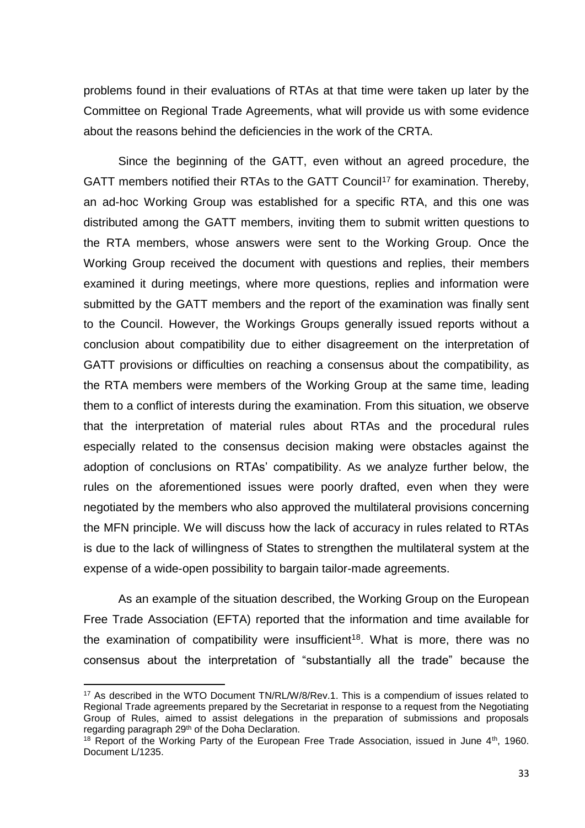problems found in their evaluations of RTAs at that time were taken up later by the Committee on Regional Trade Agreements, what will provide us with some evidence about the reasons behind the deficiencies in the work of the CRTA.

Since the beginning of the GATT, even without an agreed procedure, the GATT members notified their RTAs to the GATT Council<sup>17</sup> for examination. Thereby, an ad-hoc Working Group was established for a specific RTA, and this one was distributed among the GATT members, inviting them to submit written questions to the RTA members, whose answers were sent to the Working Group. Once the Working Group received the document with questions and replies, their members examined it during meetings, where more questions, replies and information were submitted by the GATT members and the report of the examination was finally sent to the Council. However, the Workings Groups generally issued reports without a conclusion about compatibility due to either disagreement on the interpretation of GATT provisions or difficulties on reaching a consensus about the compatibility, as the RTA members were members of the Working Group at the same time, leading them to a conflict of interests during the examination. From this situation, we observe that the interpretation of material rules about RTAs and the procedural rules especially related to the consensus decision making were obstacles against the adoption of conclusions on RTAs' compatibility. As we analyze further below, the rules on the aforementioned issues were poorly drafted, even when they were negotiated by the members who also approved the multilateral provisions concerning the MFN principle. We will discuss how the lack of accuracy in rules related to RTAs is due to the lack of willingness of States to strengthen the multilateral system at the expense of a wide-open possibility to bargain tailor-made agreements.

As an example of the situation described, the Working Group on the European Free Trade Association (EFTA) reported that the information and time available for the examination of compatibility were insufficient<sup>18</sup>. What is more, there was no consensus about the interpretation of "substantially all the trade" because the

<sup>17</sup> As described in the WTO Document TN/RL/W/8/Rev.1. This is a compendium of issues related to Regional Trade agreements prepared by the Secretariat in response to a request from the Negotiating Group of Rules, aimed to assist delegations in the preparation of submissions and proposals regarding paragraph 29<sup>th</sup> of the Doha Declaration.

<sup>&</sup>lt;sup>18</sup> Report of the Working Party of the European Free Trade Association, issued in June  $4<sup>th</sup>$ , 1960. Document L/1235.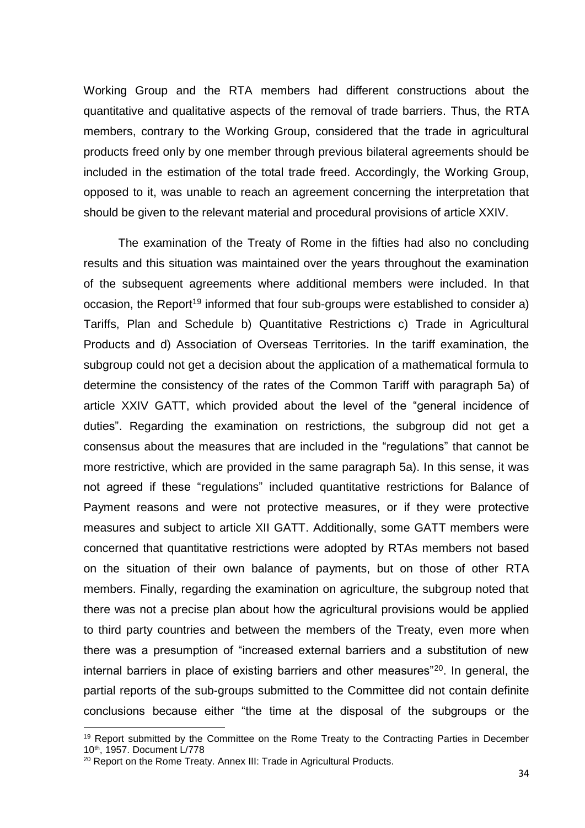Working Group and the RTA members had different constructions about the quantitative and qualitative aspects of the removal of trade barriers. Thus, the RTA members, contrary to the Working Group, considered that the trade in agricultural products freed only by one member through previous bilateral agreements should be included in the estimation of the total trade freed. Accordingly, the Working Group, opposed to it, was unable to reach an agreement concerning the interpretation that should be given to the relevant material and procedural provisions of article XXIV.

The examination of the Treaty of Rome in the fifties had also no concluding results and this situation was maintained over the years throughout the examination of the subsequent agreements where additional members were included. In that occasion, the Report<sup>19</sup> informed that four sub-groups were established to consider a) Tariffs, Plan and Schedule b) Quantitative Restrictions c) Trade in Agricultural Products and d) Association of Overseas Territories. In the tariff examination, the subgroup could not get a decision about the application of a mathematical formula to determine the consistency of the rates of the Common Tariff with paragraph 5a) of article XXIV GATT, which provided about the level of the "general incidence of duties". Regarding the examination on restrictions, the subgroup did not get a consensus about the measures that are included in the "regulations" that cannot be more restrictive, which are provided in the same paragraph 5a). In this sense, it was not agreed if these "regulations" included quantitative restrictions for Balance of Payment reasons and were not protective measures, or if they were protective measures and subject to article XII GATT. Additionally, some GATT members were concerned that quantitative restrictions were adopted by RTAs members not based on the situation of their own balance of payments, but on those of other RTA members. Finally, regarding the examination on agriculture, the subgroup noted that there was not a precise plan about how the agricultural provisions would be applied to third party countries and between the members of the Treaty, even more when there was a presumption of "increased external barriers and a substitution of new internal barriers in place of existing barriers and other measures"<sup>20</sup> . In general, the partial reports of the sub-groups submitted to the Committee did not contain definite conclusions because either "the time at the disposal of the subgroups or the

<sup>&</sup>lt;sup>19</sup> Report submitted by the Committee on the Rome Treaty to the Contracting Parties in December 10th, 1957. Document L/778

<sup>&</sup>lt;sup>20</sup> Report on the Rome Treaty. Annex III: Trade in Agricultural Products.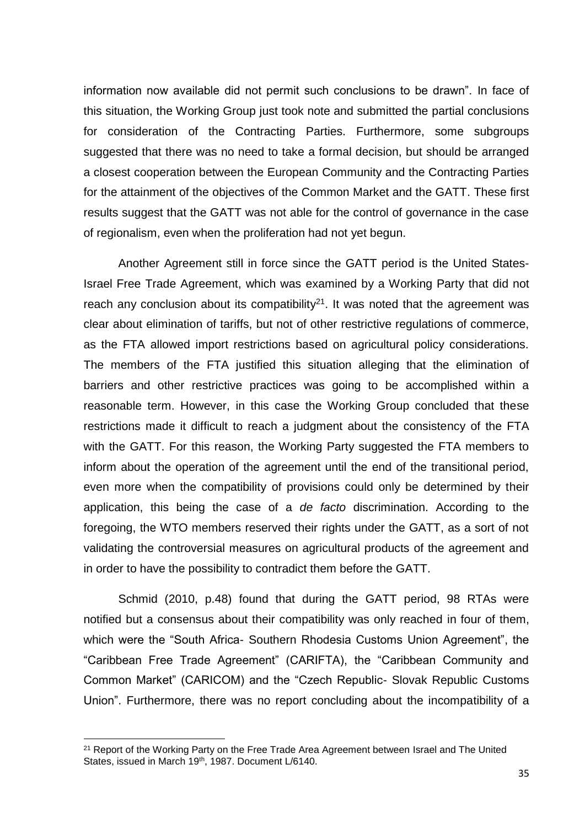information now available did not permit such conclusions to be drawn". In face of this situation, the Working Group just took note and submitted the partial conclusions for consideration of the Contracting Parties. Furthermore, some subgroups suggested that there was no need to take a formal decision, but should be arranged a closest cooperation between the European Community and the Contracting Parties for the attainment of the objectives of the Common Market and the GATT. These first results suggest that the GATT was not able for the control of governance in the case of regionalism, even when the proliferation had not yet begun.

Another Agreement still in force since the GATT period is the United States-Israel Free Trade Agreement, which was examined by a Working Party that did not reach any conclusion about its compatibility<sup>21</sup>. It was noted that the agreement was clear about elimination of tariffs, but not of other restrictive regulations of commerce, as the FTA allowed import restrictions based on agricultural policy considerations. The members of the FTA justified this situation alleging that the elimination of barriers and other restrictive practices was going to be accomplished within a reasonable term. However, in this case the Working Group concluded that these restrictions made it difficult to reach a judgment about the consistency of the FTA with the GATT. For this reason, the Working Party suggested the FTA members to inform about the operation of the agreement until the end of the transitional period, even more when the compatibility of provisions could only be determined by their application, this being the case of a *de facto* discrimination. According to the foregoing, the WTO members reserved their rights under the GATT, as a sort of not validating the controversial measures on agricultural products of the agreement and in order to have the possibility to contradict them before the GATT.

Schmid (2010, p.48) found that during the GATT period, 98 RTAs were notified but a consensus about their compatibility was only reached in four of them, which were the "South Africa- Southern Rhodesia Customs Union Agreement", the "Caribbean Free Trade Agreement" (CARIFTA), the "Caribbean Community and Common Market" (CARICOM) and the "Czech Republic- Slovak Republic Customs Union". Furthermore, there was no report concluding about the incompatibility of a

<sup>&</sup>lt;sup>21</sup> Report of the Working Party on the Free Trade Area Agreement between Israel and The United States, issued in March 19<sup>th</sup>, 1987. Document L/6140.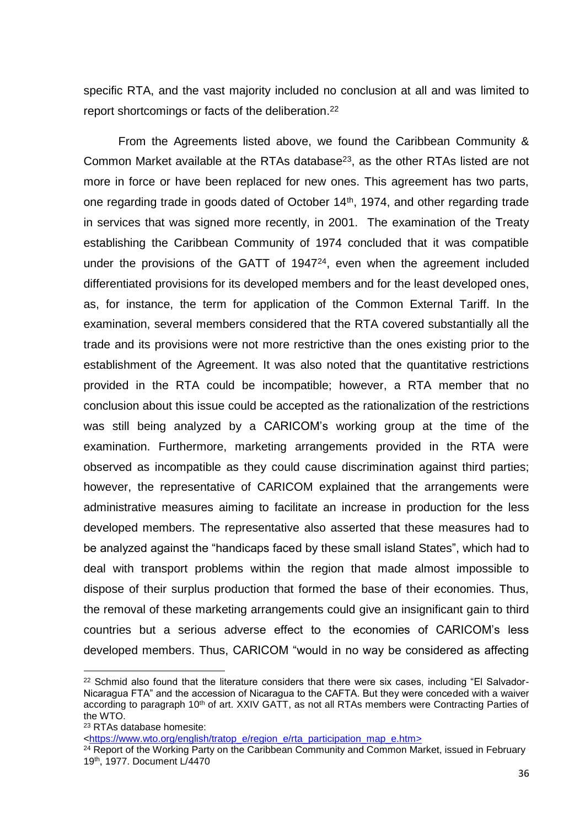specific RTA, and the vast majority included no conclusion at all and was limited to report shortcomings or facts of the deliberation. 22

From the Agreements listed above, we found the Caribbean Community & Common Market available at the RTAs database<sup>23</sup>, as the other RTAs listed are not more in force or have been replaced for new ones. This agreement has two parts, one regarding trade in goods dated of October 14th, 1974, and other regarding trade in services that was signed more recently, in 2001. The examination of the Treaty establishing the Caribbean Community of 1974 concluded that it was compatible under the provisions of the GATT of 1947<sup>24</sup>, even when the agreement included differentiated provisions for its developed members and for the least developed ones, as, for instance, the term for application of the Common External Tariff. In the examination, several members considered that the RTA covered substantially all the trade and its provisions were not more restrictive than the ones existing prior to the establishment of the Agreement. It was also noted that the quantitative restrictions provided in the RTA could be incompatible; however, a RTA member that no conclusion about this issue could be accepted as the rationalization of the restrictions was still being analyzed by a CARICOM's working group at the time of the examination. Furthermore, marketing arrangements provided in the RTA were observed as incompatible as they could cause discrimination against third parties; however, the representative of CARICOM explained that the arrangements were administrative measures aiming to facilitate an increase in production for the less developed members. The representative also asserted that these measures had to be analyzed against the "handicaps faced by these small island States", which had to deal with transport problems within the region that made almost impossible to dispose of their surplus production that formed the base of their economies. Thus, the removal of these marketing arrangements could give an insignificant gain to third countries but a serious adverse effect to the economies of CARICOM's less developed members. Thus, CARICOM "would in no way be considered as affecting

 $22$  Schmid also found that the literature considers that there were six cases, including "El Salvador-Nicaragua FTA" and the accession of Nicaragua to the CAFTA. But they were conceded with a waiver according to paragraph 10<sup>th</sup> of art. XXIV GATT, as not all RTAs members were Contracting Parties of the WTO.

<sup>23</sup> RTAs database homesite:

[<sup>&</sup>lt;https://www.wto.org/english/tratop\\_e/region\\_e/rta\\_participation\\_map\\_e.htm>](https://www.wto.org/english/tratop_e/region_e/rta_participation_map_e.htm)

<sup>&</sup>lt;sup>24</sup> Report of the Working Party on the Caribbean Community and Common Market, issued in February 19th, 1977. Document L/4470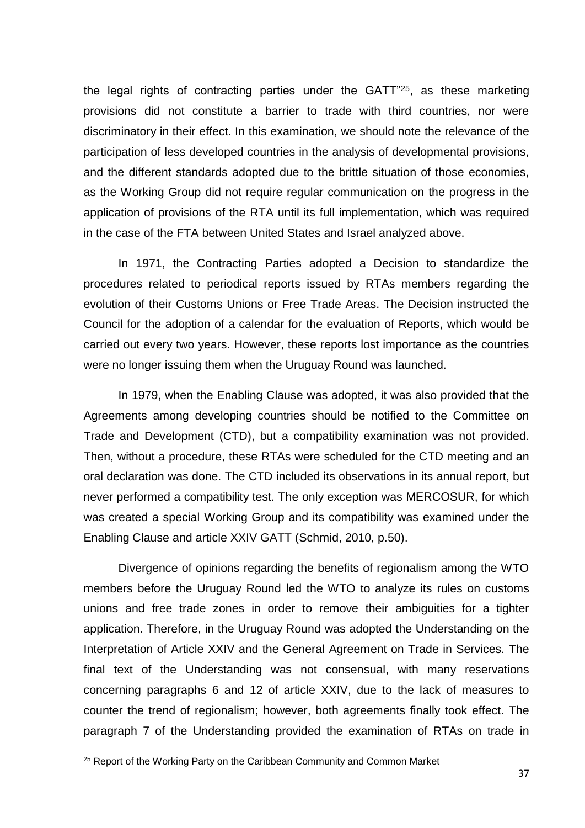the legal rights of contracting parties under the GATT"<sup>25</sup> , as these marketing provisions did not constitute a barrier to trade with third countries, nor were discriminatory in their effect. In this examination, we should note the relevance of the participation of less developed countries in the analysis of developmental provisions, and the different standards adopted due to the brittle situation of those economies, as the Working Group did not require regular communication on the progress in the application of provisions of the RTA until its full implementation, which was required in the case of the FTA between United States and Israel analyzed above.

In 1971, the Contracting Parties adopted a Decision to standardize the procedures related to periodical reports issued by RTAs members regarding the evolution of their Customs Unions or Free Trade Areas. The Decision instructed the Council for the adoption of a calendar for the evaluation of Reports, which would be carried out every two years. However, these reports lost importance as the countries were no longer issuing them when the Uruguay Round was launched.

In 1979, when the Enabling Clause was adopted, it was also provided that the Agreements among developing countries should be notified to the Committee on Trade and Development (CTD), but a compatibility examination was not provided. Then, without a procedure, these RTAs were scheduled for the CTD meeting and an oral declaration was done. The CTD included its observations in its annual report, but never performed a compatibility test. The only exception was MERCOSUR, for which was created a special Working Group and its compatibility was examined under the Enabling Clause and article XXIV GATT (Schmid, 2010, p.50).

Divergence of opinions regarding the benefits of regionalism among the WTO members before the Uruguay Round led the WTO to analyze its rules on customs unions and free trade zones in order to remove their ambiguities for a tighter application. Therefore, in the Uruguay Round was adopted the Understanding on the Interpretation of Article XXIV and the General Agreement on Trade in Services. The final text of the Understanding was not consensual, with many reservations concerning paragraphs 6 and 12 of article XXIV, due to the lack of measures to counter the trend of regionalism; however, both agreements finally took effect. The paragraph 7 of the Understanding provided the examination of RTAs on trade in

 $\overline{a}$ 

<sup>&</sup>lt;sup>25</sup> Report of the Working Party on the Caribbean Community and Common Market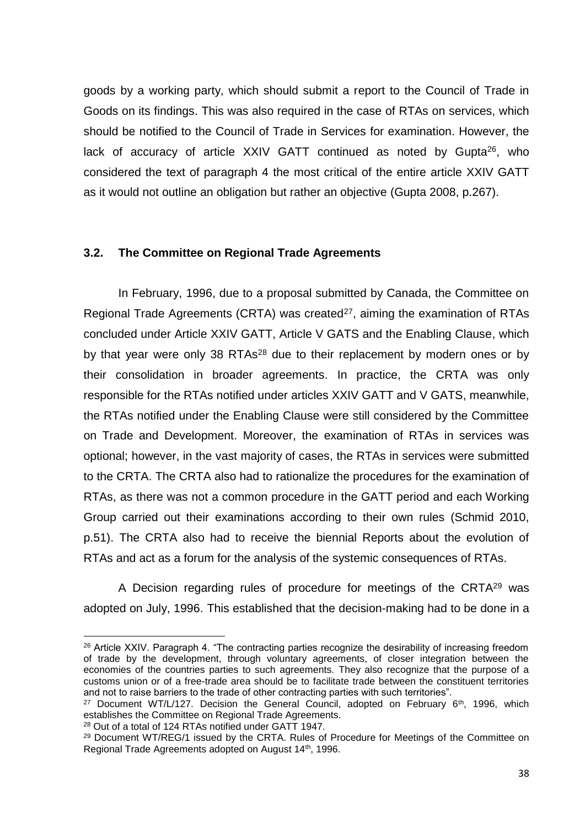goods by a working party, which should submit a report to the Council of Trade in Goods on its findings. This was also required in the case of RTAs on services, which should be notified to the Council of Trade in Services for examination. However, the lack of accuracy of article XXIV GATT continued as noted by Gupta<sup>26</sup>, who considered the text of paragraph 4 the most critical of the entire article XXIV GATT as it would not outline an obligation but rather an objective (Gupta 2008, p.267).

### <span id="page-39-0"></span>**3.2. The Committee on Regional Trade Agreements**

In February, 1996, due to a proposal submitted by Canada, the Committee on Regional Trade Agreements (CRTA) was created<sup>27</sup>, aiming the examination of RTAs concluded under Article XXIV GATT, Article V GATS and the Enabling Clause, which by that year were only 38 RTAs<sup>28</sup> due to their replacement by modern ones or by their consolidation in broader agreements. In practice, the CRTA was only responsible for the RTAs notified under articles XXIV GATT and V GATS, meanwhile, the RTAs notified under the Enabling Clause were still considered by the Committee on Trade and Development. Moreover, the examination of RTAs in services was optional; however, in the vast majority of cases, the RTAs in services were submitted to the CRTA. The CRTA also had to rationalize the procedures for the examination of RTAs, as there was not a common procedure in the GATT period and each Working Group carried out their examinations according to their own rules (Schmid 2010, p.51). The CRTA also had to receive the biennial Reports about the evolution of RTAs and act as a forum for the analysis of the systemic consequences of RTAs.

A Decision regarding rules of procedure for meetings of the CRTA<sup>29</sup> was adopted on July, 1996. This established that the decision-making had to be done in a

<sup>&</sup>lt;sup>26</sup> Article XXIV. Paragraph 4. "The contracting parties recognize the desirability of increasing freedom of trade by the development, through voluntary agreements, of closer integration between the economies of the countries parties to such agreements. They also recognize that the purpose of a customs union or of a free-trade area should be to facilitate trade between the constituent territories and not to raise barriers to the trade of other contracting parties with such territories".

<sup>&</sup>lt;sup>27</sup> Document WT/L/127. Decision the General Council, adopted on February  $6<sup>th</sup>$ , 1996, which establishes the Committee on Regional Trade Agreements.

<sup>28</sup> Out of a total of 124 RTAs notified under GATT 1947.

<sup>&</sup>lt;sup>29</sup> Document WT/REG/1 issued by the CRTA. Rules of Procedure for Meetings of the Committee on Regional Trade Agreements adopted on August 14th, 1996.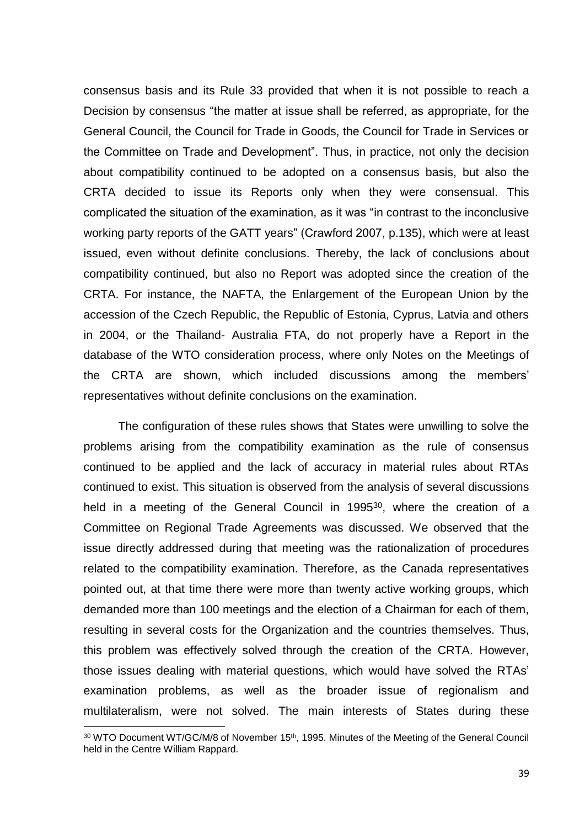consensus basis and its Rule 33 provided that when it is not possible to reach a Decision by consensus "the matter at issue shall be referred, as appropriate, for the General Council, the Council for Trade in Goods, the Council for Trade in Services or the Committee on Trade and Development". Thus, in practice, not only the decision about compatibility continued to be adopted on a consensus basis, but also the CRTA decided to issue its Reports only when they were consensual. This complicated the situation of the examination, as it was "in contrast to the inconclusive working party reports of the GATT years" (Crawford 2007, p.135), which were at least issued, even without definite conclusions. Thereby, the lack of conclusions about compatibility continued, but also no Report was adopted since the creation of the CRTA. For instance, the NAFTA, the Enlargement of the European Union by the accession of the Czech Republic, the Republic of Estonia, Cyprus, Latvia and others in 2004, or the Thailand- Australia FTA, do not properly have a Report in the database of the WTO consideration process, where only Notes on the Meetings of the CRTA are shown, which included discussions among the members' representatives without definite conclusions on the examination.

The configuration of these rules shows that States were unwilling to solve the problems arising from the compatibility examination as the rule of consensus continued to be applied and the lack of accuracy in material rules about RTAs continued to exist. This situation is observed from the analysis of several discussions held in a meeting of the General Council in 1995<sup>30</sup>, where the creation of a Committee on Regional Trade Agreements was discussed. We observed that the issue directly addressed during that meeting was the rationalization of procedures related to the compatibility examination. Therefore, as the Canada representatives pointed out, at that time there were more than twenty active working groups, which demanded more than 100 meetings and the election of a Chairman for each of them, resulting in several costs for the Organization and the countries themselves. Thus, this problem was effectively solved through the creation of the CRTA. However, those issues dealing with material questions, which would have solved the RTAs' examination problems, as well as the broader issue of regionalism and multilateralism, were not solved. The main interests of States during these

1

<sup>&</sup>lt;sup>30</sup> WTO Document WT/GC/M/8 of November 15<sup>th</sup>, 1995. Minutes of the Meeting of the General Council held in the Centre William Rappard.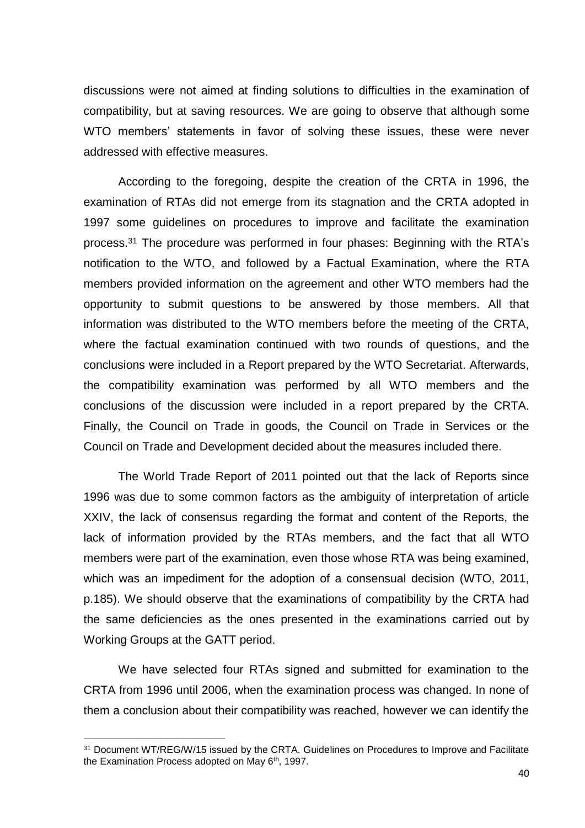discussions were not aimed at finding solutions to difficulties in the examination of compatibility, but at saving resources. We are going to observe that although some WTO members' statements in favor of solving these issues, these were never addressed with effective measures.

According to the foregoing, despite the creation of the CRTA in 1996, the examination of RTAs did not emerge from its stagnation and the CRTA adopted in 1997 some guidelines on procedures to improve and facilitate the examination process. <sup>31</sup> The procedure was performed in four phases: Beginning with the RTA's notification to the WTO, and followed by a Factual Examination, where the RTA members provided information on the agreement and other WTO members had the opportunity to submit questions to be answered by those members. All that information was distributed to the WTO members before the meeting of the CRTA, where the factual examination continued with two rounds of questions, and the conclusions were included in a Report prepared by the WTO Secretariat. Afterwards, the compatibility examination was performed by all WTO members and the conclusions of the discussion were included in a report prepared by the CRTA. Finally, the Council on Trade in goods, the Council on Trade in Services or the Council on Trade and Development decided about the measures included there.

The World Trade Report of 2011 pointed out that the lack of Reports since 1996 was due to some common factors as the ambiguity of interpretation of article XXIV, the lack of consensus regarding the format and content of the Reports, the lack of information provided by the RTAs members, and the fact that all WTO members were part of the examination, even those whose RTA was being examined, which was an impediment for the adoption of a consensual decision (WTO, 2011, p.185). We should observe that the examinations of compatibility by the CRTA had the same deficiencies as the ones presented in the examinations carried out by Working Groups at the GATT period.

We have selected four RTAs signed and submitted for examination to the CRTA from 1996 until 2006, when the examination process was changed. In none of them a conclusion about their compatibility was reached, however we can identify the

<sup>&</sup>lt;sup>31</sup> Document WT/REG/W/15 issued by the CRTA. Guidelines on Procedures to Improve and Facilitate the Examination Process adopted on May 6<sup>th</sup>, 1997.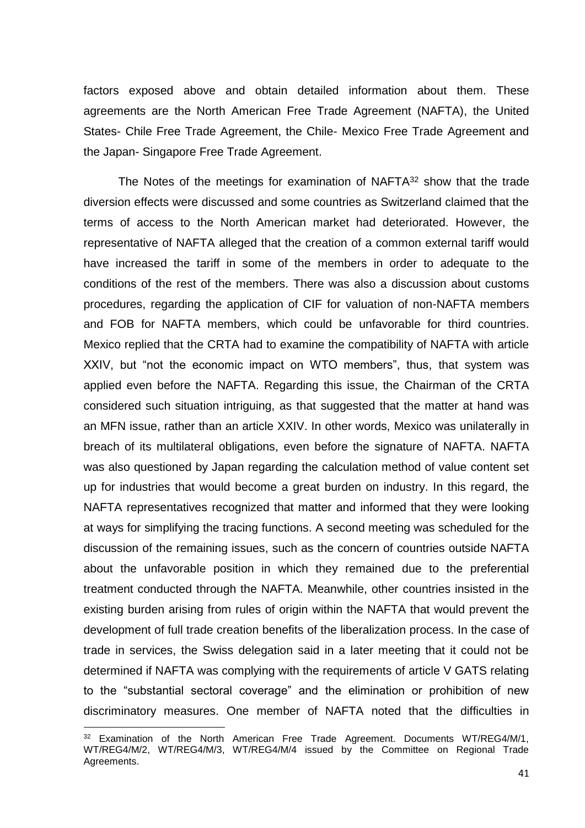factors exposed above and obtain detailed information about them. These agreements are the North American Free Trade Agreement (NAFTA), the United States- Chile Free Trade Agreement, the Chile- Mexico Free Trade Agreement and the Japan- Singapore Free Trade Agreement.

The Notes of the meetings for examination of NAFTA<sup>32</sup> show that the trade diversion effects were discussed and some countries as Switzerland claimed that the terms of access to the North American market had deteriorated. However, the representative of NAFTA alleged that the creation of a common external tariff would have increased the tariff in some of the members in order to adequate to the conditions of the rest of the members. There was also a discussion about customs procedures, regarding the application of CIF for valuation of non-NAFTA members and FOB for NAFTA members, which could be unfavorable for third countries. Mexico replied that the CRTA had to examine the compatibility of NAFTA with article XXIV, but "not the economic impact on WTO members", thus, that system was applied even before the NAFTA. Regarding this issue, the Chairman of the CRTA considered such situation intriguing, as that suggested that the matter at hand was an MFN issue, rather than an article XXIV. In other words, Mexico was unilaterally in breach of its multilateral obligations, even before the signature of NAFTA. NAFTA was also questioned by Japan regarding the calculation method of value content set up for industries that would become a great burden on industry. In this regard, the NAFTA representatives recognized that matter and informed that they were looking at ways for simplifying the tracing functions. A second meeting was scheduled for the discussion of the remaining issues, such as the concern of countries outside NAFTA about the unfavorable position in which they remained due to the preferential treatment conducted through the NAFTA. Meanwhile, other countries insisted in the existing burden arising from rules of origin within the NAFTA that would prevent the development of full trade creation benefits of the liberalization process. In the case of trade in services, the Swiss delegation said in a later meeting that it could not be determined if NAFTA was complying with the requirements of article V GATS relating to the "substantial sectoral coverage" and the elimination or prohibition of new discriminatory measures. One member of NAFTA noted that the difficulties in

<sup>&</sup>lt;sup>32</sup> Examination of the North American Free Trade Agreement. Documents WT/REG4/M/1, WT/REG4/M/2, WT/REG4/M/3, WT/REG4/M/4 issued by the Committee on Regional Trade Agreements.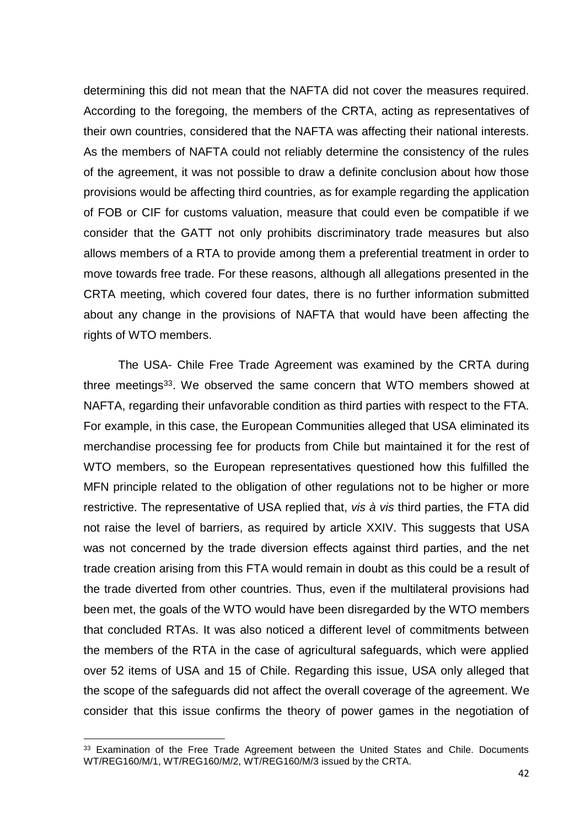determining this did not mean that the NAFTA did not cover the measures required. According to the foregoing, the members of the CRTA, acting as representatives of their own countries, considered that the NAFTA was affecting their national interests. As the members of NAFTA could not reliably determine the consistency of the rules of the agreement, it was not possible to draw a definite conclusion about how those provisions would be affecting third countries, as for example regarding the application of FOB or CIF for customs valuation, measure that could even be compatible if we consider that the GATT not only prohibits discriminatory trade measures but also allows members of a RTA to provide among them a preferential treatment in order to move towards free trade. For these reasons, although all allegations presented in the CRTA meeting, which covered four dates, there is no further information submitted about any change in the provisions of NAFTA that would have been affecting the rights of WTO members.

The USA- Chile Free Trade Agreement was examined by the CRTA during three meetings<sup>33</sup>. We observed the same concern that WTO members showed at NAFTA, regarding their unfavorable condition as third parties with respect to the FTA. For example, in this case, the European Communities alleged that USA eliminated its merchandise processing fee for products from Chile but maintained it for the rest of WTO members, so the European representatives questioned how this fulfilled the MFN principle related to the obligation of other regulations not to be higher or more restrictive. The representative of USA replied that, *vis à vis* third parties, the FTA did not raise the level of barriers, as required by article XXIV. This suggests that USA was not concerned by the trade diversion effects against third parties, and the net trade creation arising from this FTA would remain in doubt as this could be a result of the trade diverted from other countries. Thus, even if the multilateral provisions had been met, the goals of the WTO would have been disregarded by the WTO members that concluded RTAs. It was also noticed a different level of commitments between the members of the RTA in the case of agricultural safeguards, which were applied over 52 items of USA and 15 of Chile. Regarding this issue, USA only alleged that the scope of the safeguards did not affect the overall coverage of the agreement. We consider that this issue confirms the theory of power games in the negotiation of

<sup>&</sup>lt;sup>33</sup> Examination of the Free Trade Agreement between the United States and Chile. Documents WT/REG160/M/1, WT/REG160/M/2, WT/REG160/M/3 issued by the CRTA.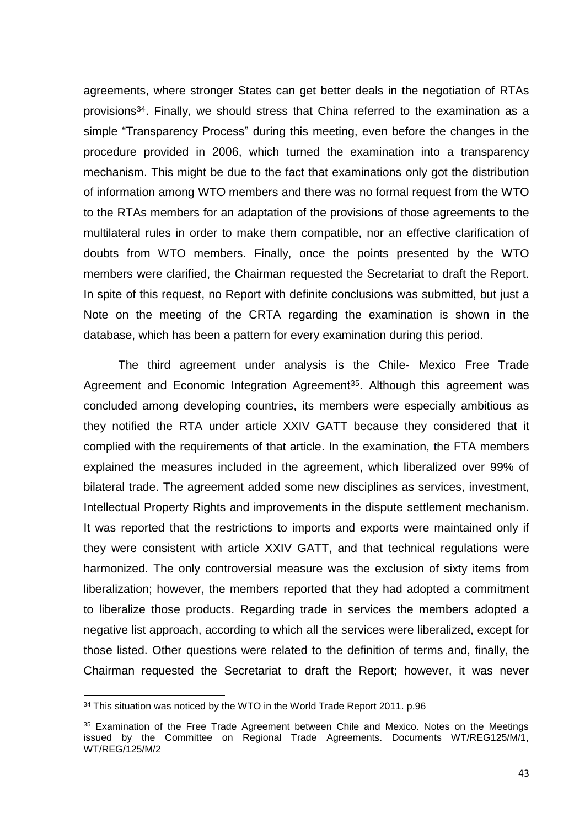agreements, where stronger States can get better deals in the negotiation of RTAs provisions<sup>34</sup>. Finally, we should stress that China referred to the examination as a simple "Transparency Process" during this meeting, even before the changes in the procedure provided in 2006, which turned the examination into a transparency mechanism. This might be due to the fact that examinations only got the distribution of information among WTO members and there was no formal request from the WTO to the RTAs members for an adaptation of the provisions of those agreements to the multilateral rules in order to make them compatible, nor an effective clarification of doubts from WTO members. Finally, once the points presented by the WTO members were clarified, the Chairman requested the Secretariat to draft the Report. In spite of this request, no Report with definite conclusions was submitted, but just a Note on the meeting of the CRTA regarding the examination is shown in the database, which has been a pattern for every examination during this period.

The third agreement under analysis is the Chile- Mexico Free Trade Agreement and Economic Integration Agreement<sup>35</sup>. Although this agreement was concluded among developing countries, its members were especially ambitious as they notified the RTA under article XXIV GATT because they considered that it complied with the requirements of that article. In the examination, the FTA members explained the measures included in the agreement, which liberalized over 99% of bilateral trade. The agreement added some new disciplines as services, investment, Intellectual Property Rights and improvements in the dispute settlement mechanism. It was reported that the restrictions to imports and exports were maintained only if they were consistent with article XXIV GATT, and that technical regulations were harmonized. The only controversial measure was the exclusion of sixty items from liberalization; however, the members reported that they had adopted a commitment to liberalize those products. Regarding trade in services the members adopted a negative list approach, according to which all the services were liberalized, except for those listed. Other questions were related to the definition of terms and, finally, the Chairman requested the Secretariat to draft the Report; however, it was never

1

<sup>&</sup>lt;sup>34</sup> This situation was noticed by the WTO in the World Trade Report 2011. p.96

<sup>35</sup> Examination of the Free Trade Agreement between Chile and Mexico. Notes on the Meetings issued by the Committee on Regional Trade Agreements. Documents WT/REG125/M/1, WT/REG/125/M/2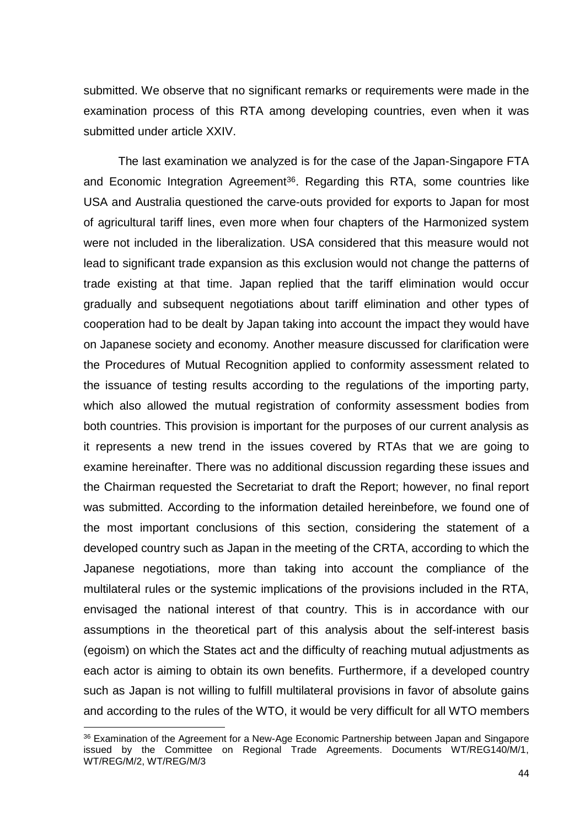submitted. We observe that no significant remarks or requirements were made in the examination process of this RTA among developing countries, even when it was submitted under article XXIV.

The last examination we analyzed is for the case of the Japan-Singapore FTA and Economic Integration Agreement<sup>36</sup>. Regarding this RTA, some countries like USA and Australia questioned the carve-outs provided for exports to Japan for most of agricultural tariff lines, even more when four chapters of the Harmonized system were not included in the liberalization. USA considered that this measure would not lead to significant trade expansion as this exclusion would not change the patterns of trade existing at that time. Japan replied that the tariff elimination would occur gradually and subsequent negotiations about tariff elimination and other types of cooperation had to be dealt by Japan taking into account the impact they would have on Japanese society and economy. Another measure discussed for clarification were the Procedures of Mutual Recognition applied to conformity assessment related to the issuance of testing results according to the regulations of the importing party, which also allowed the mutual registration of conformity assessment bodies from both countries. This provision is important for the purposes of our current analysis as it represents a new trend in the issues covered by RTAs that we are going to examine hereinafter. There was no additional discussion regarding these issues and the Chairman requested the Secretariat to draft the Report; however, no final report was submitted. According to the information detailed hereinbefore, we found one of the most important conclusions of this section, considering the statement of a developed country such as Japan in the meeting of the CRTA, according to which the Japanese negotiations, more than taking into account the compliance of the multilateral rules or the systemic implications of the provisions included in the RTA, envisaged the national interest of that country. This is in accordance with our assumptions in the theoretical part of this analysis about the self-interest basis (egoism) on which the States act and the difficulty of reaching mutual adjustments as each actor is aiming to obtain its own benefits. Furthermore, if a developed country such as Japan is not willing to fulfill multilateral provisions in favor of absolute gains and according to the rules of the WTO, it would be very difficult for all WTO members

<sup>&</sup>lt;sup>36</sup> Examination of the Agreement for a New-Age Economic Partnership between Japan and Singapore issued by the Committee on Regional Trade Agreements. Documents WT/REG140/M/1, WT/REG/M/2, WT/REG/M/3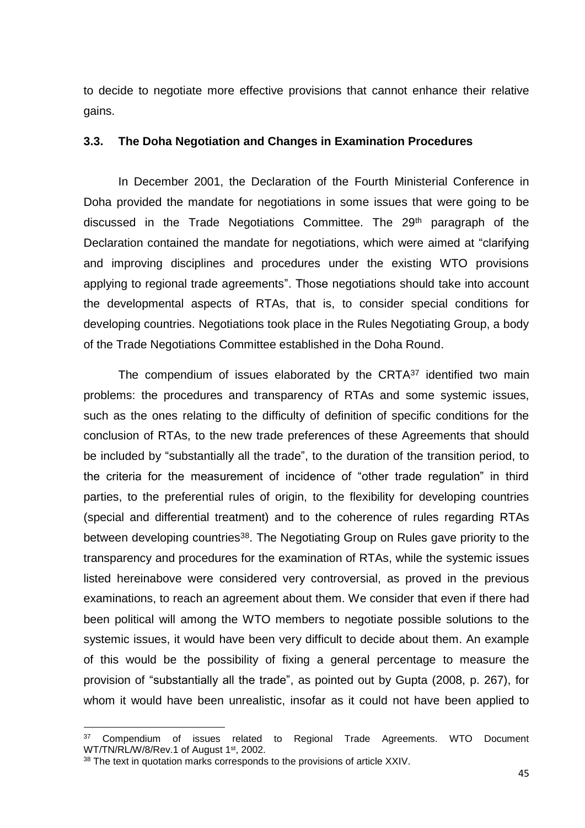to decide to negotiate more effective provisions that cannot enhance their relative gains.

#### <span id="page-46-0"></span>**3.3. The Doha Negotiation and Changes in Examination Procedures**

In December 2001, the Declaration of the Fourth Ministerial Conference in Doha provided the mandate for negotiations in some issues that were going to be discussed in the Trade Negotiations Committee. The 29th paragraph of the Declaration contained the mandate for negotiations, which were aimed at "clarifying and improving disciplines and procedures under the existing WTO provisions applying to regional trade agreements". Those negotiations should take into account the developmental aspects of RTAs, that is, to consider special conditions for developing countries. Negotiations took place in the Rules Negotiating Group, a body of the Trade Negotiations Committee established in the Doha Round.

The compendium of issues elaborated by the CRTA<sup>37</sup> identified two main problems: the procedures and transparency of RTAs and some systemic issues, such as the ones relating to the difficulty of definition of specific conditions for the conclusion of RTAs, to the new trade preferences of these Agreements that should be included by "substantially all the trade", to the duration of the transition period, to the criteria for the measurement of incidence of "other trade regulation" in third parties, to the preferential rules of origin, to the flexibility for developing countries (special and differential treatment) and to the coherence of rules regarding RTAs between developing countries<sup>38</sup>. The Negotiating Group on Rules gave priority to the transparency and procedures for the examination of RTAs, while the systemic issues listed hereinabove were considered very controversial, as proved in the previous examinations, to reach an agreement about them. We consider that even if there had been political will among the WTO members to negotiate possible solutions to the systemic issues, it would have been very difficult to decide about them. An example of this would be the possibility of fixing a general percentage to measure the provision of "substantially all the trade", as pointed out by Gupta (2008, p. 267), for whom it would have been unrealistic, insofar as it could not have been applied to

<sup>&</sup>lt;sup>37</sup> Compendium of issues related to Regional Trade Agreements. WTO Document WT/TN/RL/W/8/Rev.1 of August 1st, 2002.

<sup>&</sup>lt;sup>38</sup> The text in quotation marks corresponds to the provisions of article XXIV.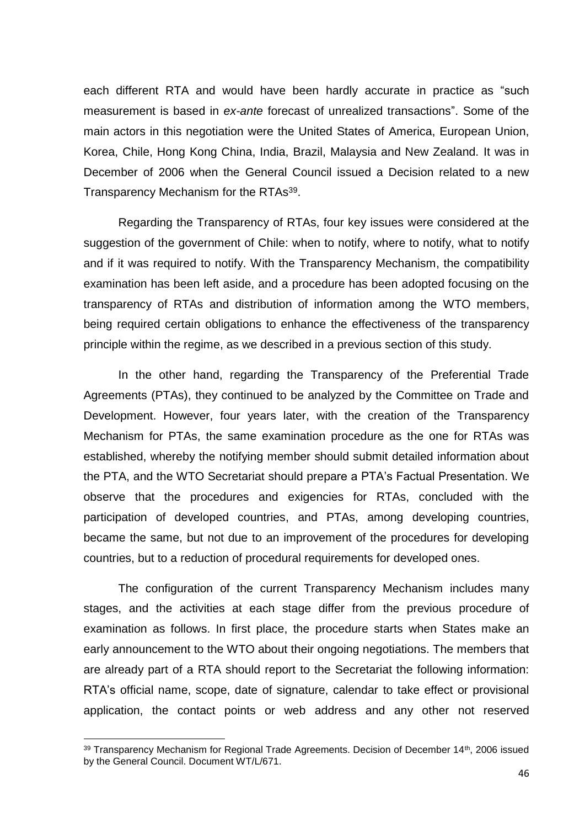each different RTA and would have been hardly accurate in practice as "such measurement is based in *ex-ante* forecast of unrealized transactions". Some of the main actors in this negotiation were the United States of America, European Union, Korea, Chile, Hong Kong China, India, Brazil, Malaysia and New Zealand. It was in December of 2006 when the General Council issued a Decision related to a new Transparency Mechanism for the RTAs<sup>39</sup>.

Regarding the Transparency of RTAs, four key issues were considered at the suggestion of the government of Chile: when to notify, where to notify, what to notify and if it was required to notify. With the Transparency Mechanism, the compatibility examination has been left aside, and a procedure has been adopted focusing on the transparency of RTAs and distribution of information among the WTO members, being required certain obligations to enhance the effectiveness of the transparency principle within the regime, as we described in a previous section of this study.

In the other hand, regarding the Transparency of the Preferential Trade Agreements (PTAs), they continued to be analyzed by the Committee on Trade and Development. However, four years later, with the creation of the Transparency Mechanism for PTAs, the same examination procedure as the one for RTAs was established, whereby the notifying member should submit detailed information about the PTA, and the WTO Secretariat should prepare a PTA's Factual Presentation. We observe that the procedures and exigencies for RTAs, concluded with the participation of developed countries, and PTAs, among developing countries, became the same, but not due to an improvement of the procedures for developing countries, but to a reduction of procedural requirements for developed ones.

The configuration of the current Transparency Mechanism includes many stages, and the activities at each stage differ from the previous procedure of examination as follows. In first place, the procedure starts when States make an early announcement to the WTO about their ongoing negotiations. The members that are already part of a RTA should report to the Secretariat the following information: RTA's official name, scope, date of signature, calendar to take effect or provisional application, the contact points or web address and any other not reserved

<sup>&</sup>lt;sup>39</sup> Transparency Mechanism for Regional Trade Agreements. Decision of December 14<sup>th</sup>, 2006 issued by the General Council. Document WT/L/671.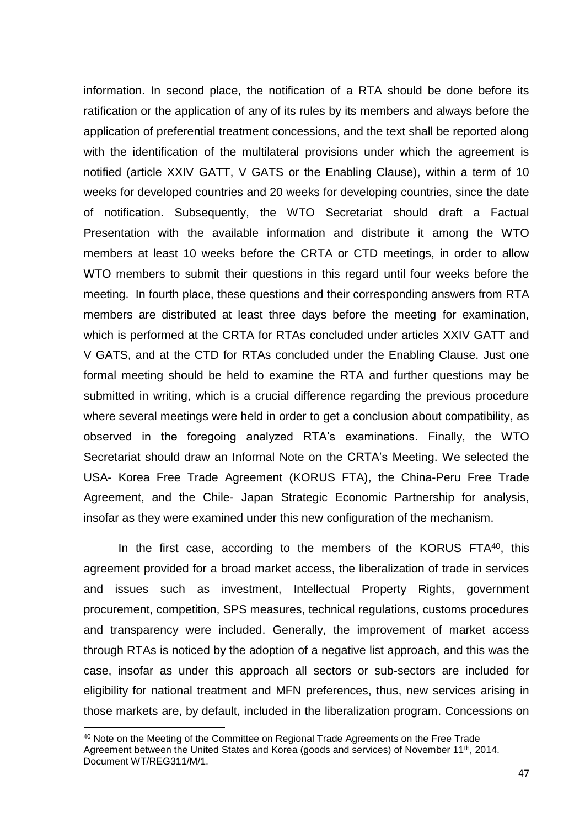information. In second place, the notification of a RTA should be done before its ratification or the application of any of its rules by its members and always before the application of preferential treatment concessions, and the text shall be reported along with the identification of the multilateral provisions under which the agreement is notified (article XXIV GATT, V GATS or the Enabling Clause), within a term of 10 weeks for developed countries and 20 weeks for developing countries, since the date of notification. Subsequently, the WTO Secretariat should draft a Factual Presentation with the available information and distribute it among the WTO members at least 10 weeks before the CRTA or CTD meetings, in order to allow WTO members to submit their questions in this regard until four weeks before the meeting. In fourth place, these questions and their corresponding answers from RTA members are distributed at least three days before the meeting for examination, which is performed at the CRTA for RTAs concluded under articles XXIV GATT and V GATS, and at the CTD for RTAs concluded under the Enabling Clause. Just one formal meeting should be held to examine the RTA and further questions may be submitted in writing, which is a crucial difference regarding the previous procedure where several meetings were held in order to get a conclusion about compatibility, as observed in the foregoing analyzed RTA's examinations. Finally, the WTO Secretariat should draw an Informal Note on the CRTA's Meeting. We selected the USA- Korea Free Trade Agreement (KORUS FTA), the China-Peru Free Trade Agreement, and the Chile- Japan Strategic Economic Partnership for analysis, insofar as they were examined under this new configuration of the mechanism.

In the first case, according to the members of the KORUS FTA<sup>40</sup>, this agreement provided for a broad market access, the liberalization of trade in services and issues such as investment, Intellectual Property Rights, government procurement, competition, SPS measures, technical regulations, customs procedures and transparency were included. Generally, the improvement of market access through RTAs is noticed by the adoption of a negative list approach, and this was the case, insofar as under this approach all sectors or sub-sectors are included for eligibility for national treatment and MFN preferences, thus, new services arising in those markets are, by default, included in the liberalization program. Concessions on

<sup>&</sup>lt;sup>40</sup> Note on the Meeting of the Committee on Regional Trade Agreements on the Free Trade Agreement between the United States and Korea (goods and services) of November 11<sup>th</sup>, 2014. Document WT/REG311/M/1.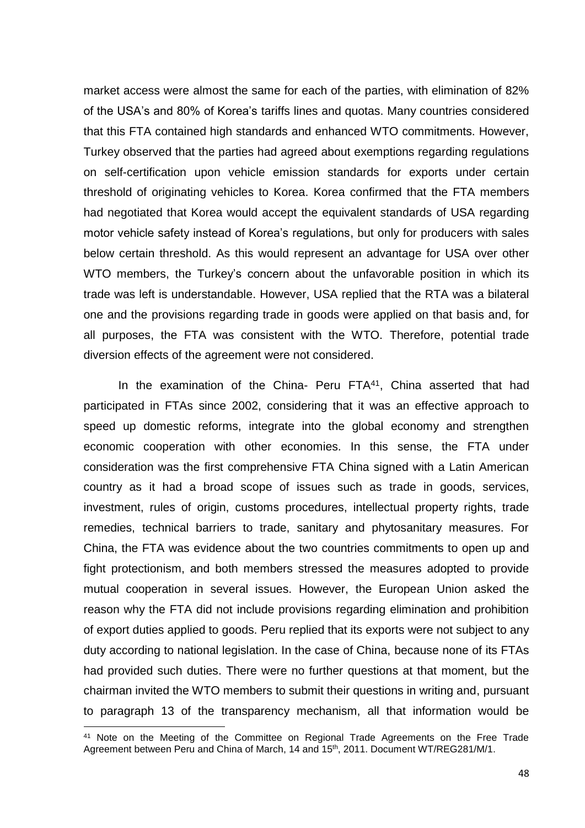market access were almost the same for each of the parties, with elimination of 82% of the USA's and 80% of Korea's tariffs lines and quotas. Many countries considered that this FTA contained high standards and enhanced WTO commitments. However, Turkey observed that the parties had agreed about exemptions regarding regulations on self-certification upon vehicle emission standards for exports under certain threshold of originating vehicles to Korea. Korea confirmed that the FTA members had negotiated that Korea would accept the equivalent standards of USA regarding motor vehicle safety instead of Korea's regulations, but only for producers with sales below certain threshold. As this would represent an advantage for USA over other WTO members, the Turkey's concern about the unfavorable position in which its trade was left is understandable. However, USA replied that the RTA was a bilateral one and the provisions regarding trade in goods were applied on that basis and, for all purposes, the FTA was consistent with the WTO. Therefore, potential trade diversion effects of the agreement were not considered.

In the examination of the China- Peru FTA<sup>41</sup>, China asserted that had participated in FTAs since 2002, considering that it was an effective approach to speed up domestic reforms, integrate into the global economy and strengthen economic cooperation with other economies. In this sense, the FTA under consideration was the first comprehensive FTA China signed with a Latin American country as it had a broad scope of issues such as trade in goods, services, investment, rules of origin, customs procedures, intellectual property rights, trade remedies, technical barriers to trade, sanitary and phytosanitary measures. For China, the FTA was evidence about the two countries commitments to open up and fight protectionism, and both members stressed the measures adopted to provide mutual cooperation in several issues. However, the European Union asked the reason why the FTA did not include provisions regarding elimination and prohibition of export duties applied to goods. Peru replied that its exports were not subject to any duty according to national legislation. In the case of China, because none of its FTAs had provided such duties. There were no further questions at that moment, but the chairman invited the WTO members to submit their questions in writing and, pursuant to paragraph 13 of the transparency mechanism, all that information would be

1

<sup>&</sup>lt;sup>41</sup> Note on the Meeting of the Committee on Regional Trade Agreements on the Free Trade Agreement between Peru and China of March, 14 and 15<sup>th</sup>, 2011. Document WT/REG281/M/1.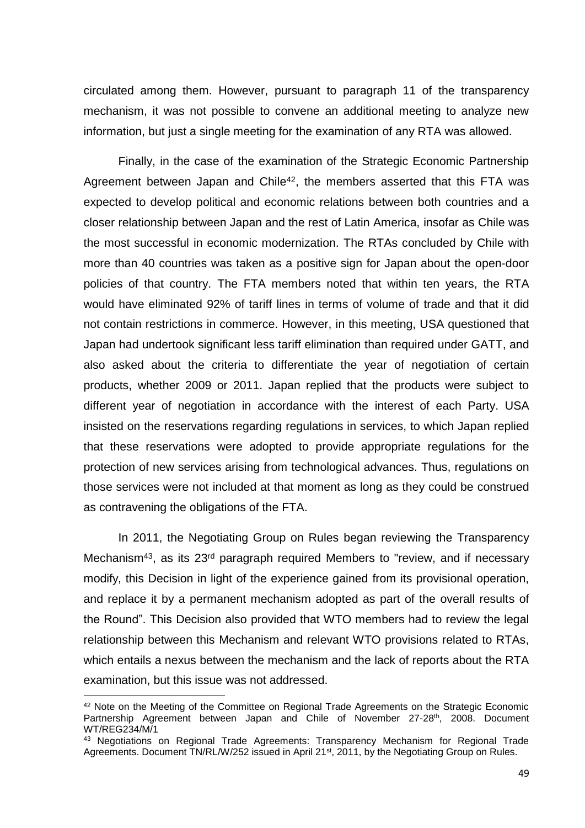circulated among them. However, pursuant to paragraph 11 of the transparency mechanism, it was not possible to convene an additional meeting to analyze new information, but just a single meeting for the examination of any RTA was allowed.

Finally, in the case of the examination of the Strategic Economic Partnership Agreement between Japan and Chile<sup>42</sup>, the members asserted that this FTA was expected to develop political and economic relations between both countries and a closer relationship between Japan and the rest of Latin America, insofar as Chile was the most successful in economic modernization. The RTAs concluded by Chile with more than 40 countries was taken as a positive sign for Japan about the open-door policies of that country. The FTA members noted that within ten years, the RTA would have eliminated 92% of tariff lines in terms of volume of trade and that it did not contain restrictions in commerce. However, in this meeting, USA questioned that Japan had undertook significant less tariff elimination than required under GATT, and also asked about the criteria to differentiate the year of negotiation of certain products, whether 2009 or 2011. Japan replied that the products were subject to different year of negotiation in accordance with the interest of each Party. USA insisted on the reservations regarding regulations in services, to which Japan replied that these reservations were adopted to provide appropriate regulations for the protection of new services arising from technological advances. Thus, regulations on those services were not included at that moment as long as they could be construed as contravening the obligations of the FTA.

In 2011, the Negotiating Group on Rules began reviewing the Transparency Mechanism<sup>43</sup>, as its 23<sup>rd</sup> paragraph required Members to "review, and if necessary modify, this Decision in light of the experience gained from its provisional operation, and replace it by a permanent mechanism adopted as part of the overall results of the Round". This Decision also provided that WTO members had to review the legal relationship between this Mechanism and relevant WTO provisions related to RTAs, which entails a nexus between the mechanism and the lack of reports about the RTA examination, but this issue was not addressed.

1

<sup>&</sup>lt;sup>42</sup> Note on the Meeting of the Committee on Regional Trade Agreements on the Strategic Economic Partnership Agreement between Japan and Chile of November 27-28<sup>th</sup>, 2008. Document WT/REG234/M/1

<sup>&</sup>lt;sup>43</sup> Negotiations on Regional Trade Agreements: Transparency Mechanism for Regional Trade Agreements. Document TN/RL/W/252 issued in April 21<sup>st</sup>, 2011, by the Negotiating Group on Rules.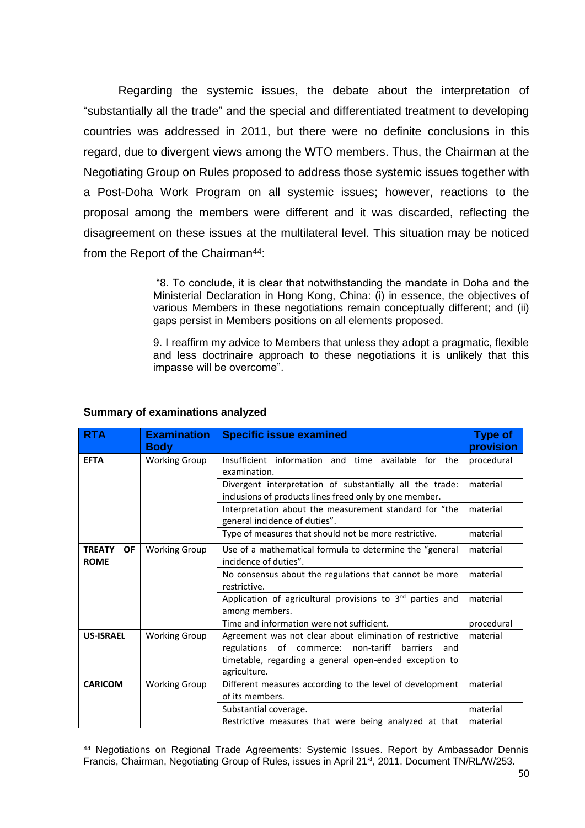Regarding the systemic issues, the debate about the interpretation of "substantially all the trade" and the special and differentiated treatment to developing countries was addressed in 2011, but there were no definite conclusions in this regard, due to divergent views among the WTO members. Thus, the Chairman at the Negotiating Group on Rules proposed to address those systemic issues together with a Post-Doha Work Program on all systemic issues; however, reactions to the proposal among the members were different and it was discarded, reflecting the disagreement on these issues at the multilateral level. This situation may be noticed from the Report of the Chairman<sup>44</sup>:

> "8. To conclude, it is clear that notwithstanding the mandate in Doha and the Ministerial Declaration in Hong Kong, China: (i) in essence, the objectives of various Members in these negotiations remain conceptually different; and (ii) gaps persist in Members positions on all elements proposed.

> 9. I reaffirm my advice to Members that unless they adopt a pragmatic, flexible and less doctrinaire approach to these negotiations it is unlikely that this impasse will be overcome".

| <b>RTA</b>                                | <b>Examination</b><br><b>Body</b> | <b>Specific issue examined</b>                                                                                                                                                               | <b>Type of</b><br>provision |
|-------------------------------------------|-----------------------------------|----------------------------------------------------------------------------------------------------------------------------------------------------------------------------------------------|-----------------------------|
| <b>EFTA</b>                               | <b>Working Group</b>              | Insufficient information and time available for the<br>examination.                                                                                                                          | procedural                  |
|                                           |                                   | Divergent interpretation of substantially all the trade:<br>inclusions of products lines freed only by one member.                                                                           | material                    |
|                                           |                                   | Interpretation about the measurement standard for "the<br>general incidence of duties".                                                                                                      | material                    |
|                                           |                                   | Type of measures that should not be more restrictive.                                                                                                                                        | material                    |
| <b>TREATY</b><br><b>OF</b><br><b>ROME</b> | <b>Working Group</b>              | Use of a mathematical formula to determine the "general<br>incidence of duties".                                                                                                             | material                    |
|                                           |                                   | No consensus about the regulations that cannot be more<br>restrictive.                                                                                                                       | material                    |
|                                           |                                   | Application of agricultural provisions to 3rd parties and<br>among members.                                                                                                                  | material                    |
|                                           |                                   | Time and information were not sufficient.                                                                                                                                                    | procedural                  |
| <b>US-ISRAEL</b>                          | <b>Working Group</b>              | Agreement was not clear about elimination of restrictive<br>regulations of commerce: non-tariff<br>barriers<br>and<br>timetable, regarding a general open-ended exception to<br>agriculture. | material                    |
| <b>CARICOM</b>                            | <b>Working Group</b>              | Different measures according to the level of development<br>of its members.                                                                                                                  | material                    |
|                                           |                                   | Substantial coverage.                                                                                                                                                                        | material                    |
|                                           |                                   | Restrictive measures that were being analyzed at that                                                                                                                                        | material                    |

#### **Summary of examinations analyzed**

<sup>44</sup> Negotiations on Regional Trade Agreements: Systemic Issues. Report by Ambassador Dennis Francis, Chairman, Negotiating Group of Rules, issues in April 21st, 2011. Document TN/RL/W/253.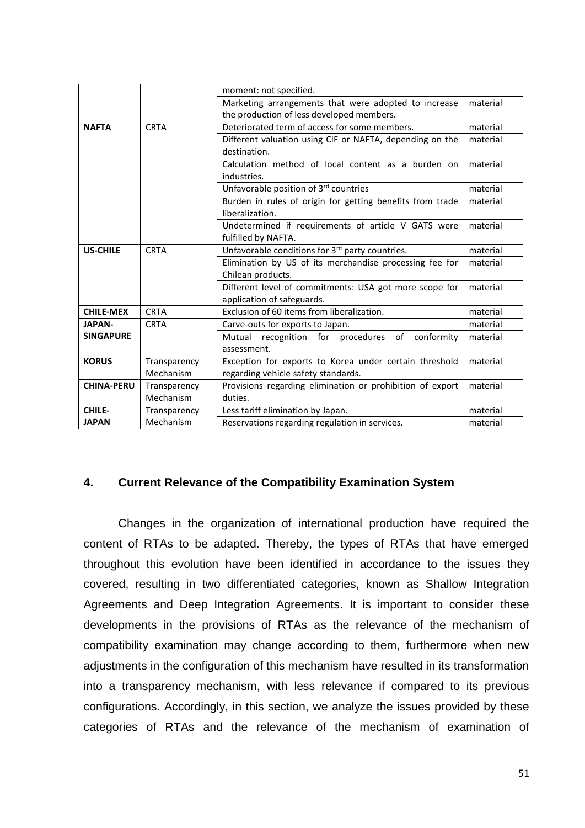|                   |              | moment: not specified.                                      |          |
|-------------------|--------------|-------------------------------------------------------------|----------|
|                   |              | Marketing arrangements that were adopted to increase        | material |
|                   |              | the production of less developed members.                   |          |
| <b>NAFTA</b>      | <b>CRTA</b>  | Deteriorated term of access for some members.               | material |
|                   |              | Different valuation using CIF or NAFTA, depending on the    | material |
|                   |              | destination.                                                |          |
|                   |              | Calculation method of local content as a burden on          | material |
|                   |              | industries.                                                 |          |
|                   |              | Unfavorable position of 3rd countries                       | material |
|                   |              | Burden in rules of origin for getting benefits from trade   | material |
|                   |              | liberalization.                                             |          |
|                   |              | Undetermined if requirements of article V GATS were         | material |
|                   |              | fulfilled by NAFTA.                                         |          |
| <b>US-CHILE</b>   | <b>CRTA</b>  | Unfavorable conditions for 3 <sup>rd</sup> party countries. | material |
|                   |              | Elimination by US of its merchandise processing fee for     | material |
|                   |              | Chilean products.                                           |          |
|                   |              | Different level of commitments: USA got more scope for      | material |
|                   |              | application of safeguards.                                  |          |
| <b>CHILE-MEX</b>  | <b>CRTA</b>  | Exclusion of 60 items from liberalization.                  | material |
| <b>JAPAN-</b>     | <b>CRTA</b>  | Carve-outs for exports to Japan.                            | material |
| <b>SINGAPURE</b>  |              | Mutual recognition for procedures of<br>conformity          | material |
|                   |              | assessment.                                                 |          |
| <b>KORUS</b>      | Transparency | Exception for exports to Korea under certain threshold      | material |
|                   | Mechanism    | regarding vehicle safety standards.                         |          |
| <b>CHINA-PERU</b> | Transparency | Provisions regarding elimination or prohibition of export   | material |
|                   | Mechanism    | duties.                                                     |          |
| CHILE-            | Transparency | Less tariff elimination by Japan.                           | material |
| <b>JAPAN</b>      | Mechanism    | Reservations regarding regulation in services.              | material |

# <span id="page-52-0"></span>**4. Current Relevance of the Compatibility Examination System**

Changes in the organization of international production have required the content of RTAs to be adapted. Thereby, the types of RTAs that have emerged throughout this evolution have been identified in accordance to the issues they covered, resulting in two differentiated categories, known as Shallow Integration Agreements and Deep Integration Agreements. It is important to consider these developments in the provisions of RTAs as the relevance of the mechanism of compatibility examination may change according to them, furthermore when new adjustments in the configuration of this mechanism have resulted in its transformation into a transparency mechanism, with less relevance if compared to its previous configurations. Accordingly, in this section, we analyze the issues provided by these categories of RTAs and the relevance of the mechanism of examination of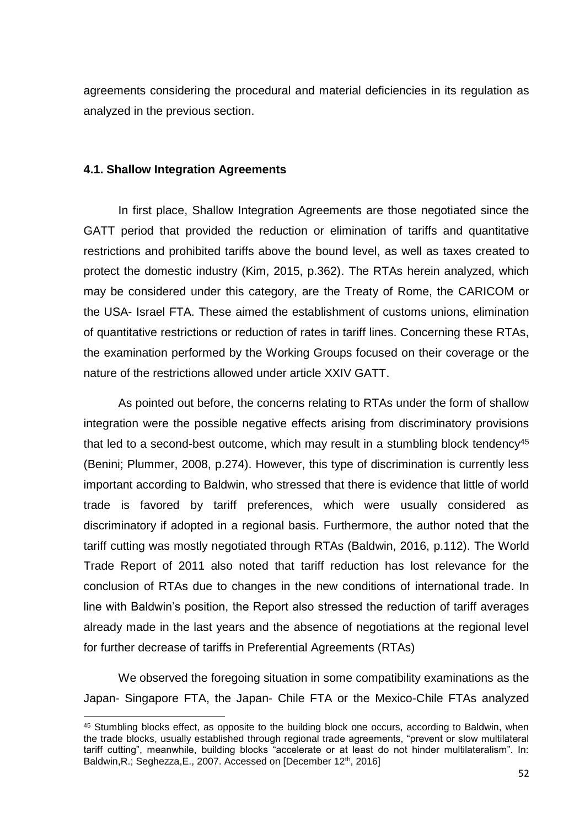agreements considering the procedural and material deficiencies in its regulation as analyzed in the previous section.

# <span id="page-53-0"></span>**4.1. Shallow Integration Agreements**

1

In first place, Shallow Integration Agreements are those negotiated since the GATT period that provided the reduction or elimination of tariffs and quantitative restrictions and prohibited tariffs above the bound level, as well as taxes created to protect the domestic industry (Kim, 2015, p.362). The RTAs herein analyzed, which may be considered under this category, are the Treaty of Rome, the CARICOM or the USA- Israel FTA. These aimed the establishment of customs unions, elimination of quantitative restrictions or reduction of rates in tariff lines. Concerning these RTAs, the examination performed by the Working Groups focused on their coverage or the nature of the restrictions allowed under article XXIV GATT.

As pointed out before, the concerns relating to RTAs under the form of shallow integration were the possible negative effects arising from discriminatory provisions that led to a second-best outcome, which may result in a stumbling block tendency<sup>45</sup> (Benini; Plummer, 2008, p.274). However, this type of discrimination is currently less important according to Baldwin, who stressed that there is evidence that little of world trade is favored by tariff preferences, which were usually considered as discriminatory if adopted in a regional basis. Furthermore, the author noted that the tariff cutting was mostly negotiated through RTAs (Baldwin, 2016, p.112). The World Trade Report of 2011 also noted that tariff reduction has lost relevance for the conclusion of RTAs due to changes in the new conditions of international trade. In line with Baldwin's position, the Report also stressed the reduction of tariff averages already made in the last years and the absence of negotiations at the regional level for further decrease of tariffs in Preferential Agreements (RTAs)

We observed the foregoing situation in some compatibility examinations as the Japan- Singapore FTA, the Japan- Chile FTA or the Mexico-Chile FTAs analyzed

<sup>45</sup> Stumbling blocks effect, as opposite to the building block one occurs, according to Baldwin, when the trade blocks, usually established through regional trade agreements, "prevent or slow multilateral tariff cutting", meanwhile, building blocks "accelerate or at least do not hinder multilateralism". In: Baldwin, R.; Seghezza, E., 2007. Accessed on [December 12<sup>th</sup>, 2016]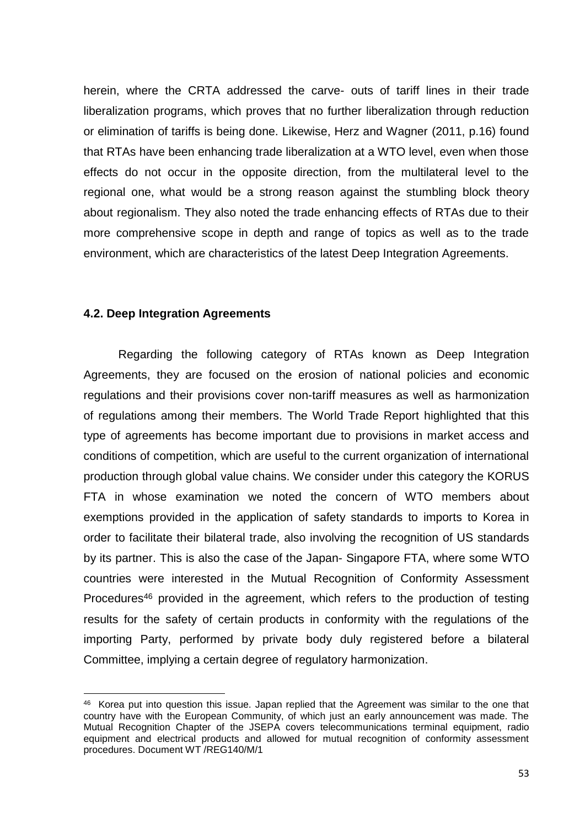herein, where the CRTA addressed the carve- outs of tariff lines in their trade liberalization programs, which proves that no further liberalization through reduction or elimination of tariffs is being done. Likewise, Herz and Wagner (2011, p.16) found that RTAs have been enhancing trade liberalization at a WTO level, even when those effects do not occur in the opposite direction, from the multilateral level to the regional one, what would be a strong reason against the stumbling block theory about regionalism. They also noted the trade enhancing effects of RTAs due to their more comprehensive scope in depth and range of topics as well as to the trade environment, which are characteristics of the latest Deep Integration Agreements.

#### <span id="page-54-0"></span>**4.2. Deep Integration Agreements**

1

Regarding the following category of RTAs known as Deep Integration Agreements, they are focused on the erosion of national policies and economic regulations and their provisions cover non-tariff measures as well as harmonization of regulations among their members. The World Trade Report highlighted that this type of agreements has become important due to provisions in market access and conditions of competition, which are useful to the current organization of international production through global value chains. We consider under this category the KORUS FTA in whose examination we noted the concern of WTO members about exemptions provided in the application of safety standards to imports to Korea in order to facilitate their bilateral trade, also involving the recognition of US standards by its partner. This is also the case of the Japan- Singapore FTA, where some WTO countries were interested in the Mutual Recognition of Conformity Assessment Procedures<sup>46</sup> provided in the agreement, which refers to the production of testing results for the safety of certain products in conformity with the regulations of the importing Party, performed by private body duly registered before a bilateral Committee, implying a certain degree of regulatory harmonization.

<sup>&</sup>lt;sup>46</sup> Korea put into question this issue. Japan replied that the Agreement was similar to the one that country have with the European Community, of which just an early announcement was made. The Mutual Recognition Chapter of the JSEPA covers telecommunications terminal equipment, radio equipment and electrical products and allowed for mutual recognition of conformity assessment procedures. Document WT /REG140/M/1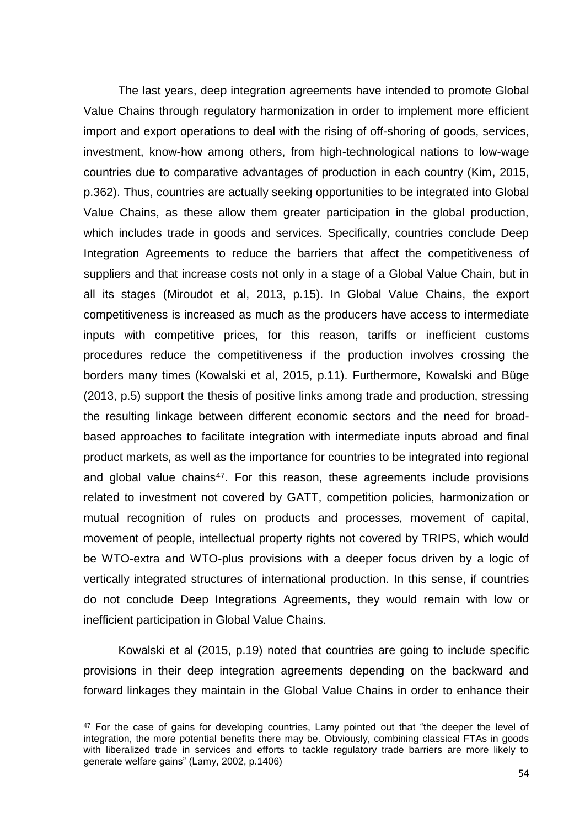The last years, deep integration agreements have intended to promote Global Value Chains through regulatory harmonization in order to implement more efficient import and export operations to deal with the rising of off-shoring of goods, services, investment, know-how among others, from high-technological nations to low-wage countries due to comparative advantages of production in each country (Kim, 2015, p.362). Thus, countries are actually seeking opportunities to be integrated into Global Value Chains, as these allow them greater participation in the global production, which includes trade in goods and services. Specifically, countries conclude Deep Integration Agreements to reduce the barriers that affect the competitiveness of suppliers and that increase costs not only in a stage of a Global Value Chain, but in all its stages (Miroudot et al, 2013, p.15). In Global Value Chains, the export competitiveness is increased as much as the producers have access to intermediate inputs with competitive prices, for this reason, tariffs or inefficient customs procedures reduce the competitiveness if the production involves crossing the borders many times (Kowalski et al, 2015, p.11). Furthermore, Kowalski and Büge (2013, p.5) support the thesis of positive links among trade and production, stressing the resulting linkage between different economic sectors and the need for broadbased approaches to facilitate integration with intermediate inputs abroad and final product markets, as well as the importance for countries to be integrated into regional and global value chains<sup>47</sup>. For this reason, these agreements include provisions related to investment not covered by GATT, competition policies, harmonization or mutual recognition of rules on products and processes, movement of capital, movement of people, intellectual property rights not covered by TRIPS, which would be WTO-extra and WTO-plus provisions with a deeper focus driven by a logic of vertically integrated structures of international production. In this sense, if countries do not conclude Deep Integrations Agreements, they would remain with low or inefficient participation in Global Value Chains.

Kowalski et al (2015, p.19) noted that countries are going to include specific provisions in their deep integration agreements depending on the backward and forward linkages they maintain in the Global Value Chains in order to enhance their

1

 $47$  For the case of gains for developing countries, Lamy pointed out that "the deeper the level of integration, the more potential benefits there may be. Obviously, combining classical FTAs in goods with liberalized trade in services and efforts to tackle regulatory trade barriers are more likely to generate welfare gains" (Lamy, 2002, p.1406)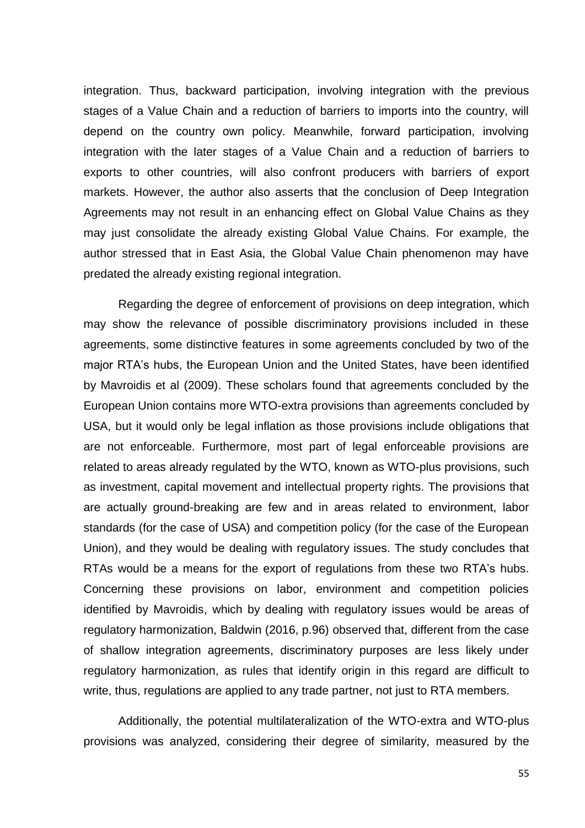integration. Thus, backward participation, involving integration with the previous stages of a Value Chain and a reduction of barriers to imports into the country, will depend on the country own policy. Meanwhile, forward participation, involving integration with the later stages of a Value Chain and a reduction of barriers to exports to other countries, will also confront producers with barriers of export markets. However, the author also asserts that the conclusion of Deep Integration Agreements may not result in an enhancing effect on Global Value Chains as they may just consolidate the already existing Global Value Chains. For example, the author stressed that in East Asia, the Global Value Chain phenomenon may have predated the already existing regional integration.

Regarding the degree of enforcement of provisions on deep integration, which may show the relevance of possible discriminatory provisions included in these agreements, some distinctive features in some agreements concluded by two of the major RTA's hubs, the European Union and the United States, have been identified by Mavroidis et al (2009). These scholars found that agreements concluded by the European Union contains more WTO-extra provisions than agreements concluded by USA, but it would only be legal inflation as those provisions include obligations that are not enforceable. Furthermore, most part of legal enforceable provisions are related to areas already regulated by the WTO, known as WTO-plus provisions, such as investment, capital movement and intellectual property rights. The provisions that are actually ground-breaking are few and in areas related to environment, labor standards (for the case of USA) and competition policy (for the case of the European Union), and they would be dealing with regulatory issues. The study concludes that RTAs would be a means for the export of regulations from these two RTA's hubs. Concerning these provisions on labor, environment and competition policies identified by Mavroidis, which by dealing with regulatory issues would be areas of regulatory harmonization, Baldwin (2016, p.96) observed that, different from the case of shallow integration agreements, discriminatory purposes are less likely under regulatory harmonization, as rules that identify origin in this regard are difficult to write, thus, regulations are applied to any trade partner, not just to RTA members.

Additionally, the potential multilateralization of the WTO-extra and WTO-plus provisions was analyzed, considering their degree of similarity, measured by the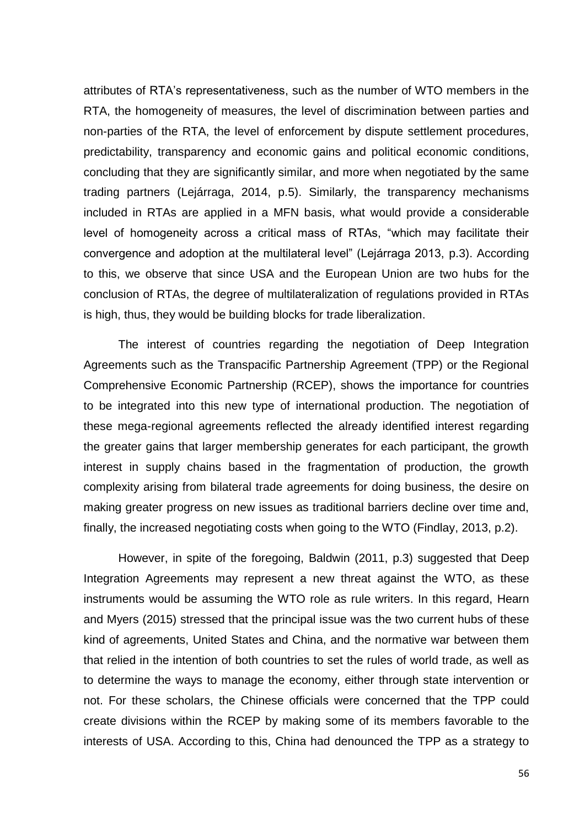attributes of RTA's representativeness, such as the number of WTO members in the RTA, the homogeneity of measures, the level of discrimination between parties and non-parties of the RTA, the level of enforcement by dispute settlement procedures, predictability, transparency and economic gains and political economic conditions, concluding that they are significantly similar, and more when negotiated by the same trading partners (Lejárraga, 2014, p.5). Similarly, the transparency mechanisms included in RTAs are applied in a MFN basis, what would provide a considerable level of homogeneity across a critical mass of RTAs, "which may facilitate their convergence and adoption at the multilateral level" (Lejárraga 2013, p.3). According to this, we observe that since USA and the European Union are two hubs for the conclusion of RTAs, the degree of multilateralization of regulations provided in RTAs is high, thus, they would be building blocks for trade liberalization.

The interest of countries regarding the negotiation of Deep Integration Agreements such as the Transpacific Partnership Agreement (TPP) or the Regional Comprehensive Economic Partnership (RCEP), shows the importance for countries to be integrated into this new type of international production. The negotiation of these mega-regional agreements reflected the already identified interest regarding the greater gains that larger membership generates for each participant, the growth interest in supply chains based in the fragmentation of production, the growth complexity arising from bilateral trade agreements for doing business, the desire on making greater progress on new issues as traditional barriers decline over time and, finally, the increased negotiating costs when going to the WTO (Findlay, 2013, p.2).

However, in spite of the foregoing, Baldwin (2011, p.3) suggested that Deep Integration Agreements may represent a new threat against the WTO, as these instruments would be assuming the WTO role as rule writers. In this regard, Hearn and Myers (2015) stressed that the principal issue was the two current hubs of these kind of agreements, United States and China, and the normative war between them that relied in the intention of both countries to set the rules of world trade, as well as to determine the ways to manage the economy, either through state intervention or not. For these scholars, the Chinese officials were concerned that the TPP could create divisions within the RCEP by making some of its members favorable to the interests of USA. According to this, China had denounced the TPP as a strategy to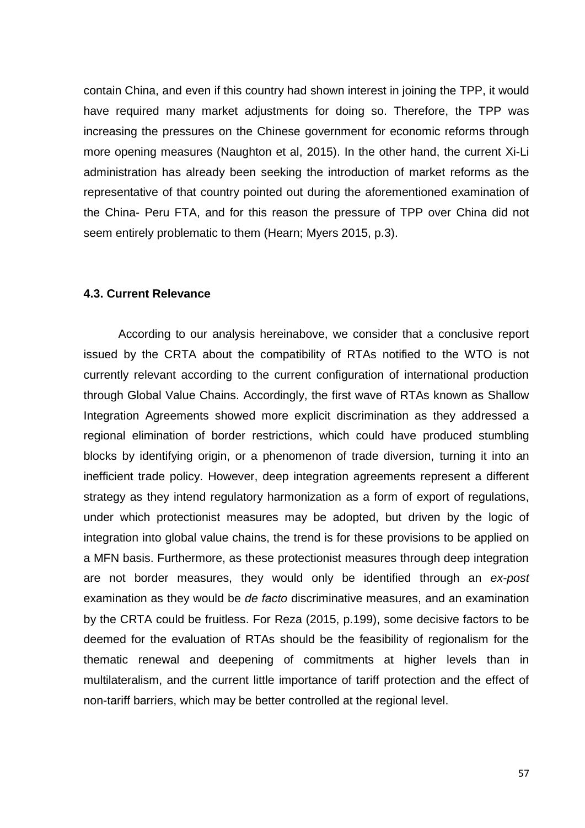contain China, and even if this country had shown interest in joining the TPP, it would have required many market adjustments for doing so. Therefore, the TPP was increasing the pressures on the Chinese government for economic reforms through more opening measures (Naughton et al, 2015). In the other hand, the current Xi-Li administration has already been seeking the introduction of market reforms as the representative of that country pointed out during the aforementioned examination of the China- Peru FTA, and for this reason the pressure of TPP over China did not seem entirely problematic to them (Hearn; Myers 2015, p.3).

#### <span id="page-58-0"></span>**4.3. Current Relevance**

According to our analysis hereinabove, we consider that a conclusive report issued by the CRTA about the compatibility of RTAs notified to the WTO is not currently relevant according to the current configuration of international production through Global Value Chains. Accordingly, the first wave of RTAs known as Shallow Integration Agreements showed more explicit discrimination as they addressed a regional elimination of border restrictions, which could have produced stumbling blocks by identifying origin, or a phenomenon of trade diversion, turning it into an inefficient trade policy. However, deep integration agreements represent a different strategy as they intend regulatory harmonization as a form of export of regulations, under which protectionist measures may be adopted, but driven by the logic of integration into global value chains, the trend is for these provisions to be applied on a MFN basis. Furthermore, as these protectionist measures through deep integration are not border measures, they would only be identified through an *ex-post* examination as they would be *de facto* discriminative measures, and an examination by the CRTA could be fruitless. For Reza (2015, p.199), some decisive factors to be deemed for the evaluation of RTAs should be the feasibility of regionalism for the thematic renewal and deepening of commitments at higher levels than in multilateralism, and the current little importance of tariff protection and the effect of non-tariff barriers, which may be better controlled at the regional level.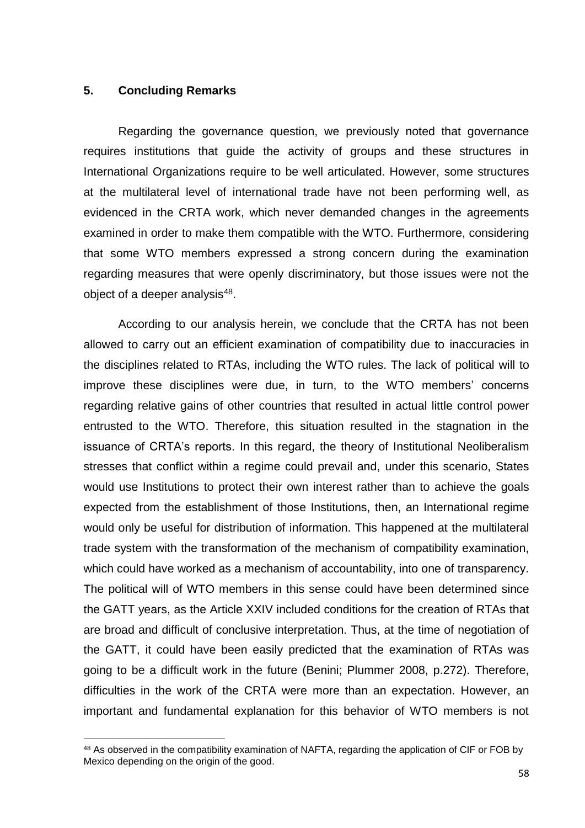#### <span id="page-59-0"></span>**5. Concluding Remarks**

**.** 

Regarding the governance question, we previously noted that governance requires institutions that guide the activity of groups and these structures in International Organizations require to be well articulated. However, some structures at the multilateral level of international trade have not been performing well, as evidenced in the CRTA work, which never demanded changes in the agreements examined in order to make them compatible with the WTO. Furthermore, considering that some WTO members expressed a strong concern during the examination regarding measures that were openly discriminatory, but those issues were not the object of a deeper analysis<sup>48</sup>.

According to our analysis herein, we conclude that the CRTA has not been allowed to carry out an efficient examination of compatibility due to inaccuracies in the disciplines related to RTAs, including the WTO rules. The lack of political will to improve these disciplines were due, in turn, to the WTO members' concerns regarding relative gains of other countries that resulted in actual little control power entrusted to the WTO. Therefore, this situation resulted in the stagnation in the issuance of CRTA's reports. In this regard, the theory of Institutional Neoliberalism stresses that conflict within a regime could prevail and, under this scenario, States would use Institutions to protect their own interest rather than to achieve the goals expected from the establishment of those Institutions, then, an International regime would only be useful for distribution of information. This happened at the multilateral trade system with the transformation of the mechanism of compatibility examination, which could have worked as a mechanism of accountability, into one of transparency. The political will of WTO members in this sense could have been determined since the GATT years, as the Article XXIV included conditions for the creation of RTAs that are broad and difficult of conclusive interpretation. Thus, at the time of negotiation of the GATT, it could have been easily predicted that the examination of RTAs was going to be a difficult work in the future (Benini; Plummer 2008, p.272). Therefore, difficulties in the work of the CRTA were more than an expectation. However, an important and fundamental explanation for this behavior of WTO members is not

<sup>48</sup> As observed in the compatibility examination of NAFTA, regarding the application of CIF or FOB by Mexico depending on the origin of the good.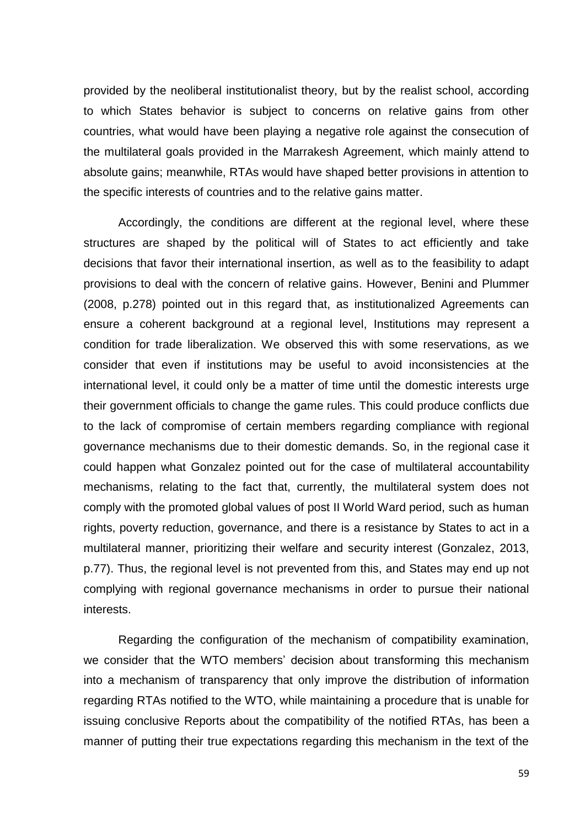provided by the neoliberal institutionalist theory, but by the realist school, according to which States behavior is subject to concerns on relative gains from other countries, what would have been playing a negative role against the consecution of the multilateral goals provided in the Marrakesh Agreement, which mainly attend to absolute gains; meanwhile, RTAs would have shaped better provisions in attention to the specific interests of countries and to the relative gains matter.

Accordingly, the conditions are different at the regional level, where these structures are shaped by the political will of States to act efficiently and take decisions that favor their international insertion, as well as to the feasibility to adapt provisions to deal with the concern of relative gains. However, Benini and Plummer (2008, p.278) pointed out in this regard that, as institutionalized Agreements can ensure a coherent background at a regional level, Institutions may represent a condition for trade liberalization. We observed this with some reservations, as we consider that even if institutions may be useful to avoid inconsistencies at the international level, it could only be a matter of time until the domestic interests urge their government officials to change the game rules. This could produce conflicts due to the lack of compromise of certain members regarding compliance with regional governance mechanisms due to their domestic demands. So, in the regional case it could happen what Gonzalez pointed out for the case of multilateral accountability mechanisms, relating to the fact that, currently, the multilateral system does not comply with the promoted global values of post II World Ward period, such as human rights, poverty reduction, governance, and there is a resistance by States to act in a multilateral manner, prioritizing their welfare and security interest (Gonzalez, 2013, p.77). Thus, the regional level is not prevented from this, and States may end up not complying with regional governance mechanisms in order to pursue their national interests.

Regarding the configuration of the mechanism of compatibility examination, we consider that the WTO members' decision about transforming this mechanism into a mechanism of transparency that only improve the distribution of information regarding RTAs notified to the WTO, while maintaining a procedure that is unable for issuing conclusive Reports about the compatibility of the notified RTAs, has been a manner of putting their true expectations regarding this mechanism in the text of the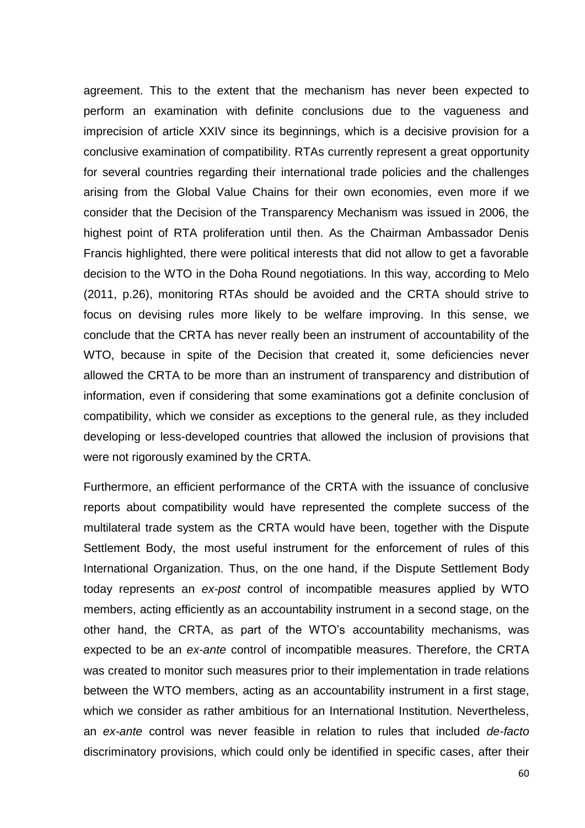agreement. This to the extent that the mechanism has never been expected to perform an examination with definite conclusions due to the vagueness and imprecision of article XXIV since its beginnings, which is a decisive provision for a conclusive examination of compatibility. RTAs currently represent a great opportunity for several countries regarding their international trade policies and the challenges arising from the Global Value Chains for their own economies, even more if we consider that the Decision of the Transparency Mechanism was issued in 2006, the highest point of RTA proliferation until then. As the Chairman Ambassador Denis Francis highlighted, there were political interests that did not allow to get a favorable decision to the WTO in the Doha Round negotiations. In this way, according to Melo (2011, p.26), monitoring RTAs should be avoided and the CRTA should strive to focus on devising rules more likely to be welfare improving. In this sense, we conclude that the CRTA has never really been an instrument of accountability of the WTO, because in spite of the Decision that created it, some deficiencies never allowed the CRTA to be more than an instrument of transparency and distribution of information, even if considering that some examinations got a definite conclusion of compatibility, which we consider as exceptions to the general rule, as they included developing or less-developed countries that allowed the inclusion of provisions that were not rigorously examined by the CRTA.

Furthermore, an efficient performance of the CRTA with the issuance of conclusive reports about compatibility would have represented the complete success of the multilateral trade system as the CRTA would have been, together with the Dispute Settlement Body, the most useful instrument for the enforcement of rules of this International Organization. Thus, on the one hand, if the Dispute Settlement Body today represents an *ex-post* control of incompatible measures applied by WTO members, acting efficiently as an accountability instrument in a second stage, on the other hand, the CRTA, as part of the WTO's accountability mechanisms, was expected to be an *ex-ante* control of incompatible measures. Therefore, the CRTA was created to monitor such measures prior to their implementation in trade relations between the WTO members, acting as an accountability instrument in a first stage, which we consider as rather ambitious for an International Institution. Nevertheless, an *ex-ante* control was never feasible in relation to rules that included *de-facto* discriminatory provisions, which could only be identified in specific cases, after their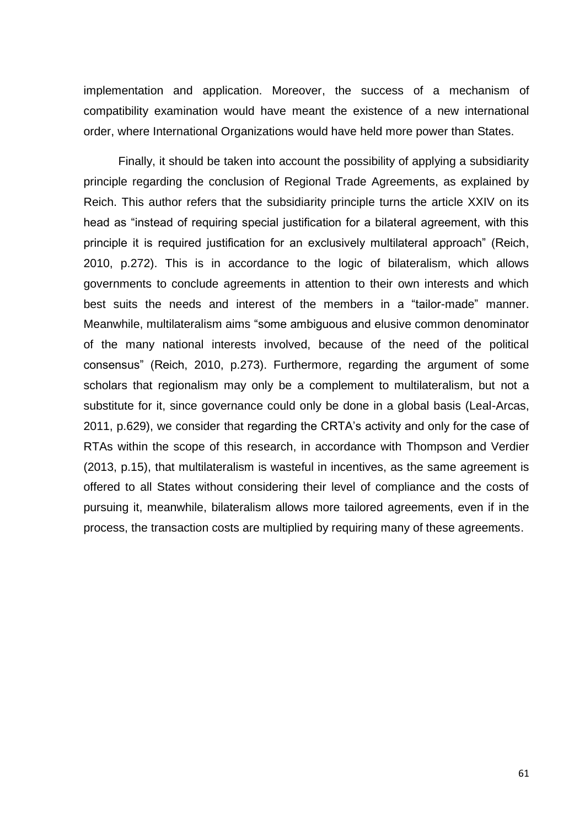implementation and application. Moreover, the success of a mechanism of compatibility examination would have meant the existence of a new international order, where International Organizations would have held more power than States.

Finally, it should be taken into account the possibility of applying a subsidiarity principle regarding the conclusion of Regional Trade Agreements, as explained by Reich. This author refers that the subsidiarity principle turns the article XXIV on its head as "instead of requiring special justification for a bilateral agreement, with this principle it is required justification for an exclusively multilateral approach" (Reich, 2010, p.272). This is in accordance to the logic of bilateralism, which allows governments to conclude agreements in attention to their own interests and which best suits the needs and interest of the members in a "tailor-made" manner. Meanwhile, multilateralism aims "some ambiguous and elusive common denominator of the many national interests involved, because of the need of the political consensus" (Reich, 2010, p.273). Furthermore, regarding the argument of some scholars that regionalism may only be a complement to multilateralism, but not a substitute for it, since governance could only be done in a global basis (Leal-Arcas, 2011, p.629), we consider that regarding the CRTA's activity and only for the case of RTAs within the scope of this research, in accordance with Thompson and Verdier (2013, p.15), that multilateralism is wasteful in incentives, as the same agreement is offered to all States without considering their level of compliance and the costs of pursuing it, meanwhile, bilateralism allows more tailored agreements, even if in the process, the transaction costs are multiplied by requiring many of these agreements.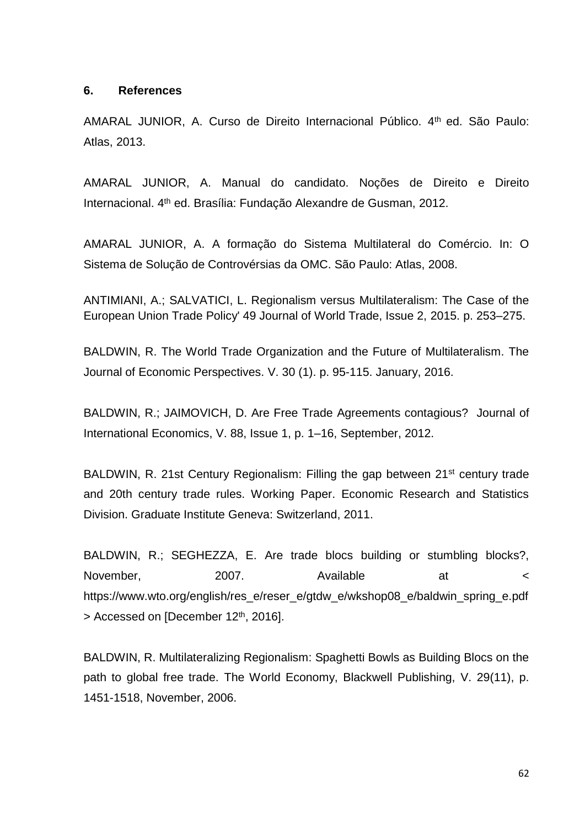### <span id="page-63-0"></span>**6. References**

AMARAL JUNIOR, A. Curso de Direito Internacional Público. 4th ed. São Paulo: Atlas, 2013.

AMARAL JUNIOR, A. Manual do candidato. Noções de Direito e Direito Internacional. 4<sup>th</sup> ed. Brasília: Fundação Alexandre de Gusman, 2012.

AMARAL JUNIOR, A. A formação do Sistema Multilateral do Comércio. In: O Sistema de Solução de Controvérsias da OMC. São Paulo: Atlas, 2008.

ANTIMIANI, A.; SALVATICI, L. Regionalism versus Multilateralism: The Case of the European Union Trade Policy' 49 Journal of World Trade, Issue 2, 2015. p. 253–275.

BALDWIN, R. The World Trade Organization and the Future of Multilateralism. The Journal of Economic Perspectives. V. 30 (1). p. 95-115. January, 2016.

BALDWIN, R.; JAIMOVICH, D. Are Free Trade Agreements contagious? Journal of International Economics, V. 88, Issue 1, p. 1–16, September, 2012.

BALDWIN, R. 21st Century Regionalism: Filling the gap between 21<sup>st</sup> century trade and 20th century trade rules. Working Paper. Economic Research and Statistics Division. Graduate Institute Geneva: Switzerland, 2011.

BALDWIN, R.; SEGHEZZA, E. Are trade blocs building or stumbling blocks?, November, 2007. Available at  $\sim$ https://www.wto.org/english/res\_e/reser\_e/gtdw\_e/wkshop08\_e/baldwin\_spring\_e.pdf  $>$  Accessed on [December 12<sup>th</sup>, 2016].

BALDWIN, R. Multilateralizing Regionalism: Spaghetti Bowls as Building Blocs on the path to global free trade. The World Economy, Blackwell Publishing, V. 29(11), p. 1451-1518, November, 2006.

62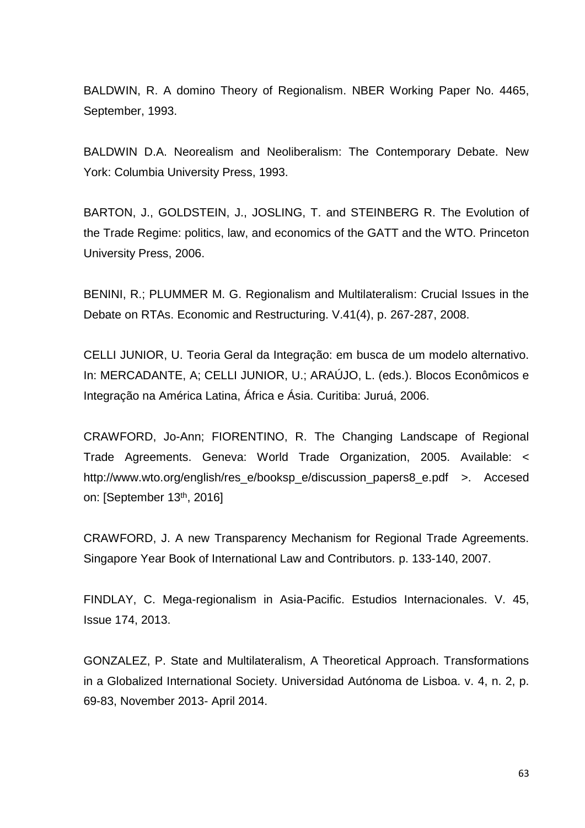BALDWIN, R. A domino Theory of Regionalism. NBER Working Paper No. 4465, September, 1993.

BALDWIN D.A. Neorealism and Neoliberalism: The Contemporary Debate. New York: Columbia University Press, 1993.

BARTON, J., GOLDSTEIN, J., JOSLING, T. and STEINBERG R. The Evolution of the Trade Regime: politics, law, and economics of the GATT and the WTO. Princeton University Press, 2006.

BENINI, R.; PLUMMER M. G. Regionalism and Multilateralism: Crucial Issues in the Debate on RTAs. Economic and Restructuring. V.41(4), p. 267-287, 2008.

CELLI JUNIOR, U. Teoria Geral da Integração: em busca de um modelo alternativo. In: MERCADANTE, A; CELLI JUNIOR, U.; ARAÚJO, L. (eds.). Blocos Econômicos e Integração na América Latina, África e Ásia. Curitiba: Juruá, 2006.

CRAWFORD, Jo-Ann; FIORENTINO, R. The Changing Landscape of Regional Trade Agreements. Geneva: World Trade Organization, 2005. Available: < http://www.wto.org/english/res\_e/booksp\_e/discussion\_papers8\_e.pdf >. Accesed on: [September 13<sup>th</sup>, 2016]

CRAWFORD, J. A new Transparency Mechanism for Regional Trade Agreements. Singapore Year Book of International Law and Contributors. p. 133-140, 2007.

FINDLAY, C. Mega-regionalism in Asia-Pacific. Estudios Internacionales. V. 45, Issue 174, 2013.

GONZALEZ, P. State and Multilateralism, A Theoretical Approach. Transformations in a Globalized International Society. Universidad Autónoma de Lisboa. v. 4, n. 2, p. 69-83, November 2013- April 2014.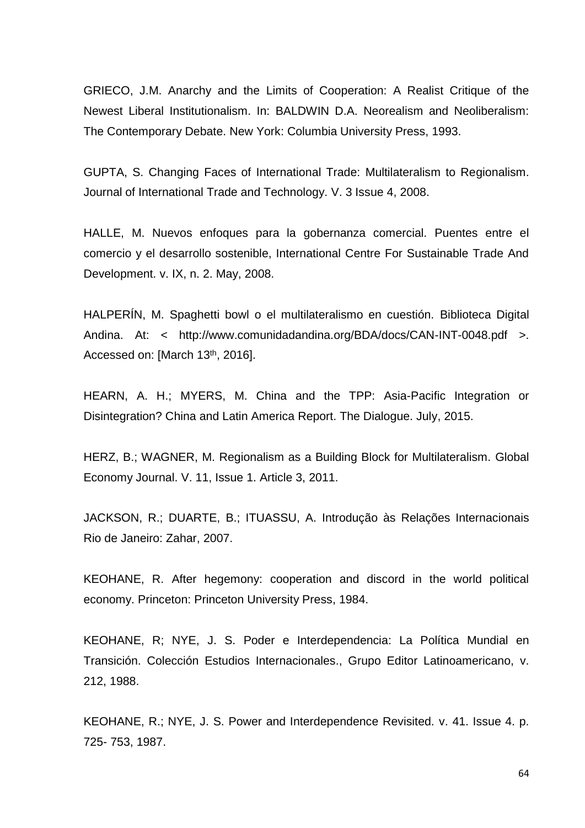GRIECO, J.M. Anarchy and the Limits of Cooperation: A Realist Critique of the Newest Liberal Institutionalism. In: BALDWIN D.A. Neorealism and Neoliberalism: The Contemporary Debate. New York: Columbia University Press, 1993.

GUPTA, S. Changing Faces of International Trade: Multilateralism to Regionalism. Journal of International Trade and Technology. V. 3 Issue 4, 2008.

HALLE, M. Nuevos enfoques para la gobernanza comercial. Puentes entre el comercio y el desarrollo sostenible, International Centre For Sustainable Trade And Development. v. IX, n. 2. May, 2008.

HALPERÍN, M. Spaghetti bowl o el multilateralismo en cuestión. Biblioteca Digital Andina. At: < http://www.comunidadandina.org/BDA/docs/CAN-INT-0048.pdf >. Accessed on: [March 13<sup>th</sup>, 2016].

HEARN, A. H.; MYERS, M. China and the TPP: Asia-Pacific Integration or Disintegration? China and Latin America Report. The Dialogue. July, 2015.

HERZ, B.; WAGNER, M. Regionalism as a Building Block for Multilateralism. Global Economy Journal. V. 11, Issue 1. Article 3, 2011.

JACKSON, R.; DUARTE, B.; ITUASSU, A. Introdução às Relações Internacionais Rio de Janeiro: Zahar, 2007.

KEOHANE, R. After hegemony: cooperation and discord in the world political economy. Princeton: Princeton University Press, 1984.

KEOHANE, R; NYE, J. S. Poder e Interdependencia: La Política Mundial en Transición. Colección Estudios Internacionales., Grupo Editor Latinoamericano, v. 212, 1988.

KEOHANE, R.; NYE, J. S. Power and Interdependence Revisited. v. 41. Issue 4. p. 725- 753, 1987.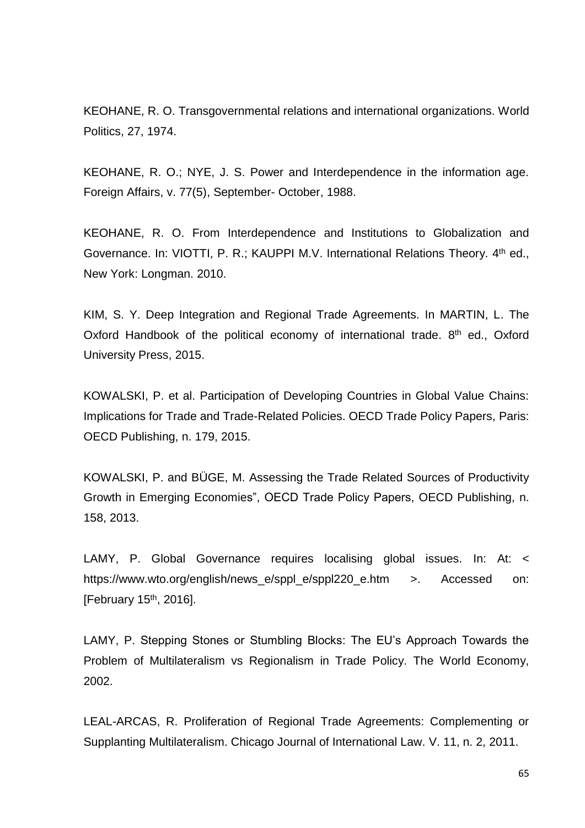KEOHANE, R. O. Transgovernmental relations and international organizations. World Politics, 27, 1974.

KEOHANE, R. O.; NYE, J. S. Power and Interdependence in the information age. Foreign Affairs, v. 77(5), September- October, 1988.

KEOHANE, R. O. From Interdependence and Institutions to Globalization and Governance. In: VIOTTI, P. R.; KAUPPI M.V. International Relations Theory. 4<sup>th</sup> ed., New York: Longman. 2010.

KIM, S. Y. Deep Integration and Regional Trade Agreements. In MARTIN, L. The Oxford Handbook of the political economy of international trade. 8<sup>th</sup> ed., Oxford University Press, 2015.

KOWALSKI, P. et al. Participation of Developing Countries in Global Value Chains: Implications for Trade and Trade-Related Policies. OECD Trade Policy Papers, Paris: OECD Publishing, n. 179, 2015.

KOWALSKI, P. and BÜGE, M. Assessing the Trade Related Sources of Productivity Growth in Emerging Economies", OECD Trade Policy Papers, OECD Publishing, n. 158, 2013.

LAMY, P. Global Governance requires localising global issues. In: At: < https://www.wto.org/english/news\_e/sppl\_e/sppl220\_e.htm >. Accessed on: [February 15<sup>th</sup>, 2016].

LAMY, P. Stepping Stones or Stumbling Blocks: The EU's Approach Towards the Problem of Multilateralism vs Regionalism in Trade Policy. The World Economy, 2002.

LEAL-ARCAS, R. Proliferation of Regional Trade Agreements: Complementing or Supplanting Multilateralism. Chicago Journal of International Law. V. 11, n. 2, 2011.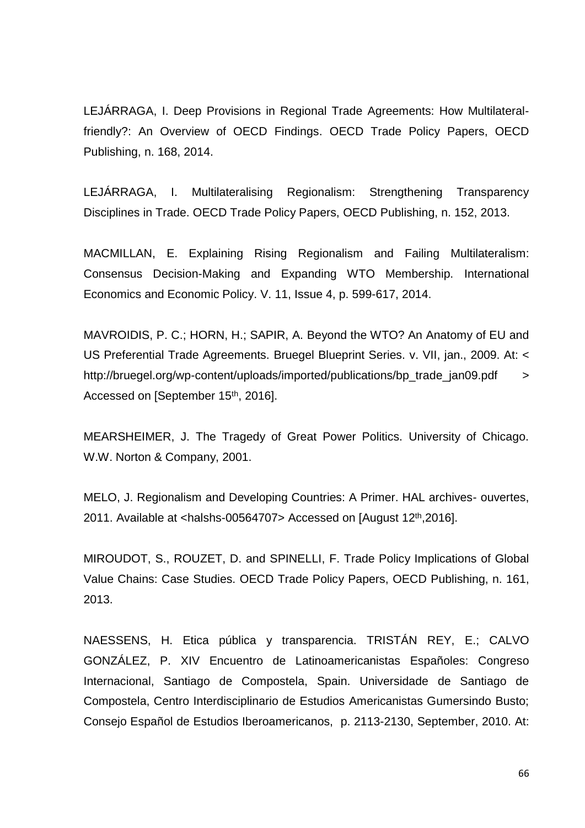LEJÁRRAGA, I. Deep Provisions in Regional Trade Agreements: How Multilateralfriendly?: An Overview of OECD Findings. OECD Trade Policy Papers, OECD Publishing, n. 168, 2014.

LEJÁRRAGA, I. Multilateralising Regionalism: Strengthening Transparency Disciplines in Trade. OECD Trade Policy Papers, OECD Publishing, n. 152, 2013.

MACMILLAN, E. Explaining Rising Regionalism and Failing Multilateralism: Consensus Decision-Making and Expanding WTO Membership. International Economics and Economic Policy. V. 11, Issue 4, p. 599-617, 2014.

MAVROIDIS, P. C.; HORN, H.; SAPIR, A. Beyond the WTO? An Anatomy of EU and US Preferential Trade Agreements. Bruegel Blueprint Series. v. VII, jan., 2009. At: < http://bruegel.org/wp-content/uploads/imported/publications/bp\_trade\_jan09.pdf > Accessed on [September 15<sup>th</sup>, 2016].

MEARSHEIMER, J. The Tragedy of Great Power Politics. University of Chicago. W.W. Norton & Company, 2001.

MELO, J. Regionalism and Developing Countries: A Primer. HAL archives- ouvertes, 2011. Available at <halshs-00564707> Accessed on  $[August 12<sup>th</sup>, 2016]$ .

MIROUDOT, S., ROUZET, D. and SPINELLI, F. Trade Policy Implications of Global Value Chains: Case Studies. OECD Trade Policy Papers, OECD Publishing, n. 161, 2013.

NAESSENS, H. Etica pública y transparencia. TRISTÁN REY, E.; CALVO GONZÁLEZ, P. XIV Encuentro de Latinoamericanistas Españoles: Congreso Internacional, Santiago de Compostela, Spain. Universidade de Santiago de Compostela, Centro Interdisciplinario de Estudios Americanistas Gumersindo Busto; Consejo Español de Estudios Iberoamericanos, p. 2113-2130, September, 2010. At: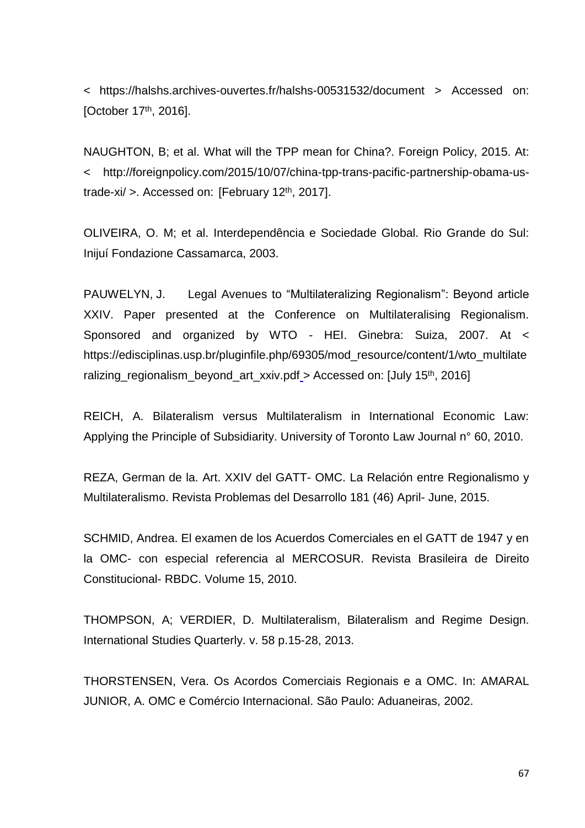< https://halshs.archives-ouvertes.fr/halshs-00531532/document > Accessed on: [October 17<sup>th</sup>, 2016].

NAUGHTON, B; et al. What will the TPP mean for China?. Foreign Policy, 2015. At: < http://foreignpolicy.com/2015/10/07/china-tpp-trans-pacific-partnership-obama-ustrade-xi/ >. Accessed on: [February 12th, 2017].

OLIVEIRA, O. M; et al. Interdependência e Sociedade Global. Rio Grande do Sul: Inijuí Fondazione Cassamarca, 2003.

PAUWELYN, J. Legal Avenues to "Multilateralizing Regionalism": Beyond article XXIV. Paper presented at the Conference on Multilateralising Regionalism. Sponsored and organized by WTO - HEI. Ginebra: Suiza, 2007. At < https://edisciplinas.usp.br/pluginfile.php/69305/mod\_resource/content/1/wto\_multilate ralizing\_regionalism\_beyond\_art\_xxiv.pdf > Accessed on: [July 15th, 2016]

REICH, A. Bilateralism versus Multilateralism in International Economic Law: Applying the Principle of Subsidiarity. University of Toronto Law Journal n° 60, 2010.

REZA, German de la. Art. XXIV del GATT- OMC. La Relación entre Regionalismo y Multilateralismo. Revista Problemas del Desarrollo 181 (46) April- June, 2015.

SCHMID, Andrea. El examen de los Acuerdos Comerciales en el GATT de 1947 y en la OMC- con especial referencia al MERCOSUR. Revista Brasileira de Direito Constitucional- RBDC. Volume 15, 2010.

THOMPSON, A; VERDIER, D. Multilateralism, Bilateralism and Regime Design. International Studies Quarterly. v. 58 p.15-28, 2013.

THORSTENSEN, Vera. Os Acordos Comerciais Regionais e a OMC. In: AMARAL JUNIOR, A. OMC e Comércio Internacional. São Paulo: Aduaneiras, 2002.